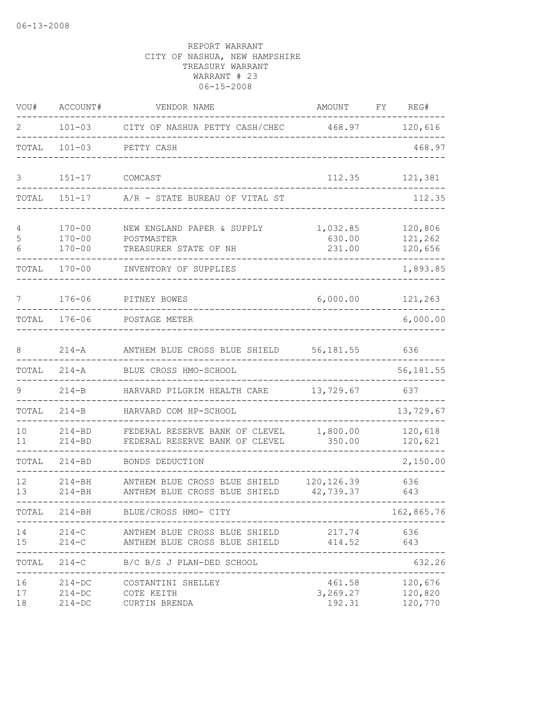| VOU#           | ACCOUNT#                               | VENDOR NAME                                                                 | AMOUNT                       | FY | REG#                          |
|----------------|----------------------------------------|-----------------------------------------------------------------------------|------------------------------|----|-------------------------------|
| 2              | $101 - 03$                             | CITY OF NASHUA PETTY CASH/CHEC                                              | 468.97                       |    | 120,616                       |
| TOTAL          | $101 - 03$                             | PETTY CASH                                                                  |                              |    | 468.97                        |
| 3              | $151 - 17$                             | COMCAST                                                                     | 112.35                       |    | 121,381                       |
| TOTAL          | $151 - 17$                             | A/R - STATE BUREAU OF VITAL ST                                              |                              |    | 112.35                        |
| 4<br>5<br>6    | $170 - 00$<br>$170 - 00$<br>$170 - 00$ | NEW ENGLAND PAPER & SUPPLY<br>POSTMASTER<br>TREASURER STATE OF NH           | 1,032.85<br>630.00<br>231.00 |    | 120,806<br>121,262<br>120,656 |
| TOTAL          | $170 - 00$                             | INVENTORY OF SUPPLIES                                                       |                              |    | 1,893.85                      |
| 7              | $176 - 06$                             | PITNEY BOWES                                                                | 6,000.00                     |    | 121,263                       |
| TOTAL          | $176 - 06$                             | POSTAGE METER                                                               |                              |    | 6,000.00                      |
| 8              | $214 - A$                              | ANTHEM BLUE CROSS BLUE SHIELD                                               | 56, 181.55                   |    | 636                           |
| TOTAL          | $214 - A$                              | BLUE CROSS HMO-SCHOOL                                                       |                              |    | 56,181.55                     |
| 9              | $214-B$                                | HARVARD PILGRIM HEALTH CARE                                                 | 13,729.67                    |    | 637                           |
| TOTAL          | $214 - B$                              | HARVARD COM HP-SCHOOL                                                       |                              |    | 13,729.67                     |
| 10<br>11       | $214 - BD$<br>$214 - BD$               | FEDERAL RESERVE BANK OF CLEVEL<br>FEDERAL RESERVE BANK OF CLEVEL            | 1,800.00<br>350.00           |    | 120,618<br>120,621            |
| TOTAL          | $214 - BD$                             | BONDS DEDUCTION                                                             |                              |    | 2,150.00                      |
| 12<br>13       | $214 - BH$<br>$214 - BH$               | ANTHEM BLUE CROSS BLUE SHIELD<br>ANTHEM BLUE CROSS BLUE SHIELD              | 120, 126.39<br>42,739.37     |    | 636<br>643                    |
|                |                                        | TOTAL 214-BH BLUE/CROSS HMO- CITY                                           | _________                    |    | 162,865.76<br>$---$           |
| 14<br>15       |                                        | 214-C ANTHEM BLUE CROSS BLUE SHIELD 414.52 643<br>----------                | 217.74                       |    | 636                           |
|                | --------------                         | TOTAL 214-C B/C B/S J PLAN-DED SCHOOL<br>__________________________________ |                              |    | 632.26                        |
| 16<br>17<br>18 | $214 - DC$<br>$214 - DC$<br>$214 - DC$ | COSTANTINI SHELLEY<br>COTE KEITH<br>CURTIN BRENDA                           | 461.58<br>3,269.27<br>192.31 |    | 120,676<br>120,820<br>120,770 |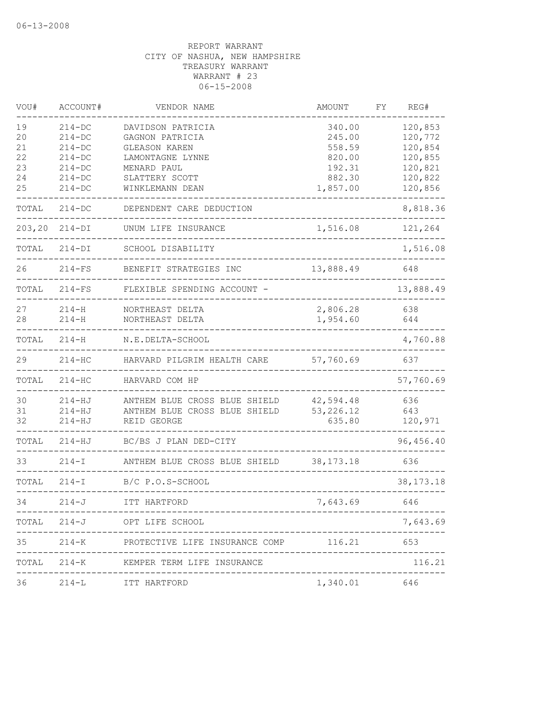| VOU#   | ACCOUNT#   | VENDOR NAME                                 | AMOUNT       | FΥ | REG#        |
|--------|------------|---------------------------------------------|--------------|----|-------------|
| 19     | $214 - DC$ | DAVIDSON PATRICIA                           | 340.00       |    | 120,853     |
| 20     | $214 - DC$ | GAGNON PATRICIA                             | 245.00       |    | 120,772     |
| 21     | $214-DC$   | <b>GLEASON KAREN</b>                        | 558.59       |    | 120,854     |
| 22     | $214 - DC$ | LAMONTAGNE LYNNE                            | 820.00       |    | 120,855     |
| 23     | $214 - DC$ | MENARD PAUL                                 | 192.31       |    | 120,821     |
| 24     | $214 - DC$ | SLATTERY SCOTT                              | 882.30       |    | 120,822     |
| 25     | $214 - DC$ | WINKLEMANN DEAN                             | 1,857.00     |    | 120,856     |
| TOTAL  | $214 - DC$ | DEPENDENT CARE DEDUCTION                    |              |    | 8,818.36    |
| 203,20 | $214-DI$   | UNUM LIFE INSURANCE                         | 1,516.08     |    | 121,264     |
| TOTAL  | $214-DI$   | SCHOOL DISABILITY                           |              |    | 1,516.08    |
| 26     | $214-FS$   | BENEFIT STRATEGIES INC                      | 13,888.49    |    | 648         |
| TOTAL  | $214-FS$   | FLEXIBLE SPENDING ACCOUNT -                 |              |    | 13,888.49   |
| 27     | $214 - H$  | NORTHEAST DELTA                             | 2,806.28     |    | 638         |
| 28     | $214 - H$  | NORTHEAST DELTA                             | 1,954.60     |    | 644         |
| TOTAL  | $214 - H$  | N.E.DELTA-SCHOOL                            |              |    | 4,760.88    |
|        |            |                                             |              |    |             |
| 29     | $214 - HC$ | HARVARD PILGRIM HEALTH CARE                 | 57,760.69    |    | 637         |
| TOTAL  | $214 - HC$ | HARVARD COM HP                              |              |    | 57,760.69   |
| 30     | $214 - HJ$ | ANTHEM BLUE CROSS BLUE SHIELD               | 42,594.48    |    | 636         |
| 31     | $214 - HJ$ | ANTHEM BLUE CROSS BLUE SHIELD               | 53, 226.12   |    | 643         |
| 32     | $214 - HJ$ | REID GEORGE                                 | 635.80       |    | 120,971     |
| TOTAL  | $214 - HJ$ | BC/BS J PLAN DED-CITY                       |              |    | 96,456.40   |
| 33     | $214 - I$  | ANTHEM BLUE CROSS BLUE SHIELD               | 38, 173. 18  |    | 636         |
| TOTAL  | $214-I$    | B/C P.O.S-SCHOOL                            |              |    | 38, 173. 18 |
| 34     | $214 - J$  | ITT HARTFORD                                | 7,643.69     |    | 646         |
|        |            | TOTAL 214-J OPT LIFE SCHOOL                 |              |    | 7,643.69    |
| 35     |            | 214-K PROTECTIVE LIFE INSURANCE COMP 116.21 |              |    | 653         |
| TOTAL  |            | 214-K KEMPER TERM LIFE INSURANCE            |              |    | 116.21      |
| 36     | $214-L$    | ITT HARTFORD                                | 1,340.01 646 |    |             |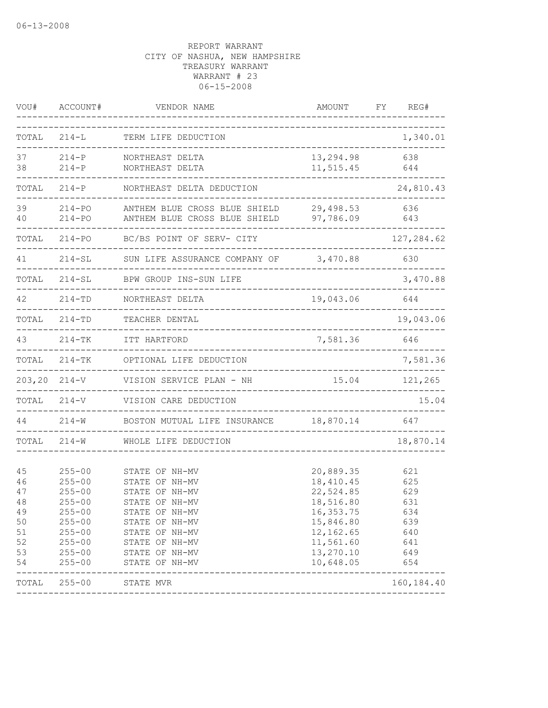| VOU#                                                     | ACCOUNT#                                                                                                                                 | VENDOR NAME                                                                                                                                                                      | AMOUNT                                                                                                                            | FΥ<br>REG#                                                         |
|----------------------------------------------------------|------------------------------------------------------------------------------------------------------------------------------------------|----------------------------------------------------------------------------------------------------------------------------------------------------------------------------------|-----------------------------------------------------------------------------------------------------------------------------------|--------------------------------------------------------------------|
| TOTAL                                                    | $214 - L$                                                                                                                                | TERM LIFE DEDUCTION                                                                                                                                                              |                                                                                                                                   | 1,340.01                                                           |
| 37<br>38                                                 | $214 - P$<br>$214 - P$                                                                                                                   | NORTHEAST DELTA<br>NORTHEAST DELTA                                                                                                                                               | 13,294.98<br>11,515.45                                                                                                            | 638<br>644                                                         |
| TOTAL                                                    | $214-P$                                                                                                                                  | NORTHEAST DELTA DEDUCTION                                                                                                                                                        |                                                                                                                                   | 24,810.43                                                          |
| 39<br>40                                                 | $214 - PQ$<br>$214 - PQ$                                                                                                                 | ANTHEM BLUE CROSS BLUE SHIELD<br>ANTHEM BLUE CROSS BLUE SHIELD                                                                                                                   | 29,498.53<br>97,786.09                                                                                                            | 636<br>643                                                         |
| TOTAL                                                    | $214 - PQ$                                                                                                                               | BC/BS POINT OF SERV- CITY                                                                                                                                                        |                                                                                                                                   | 127, 284.62                                                        |
| 41                                                       | $214 - SL$                                                                                                                               | SUN LIFE ASSURANCE COMPANY OF                                                                                                                                                    | 3,470.88                                                                                                                          | 630                                                                |
| TOTAL                                                    | $214 - SL$                                                                                                                               | BPW GROUP INS-SUN LIFE                                                                                                                                                           |                                                                                                                                   | 3,470.88                                                           |
| 42                                                       | $214 - TD$                                                                                                                               | NORTHEAST DELTA                                                                                                                                                                  | 19,043.06                                                                                                                         | 644                                                                |
| TOTAL                                                    | $214 - TD$                                                                                                                               | TEACHER DENTAL                                                                                                                                                                   |                                                                                                                                   | 19,043.06                                                          |
| 43                                                       | $214-TK$                                                                                                                                 | ITT HARTFORD                                                                                                                                                                     | 7,581.36                                                                                                                          | 646                                                                |
| TOTAL                                                    | $214 - TK$                                                                                                                               | OPTIONAL LIFE DEDUCTION                                                                                                                                                          |                                                                                                                                   | 7,581.36                                                           |
| 203,20                                                   | $214 - V$                                                                                                                                | VISION SERVICE PLAN - NH                                                                                                                                                         | 15.04                                                                                                                             | 121,265                                                            |
| TOTAL                                                    | $214 - V$                                                                                                                                | VISION CARE DEDUCTION                                                                                                                                                            |                                                                                                                                   | 15.04                                                              |
| 44                                                       | $214 - W$                                                                                                                                | BOSTON MUTUAL LIFE INSURANCE                                                                                                                                                     | 18,870.14                                                                                                                         | 647                                                                |
| TOTAL                                                    | $214 - W$                                                                                                                                | WHOLE LIFE DEDUCTION                                                                                                                                                             |                                                                                                                                   | 18,870.14                                                          |
| 45<br>46<br>47<br>48<br>49<br>50<br>51<br>52<br>53<br>54 | $255 - 00$<br>$255 - 00$<br>$255 - 00$<br>$255 - 00$<br>$255 - 00$<br>$255 - 00$<br>$255 - 00$<br>$255 - 00$<br>$255 - 00$<br>$255 - 00$ | STATE OF NH-MV<br>STATE OF NH-MV<br>STATE OF NH-MV<br>STATE OF NH-MV<br>STATE OF NH-MV<br>STATE OF NH-MV<br>STATE OF NH-MV<br>STATE OF NH-MV<br>STATE OF NH-MV<br>STATE OF NH-MV | 20,889.35<br>18, 410. 45<br>22,524.85<br>18,516.80<br>16, 353.75<br>15,846.80<br>12,162.65<br>11,561.60<br>13,270.10<br>10,648.05 | 621<br>625<br>629<br>631<br>634<br>639<br>640<br>641<br>649<br>654 |
| TOTAL                                                    | $255 - 00$                                                                                                                               | STATE MVR                                                                                                                                                                        |                                                                                                                                   | 160, 184.40                                                        |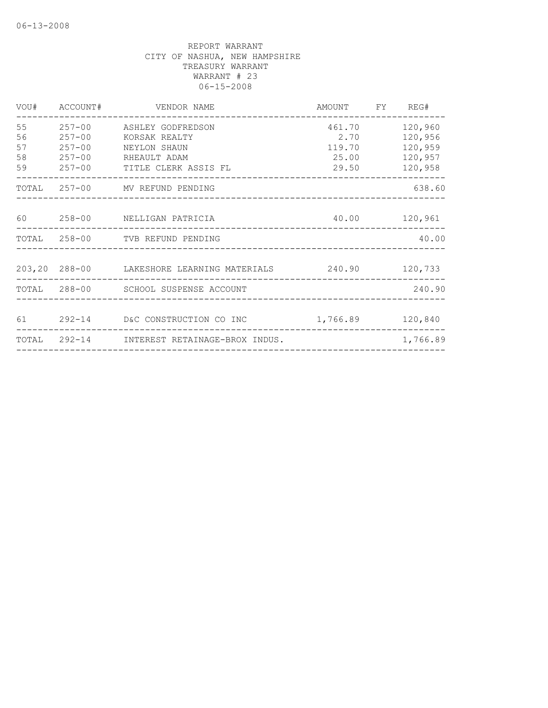|                            | VOU# ACCOUNT#                          | VENDOR NAME                                                                                              | AMOUNT FY REG#                             |                                                     |
|----------------------------|----------------------------------------|----------------------------------------------------------------------------------------------------------|--------------------------------------------|-----------------------------------------------------|
| 55<br>56<br>57<br>58<br>59 | $257 - 00$<br>$257 - 00$<br>$257 - 00$ | 257-00 ASHLEY GODFREDSON<br>KORSAK REALTY<br>NEYLON SHAUN<br>RHEAULT ADAM<br>257-00 TITLE CLERK ASSIS FL | 461.70<br>2.70<br>119.70<br>25.00<br>29.50 | 120,960<br>120,956<br>120,959<br>120,957<br>120,958 |
|                            |                                        | TOTAL 257-00 MV REFUND PENDING                                                                           |                                            | 638.60                                              |
|                            |                                        | 60 258-00 NELLIGAN PATRICIA<br>40.00 120,961                                                             |                                            |                                                     |
|                            |                                        | TOTAL 258-00 TVB REFUND PENDING                                                                          |                                            | 40.00                                               |
|                            |                                        | 203,20 288-00 LAKESHORE LEARNING MATERIALS 240.90 120,733                                                |                                            |                                                     |
|                            |                                        | TOTAL 288-00 SCHOOL SUSPENSE ACCOUNT                                                                     |                                            | 240.90                                              |
|                            |                                        | 61  292-14  D&C CONSTRUCTION CO INC   1,766.89  120,840                                                  |                                            |                                                     |
|                            |                                        | TOTAL 292-14 INTEREST RETAINAGE-BROX INDUS.                                                              |                                            | 1,766.89                                            |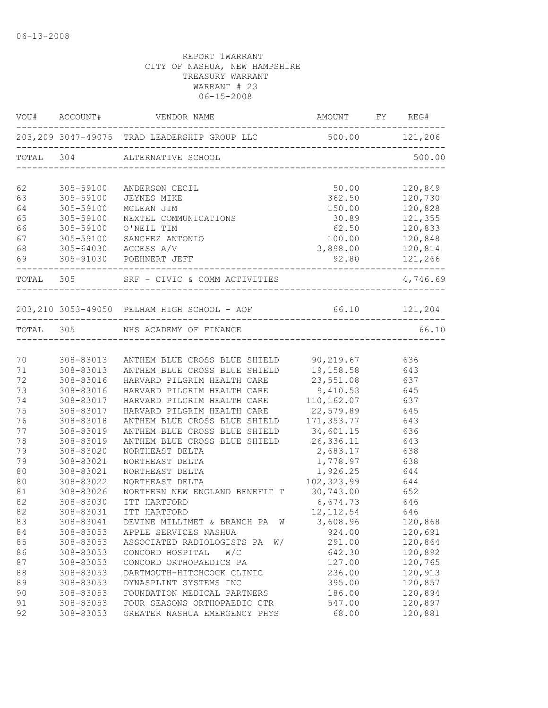|           |           | $\verb VOU + \verb {{ACCOUNT} + \verb {{VENDOR NAME}}  \verb {{AMOUNT} + \verb {{FY}}  \verb {{REG} + \verb {{AUCONT} + \verb {{AUCONT}} } \verb {{AUCONT} + \verb {{AUCONT} + \verb {{AUCONT}} } \verb {{AUCONT} + \verb {{AUCONT}} } \verb {{AUCONT} + \verb {{AUCONT} + \verb {{AUCONT}}  \verb }{ {\verb {{AUCONT}} + \verb {{AUCONT}} } \verb }{ {\verb {{AUCONT}} + \verb {{AUCONT}} } \verb }$ |                               |               |
|-----------|-----------|-------------------------------------------------------------------------------------------------------------------------------------------------------------------------------------------------------------------------------------------------------------------------------------------------------------------------------------------------------------------------------------------------------|-------------------------------|---------------|
|           |           | 203,209 3047-49075 TRAD LEADERSHIP GROUP LLC 500.00 121,206                                                                                                                                                                                                                                                                                                                                           |                               |               |
|           |           | TOTAL 304 ALTERNATIVE SCHOOL                                                                                                                                                                                                                                                                                                                                                                          |                               | 500.00        |
| 62        | 305-59100 | ANDERSON CECIL                                                                                                                                                                                                                                                                                                                                                                                        | 50.00                         | 120,849       |
| 63        | 305-59100 | JEYNES MIKE                                                                                                                                                                                                                                                                                                                                                                                           | 362.50                        | 120,730       |
| 64        | 305-59100 | MCLEAN JIM                                                                                                                                                                                                                                                                                                                                                                                            | 150.00                        | 120,828       |
| 65        | 305-59100 | NEXTEL COMMUNICATIONS                                                                                                                                                                                                                                                                                                                                                                                 |                               | 30.89 121,355 |
| 66        | 305-59100 | O'NEIL TIM                                                                                                                                                                                                                                                                                                                                                                                            | 62.50 120,833                 |               |
| 67        | 305-59100 | SANCHEZ ANTONIO                                                                                                                                                                                                                                                                                                                                                                                       | 100.00 120,848                |               |
| 68        |           | 305-64030 ACCESS A/V                                                                                                                                                                                                                                                                                                                                                                                  | 3,898.00 120,814              |               |
| 69        |           | 305-91030 POEHNERT JEFF                                                                                                                                                                                                                                                                                                                                                                               |                               | 92.80 121,266 |
| TOTAL 305 |           | SRF - CIVIC & COMM ACTIVITIES<br>__________________________                                                                                                                                                                                                                                                                                                                                           |                               | 4,746.69      |
|           |           | 203,210 3053-49050 PELHAM HIGH SCHOOL - AOF 66.10 121,204                                                                                                                                                                                                                                                                                                                                             |                               |               |
|           |           | TOTAL 305 NHS ACADEMY OF FINANCE                                                                                                                                                                                                                                                                                                                                                                      |                               | 66.10         |
|           |           |                                                                                                                                                                                                                                                                                                                                                                                                       |                               |               |
| 70        |           | 308-83013 ANTHEM BLUE CROSS BLUE SHIELD 90,219.67                                                                                                                                                                                                                                                                                                                                                     |                               | 636           |
| 71        | 308-83013 | ANTHEM BLUE CROSS BLUE SHIELD                                                                                                                                                                                                                                                                                                                                                                         | 19,158.58                     | 643           |
| 72        | 308-83016 | HARVARD PILGRIM HEALTH CARE                                                                                                                                                                                                                                                                                                                                                                           | 23,551.08 637<br>9,410.53 645 |               |
| 73        | 308-83016 | HARVARD PILGRIM HEALTH CARE                                                                                                                                                                                                                                                                                                                                                                           |                               |               |
| 74        | 308-83017 | HARVARD PILGRIM HEALTH CARE 110,162.07 637                                                                                                                                                                                                                                                                                                                                                            |                               |               |
| 75        | 308-83017 | HARVARD PILGRIM HEALTH CARE 22,579.89 645                                                                                                                                                                                                                                                                                                                                                             |                               |               |
| 76        | 308-83018 | ANTHEM BLUE CROSS BLUE SHIELD 171,353.77 643                                                                                                                                                                                                                                                                                                                                                          |                               |               |
| 77        | 308-83019 | ANTHEM BLUE CROSS BLUE SHIELD 34,601.15 636                                                                                                                                                                                                                                                                                                                                                           |                               |               |
| 78        | 308-83019 | ANTHEM BLUE CROSS BLUE SHIELD 26,336.11 643                                                                                                                                                                                                                                                                                                                                                           |                               |               |
| 79        | 308-83020 | NORTHEAST DELTA                                                                                                                                                                                                                                                                                                                                                                                       | 2,683.17                      | 638           |
| 79        | 308-83021 | NORTHEAST DELTA                                                                                                                                                                                                                                                                                                                                                                                       | 1,778.97                      | 638           |
| 80        | 308-83021 | NORTHEAST DELTA                                                                                                                                                                                                                                                                                                                                                                                       | 1,926.25                      | 644           |
| 80        | 308-83022 | NORTHEAST DELTA                                                                                                                                                                                                                                                                                                                                                                                       | $102,323.99$ 644              |               |
| 81        | 308-83026 | NORTHERN NEW ENGLAND BENEFIT T 30,743.00 652                                                                                                                                                                                                                                                                                                                                                          |                               |               |
| 82        | 308-83030 | ITT HARTFORD                                                                                                                                                                                                                                                                                                                                                                                          | 6,674.73 646                  |               |
| 82        |           | 308-83031 ITT HARTFORD                                                                                                                                                                                                                                                                                                                                                                                | 12, 112.54 646                |               |
| 83        | 308-83041 | DEVINE MILLIMET & BRANCH PA<br>W                                                                                                                                                                                                                                                                                                                                                                      | 3,608.96                      | 120,868       |
| 84        | 308-83053 | APPLE SERVICES NASHUA                                                                                                                                                                                                                                                                                                                                                                                 | 924.00                        | 120,691       |
| 85        | 308-83053 | ASSOCIATED RADIOLOGISTS PA<br>W/                                                                                                                                                                                                                                                                                                                                                                      | 291.00                        | 120,864       |
| 86        | 308-83053 | CONCORD HOSPITAL<br>W/C                                                                                                                                                                                                                                                                                                                                                                               | 642.30                        | 120,892       |
| 87        | 308-83053 | CONCORD ORTHOPAEDICS PA                                                                                                                                                                                                                                                                                                                                                                               | 127.00                        | 120,765       |
| 88        | 308-83053 | DARTMOUTH-HITCHCOCK CLINIC                                                                                                                                                                                                                                                                                                                                                                            | 236.00                        | 120,913       |
| 89        | 308-83053 | DYNASPLINT SYSTEMS INC                                                                                                                                                                                                                                                                                                                                                                                | 395.00                        | 120,857       |
| 90        | 308-83053 | FOUNDATION MEDICAL PARTNERS                                                                                                                                                                                                                                                                                                                                                                           | 186.00                        | 120,894       |
| 91        | 308-83053 | FOUR SEASONS ORTHOPAEDIC CTR                                                                                                                                                                                                                                                                                                                                                                          | 547.00                        | 120,897       |
| 92        | 308-83053 | GREATER NASHUA EMERGENCY PHYS                                                                                                                                                                                                                                                                                                                                                                         | 68.00                         | 120,881       |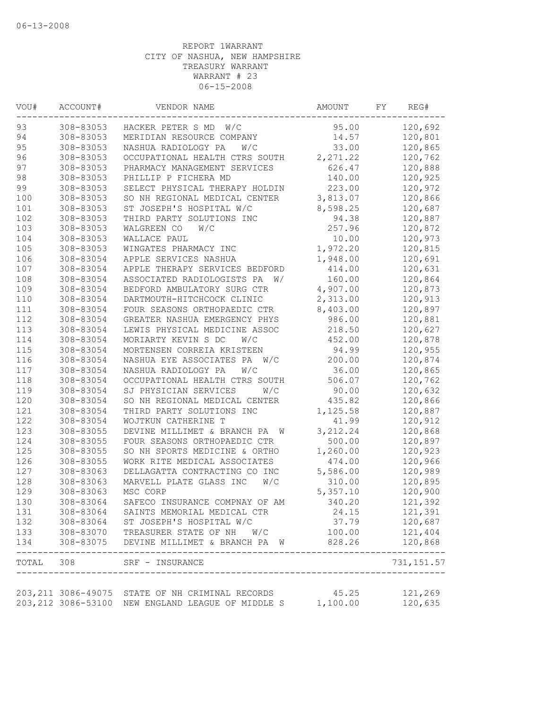| VOU# | ACCOUNT#                                                | VENDOR NAME                                                         | AMOUNT    | FY | REG#                 |
|------|---------------------------------------------------------|---------------------------------------------------------------------|-----------|----|----------------------|
| 93   | 308-83053                                               | HACKER PETER S MD W/C                                               | 95.00     |    | 120,692              |
| 94   | 308-83053                                               | MERIDIAN RESOURCE COMPANY                                           | 14.57     |    | 120,801              |
| 95   | 308-83053                                               | NASHUA RADIOLOGY PA<br>W/C                                          | 33.00     |    | 120,865              |
| 96   | 308-83053                                               | OCCUPATIONAL HEALTH CTRS SOUTH                                      | 2, 271.22 |    | 120,762              |
| 97   | 308-83053                                               | PHARMACY MANAGEMENT SERVICES                                        | 626.47    |    | 120,888              |
| 98   | 308-83053                                               | PHILLIP P FICHERA MD                                                | 140.00    |    | 120,925              |
| 99   | 308-83053                                               | SELECT PHYSICAL THERAPY HOLDIN                                      | 223.00    |    | 120,972              |
| 100  | 308-83053                                               | SO NH REGIONAL MEDICAL CENTER                                       | 3,813.07  |    | 120,866              |
| 101  | 308-83053                                               | ST JOSEPH'S HOSPITAL W/C                                            | 8,598.25  |    | 120,687              |
| 102  | 308-83053                                               | THIRD PARTY SOLUTIONS INC                                           | 94.38     |    | 120,887              |
| 103  | 308-83053                                               | WALGREEN CO<br>W/C                                                  | 257.96    |    | 120,872              |
| 104  | 308-83053                                               | WALLACE PAUL                                                        | 10.00     |    | 120,973              |
| 105  | 308-83053                                               | WINGATES PHARMACY INC                                               | 1,972.20  |    | 120,815              |
| 106  | 308-83054                                               | APPLE SERVICES NASHUA                                               | 1,948.00  |    | 120,691              |
| 107  | 308-83054                                               | APPLE THERAPY SERVICES BEDFORD                                      | 414.00    |    | 120,631              |
| 108  | 308-83054                                               | ASSOCIATED RADIOLOGISTS PA<br>W/                                    | 160.00    |    | 120,864              |
| 109  | 308-83054                                               | BEDFORD AMBULATORY SURG CTR                                         | 4,907.00  |    | 120,873              |
| 110  | 308-83054                                               | DARTMOUTH-HITCHCOCK CLINIC                                          | 2,313.00  |    | 120,913              |
| 111  | 308-83054                                               | FOUR SEASONS ORTHOPAEDIC CTR                                        | 8,403.00  |    | 120,897              |
| 112  | 308-83054                                               | GREATER NASHUA EMERGENCY PHYS                                       | 986.00    |    | 120,881              |
| 113  | 308-83054                                               | LEWIS PHYSICAL MEDICINE ASSOC                                       | 218.50    |    | 120,627              |
| 114  | 308-83054                                               | MORIARTY KEVIN S DC<br>W/C                                          | 452.00    |    | 120,878              |
| 115  | 308-83054                                               | MORTENSEN CORREIA KRISTEEN                                          | 94.99     |    | 120,955              |
| 116  | 308-83054                                               | NASHUA EYE ASSOCIATES PA W/C                                        | 200.00    |    | 120,874              |
| 117  | 308-83054                                               | NASHUA RADIOLOGY PA<br>W/C                                          | 36.00     |    | 120,865              |
| 118  | 308-83054                                               |                                                                     | 506.07    |    | 120,762              |
| 119  |                                                         | OCCUPATIONAL HEALTH CTRS SOUTH<br>W/C                               | 90.00     |    |                      |
|      | 308-83054                                               | SJ PHYSICIAN SERVICES                                               |           |    | 120,632              |
| 120  | 308-83054                                               | SO NH REGIONAL MEDICAL CENTER                                       | 435.82    |    | 120,866              |
| 121  | 308-83054                                               | THIRD PARTY SOLUTIONS INC                                           | 1,125.58  |    | 120,887              |
| 122  | 308-83054                                               | WOJTKUN CATHERINE T                                                 | 41.99     |    | 120,912              |
| 123  | 308-83055                                               | DEVINE MILLIMET & BRANCH PA W                                       | 3, 212.24 |    | 120,868              |
| 124  | 308-83055                                               | FOUR SEASONS ORTHOPAEDIC CTR                                        | 500.00    |    | 120,897              |
| 125  | 308-83055                                               | SO NH SPORTS MEDICINE & ORTHO                                       | 1,260.00  |    | 120,923              |
| 126  | 308-83055                                               | WORK RITE MEDICAL ASSOCIATES                                        | 474.00    |    | 120,966              |
| 127  | 308-83063                                               | DELLAGATTA CONTRACTING CO INC                                       | 5,586.00  |    | 120,989              |
| 128  | 308-83063                                               | MARVELL PLATE GLASS INC<br>W/C                                      | 310.00    |    | 120,895              |
| 129  | 308-83063                                               | MSC CORP                                                            | 5,357.10  |    | 120,900              |
| 130  | 308-83064                                               | SAFECO INSURANCE COMPNAY OF AM                                      | 340.20    |    | 121,392              |
| 131  | 308-83064                                               | SAINTS MEMORIAL MEDICAL CTR                                         | 24.15     |    | 121,391              |
| 132  | 308-83064                                               | ST JOSEPH'S HOSPITAL W/C                                            | 37.79     |    | 120,687              |
| 133  |                                                         | TREASURER STATE OF NH W/C                                           | 100.00    |    | 121,404              |
| 134  | 308-83070<br>308-83075<br>. _ _ _ _ _ _ _ _ _ _ _ _ _ _ | DEVINE MILLIMET & BRANCH PA W                                       | 828.26    |    | 120,868<br>--------- |
|      |                                                         | TOTAL 308 SRF - INSURANCE<br>-------------------------------------- |           |    | 731, 151.57          |
|      |                                                         |                                                                     |           |    |                      |
|      |                                                         | 203,211 3086-49075 STATE OF NH CRIMINAL RECORDS                     | 45.25     |    | 121,269              |
|      |                                                         | 203,212 3086-53100 NEW ENGLAND LEAGUE OF MIDDLE S                   | 1,100.00  |    | 120,635              |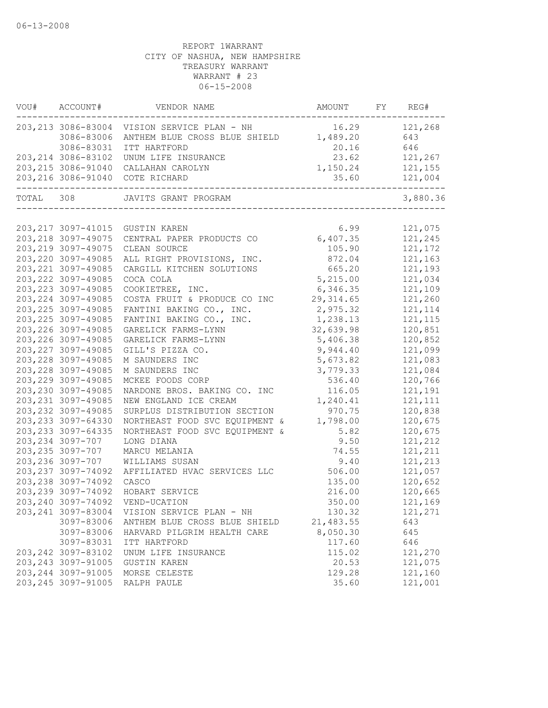| 203, 213 3086-83004 VISION SERVICE PLAN - NH<br>16.29<br>121,268<br>ANTHEM BLUE CROSS BLUE SHIELD 1,489.20<br>3086-83006<br>643<br>646<br>3086-83031<br>ITT HARTFORD<br>20.16<br>23.62<br>203, 214 3086-83102 UNUM LIFE INSURANCE<br>121,267<br>1,150.24<br>203, 215 3086-91040 CALLAHAN CAROLYN<br>121,155<br>35.60<br>121,004<br>203,216 3086-91040 COTE RICHARD<br>TOTAL 308<br>JAVITS GRANT PROGRAM<br>121,075<br>203, 217 3097-41015 GUSTIN KAREN<br>6.99<br>CENTRAL PAPER PRODUCTS CO 6,407.35<br>203, 218 3097-49075<br>121,245<br>203, 219 3097-49075<br>CLEAN SOURCE<br>105.90<br>121,172<br>203, 220 3097-49085<br>121,163<br>ALL RIGHT PROVISIONS, INC.<br>872.04<br>203, 221 3097-49085<br>665.20<br>121,193<br>CARGILL KITCHEN SOLUTIONS<br>203, 222 3097-49085<br>COCA COLA<br>5,215.00<br>121,034<br>203, 223 3097-49085<br>COOKIETREE, INC.<br>6,346.35<br>121,109<br>203, 224 3097-49085<br>29, 314.65<br>121,260<br>COSTA FRUIT & PRODUCE CO INC<br>203, 225 3097-49085<br>2,975.32<br>FANTINI BAKING CO., INC.<br>121, 114<br>203, 225 3097-49085<br>FANTINI BAKING CO., INC.<br>1,238.13<br>121, 115<br>203, 226 3097-49085<br>32,639.98<br>GARELICK FARMS-LYNN<br>120,851<br>203, 226 3097-49085<br>GARELICK FARMS-LYNN<br>5,406.38<br>120,852<br>203, 227 3097-49085<br>GILL'S PIZZA CO.<br>9,944.40<br>121,099<br>203, 228 3097-49085<br>M SAUNDERS INC<br>5,673.82<br>121,083<br>203, 228 3097-49085<br>3,779.33<br>121,084<br>M SAUNDERS INC<br>203, 229 3097-49085<br>120,766<br>MCKEE FOODS CORP<br>536.40<br>NARDONE BROS. BAKING CO. INC<br>203, 230 3097-49085<br>121,191<br>116.05<br>203, 231 3097-49085<br>1,240.41<br>NEW ENGLAND ICE CREAM<br>121, 111<br>203, 232 3097-49085<br>SURPLUS DISTRIBUTION SECTION<br>970.75<br>120,838<br>203, 233 3097-64330<br>NORTHEAST FOOD SVC EQUIPMENT &<br>1,798.00<br>120,675<br>203, 233 3097-64335<br>NORTHEAST FOOD SVC EQUIPMENT &<br>120,675<br>5.82<br>203, 234 3097-707<br>LONG DIANA<br>9.50<br>121,212<br>203, 235 3097-707<br>121,211<br>74.55<br>MARCU MELANIA<br>203, 236 3097-707<br>9.40<br>121,213<br>WILLIAMS SUSAN<br>203, 237 3097-74092<br>506.00<br>121,057<br>AFFILIATED HVAC SERVICES LLC<br>203, 238 3097-74092<br>120,652<br>CASCO<br>135.00<br>203, 239 3097-74092<br>HOBART SERVICE<br>216.00<br>120,665<br>203, 240 3097-74092<br>121,169<br>VEND-UCATION<br>350.00<br>203, 241 3097-83004<br>121,271<br>VISION SERVICE PLAN - NH<br>130.32<br>3097-83006<br>21,483.55<br>643<br>ANTHEM BLUE CROSS BLUE SHIELD<br>3097-83006<br>8,050.30<br>645<br>HARVARD PILGRIM HEALTH CARE<br>3097-83031<br>117.60<br>646<br>ITT HARTFORD<br>203, 242 3097-83102<br>115.02<br>121,270<br>UNUM LIFE INSURANCE<br>203, 243 3097-91005<br>20.53<br>121,075<br><b>GUSTIN KAREN</b><br>203, 244 3097-91005<br>129.28<br>121,160<br>MORSE CELESTE<br>203, 245 3097-91005<br>121,001<br>35.60<br>RALPH PAULE | VOU# | ACCOUNT# | VENDOR NAME | AMOUNT | FY REG#  |
|----------------------------------------------------------------------------------------------------------------------------------------------------------------------------------------------------------------------------------------------------------------------------------------------------------------------------------------------------------------------------------------------------------------------------------------------------------------------------------------------------------------------------------------------------------------------------------------------------------------------------------------------------------------------------------------------------------------------------------------------------------------------------------------------------------------------------------------------------------------------------------------------------------------------------------------------------------------------------------------------------------------------------------------------------------------------------------------------------------------------------------------------------------------------------------------------------------------------------------------------------------------------------------------------------------------------------------------------------------------------------------------------------------------------------------------------------------------------------------------------------------------------------------------------------------------------------------------------------------------------------------------------------------------------------------------------------------------------------------------------------------------------------------------------------------------------------------------------------------------------------------------------------------------------------------------------------------------------------------------------------------------------------------------------------------------------------------------------------------------------------------------------------------------------------------------------------------------------------------------------------------------------------------------------------------------------------------------------------------------------------------------------------------------------------------------------------------------------------------------------------------------------------------------------------------------------------------------------------------------------------------------------------------------------------------------------------------------------------------------------------------------------------------------------------------------------------------------------------------------------------------------------|------|----------|-------------|--------|----------|
|                                                                                                                                                                                                                                                                                                                                                                                                                                                                                                                                                                                                                                                                                                                                                                                                                                                                                                                                                                                                                                                                                                                                                                                                                                                                                                                                                                                                                                                                                                                                                                                                                                                                                                                                                                                                                                                                                                                                                                                                                                                                                                                                                                                                                                                                                                                                                                                                                                                                                                                                                                                                                                                                                                                                                                                                                                                                                              |      |          |             |        |          |
|                                                                                                                                                                                                                                                                                                                                                                                                                                                                                                                                                                                                                                                                                                                                                                                                                                                                                                                                                                                                                                                                                                                                                                                                                                                                                                                                                                                                                                                                                                                                                                                                                                                                                                                                                                                                                                                                                                                                                                                                                                                                                                                                                                                                                                                                                                                                                                                                                                                                                                                                                                                                                                                                                                                                                                                                                                                                                              |      |          |             |        |          |
|                                                                                                                                                                                                                                                                                                                                                                                                                                                                                                                                                                                                                                                                                                                                                                                                                                                                                                                                                                                                                                                                                                                                                                                                                                                                                                                                                                                                                                                                                                                                                                                                                                                                                                                                                                                                                                                                                                                                                                                                                                                                                                                                                                                                                                                                                                                                                                                                                                                                                                                                                                                                                                                                                                                                                                                                                                                                                              |      |          |             |        |          |
|                                                                                                                                                                                                                                                                                                                                                                                                                                                                                                                                                                                                                                                                                                                                                                                                                                                                                                                                                                                                                                                                                                                                                                                                                                                                                                                                                                                                                                                                                                                                                                                                                                                                                                                                                                                                                                                                                                                                                                                                                                                                                                                                                                                                                                                                                                                                                                                                                                                                                                                                                                                                                                                                                                                                                                                                                                                                                              |      |          |             |        |          |
|                                                                                                                                                                                                                                                                                                                                                                                                                                                                                                                                                                                                                                                                                                                                                                                                                                                                                                                                                                                                                                                                                                                                                                                                                                                                                                                                                                                                                                                                                                                                                                                                                                                                                                                                                                                                                                                                                                                                                                                                                                                                                                                                                                                                                                                                                                                                                                                                                                                                                                                                                                                                                                                                                                                                                                                                                                                                                              |      |          |             |        |          |
|                                                                                                                                                                                                                                                                                                                                                                                                                                                                                                                                                                                                                                                                                                                                                                                                                                                                                                                                                                                                                                                                                                                                                                                                                                                                                                                                                                                                                                                                                                                                                                                                                                                                                                                                                                                                                                                                                                                                                                                                                                                                                                                                                                                                                                                                                                                                                                                                                                                                                                                                                                                                                                                                                                                                                                                                                                                                                              |      |          |             |        |          |
|                                                                                                                                                                                                                                                                                                                                                                                                                                                                                                                                                                                                                                                                                                                                                                                                                                                                                                                                                                                                                                                                                                                                                                                                                                                                                                                                                                                                                                                                                                                                                                                                                                                                                                                                                                                                                                                                                                                                                                                                                                                                                                                                                                                                                                                                                                                                                                                                                                                                                                                                                                                                                                                                                                                                                                                                                                                                                              |      |          |             |        | 3,880.36 |
|                                                                                                                                                                                                                                                                                                                                                                                                                                                                                                                                                                                                                                                                                                                                                                                                                                                                                                                                                                                                                                                                                                                                                                                                                                                                                                                                                                                                                                                                                                                                                                                                                                                                                                                                                                                                                                                                                                                                                                                                                                                                                                                                                                                                                                                                                                                                                                                                                                                                                                                                                                                                                                                                                                                                                                                                                                                                                              |      |          |             |        |          |
|                                                                                                                                                                                                                                                                                                                                                                                                                                                                                                                                                                                                                                                                                                                                                                                                                                                                                                                                                                                                                                                                                                                                                                                                                                                                                                                                                                                                                                                                                                                                                                                                                                                                                                                                                                                                                                                                                                                                                                                                                                                                                                                                                                                                                                                                                                                                                                                                                                                                                                                                                                                                                                                                                                                                                                                                                                                                                              |      |          |             |        |          |
|                                                                                                                                                                                                                                                                                                                                                                                                                                                                                                                                                                                                                                                                                                                                                                                                                                                                                                                                                                                                                                                                                                                                                                                                                                                                                                                                                                                                                                                                                                                                                                                                                                                                                                                                                                                                                                                                                                                                                                                                                                                                                                                                                                                                                                                                                                                                                                                                                                                                                                                                                                                                                                                                                                                                                                                                                                                                                              |      |          |             |        |          |
|                                                                                                                                                                                                                                                                                                                                                                                                                                                                                                                                                                                                                                                                                                                                                                                                                                                                                                                                                                                                                                                                                                                                                                                                                                                                                                                                                                                                                                                                                                                                                                                                                                                                                                                                                                                                                                                                                                                                                                                                                                                                                                                                                                                                                                                                                                                                                                                                                                                                                                                                                                                                                                                                                                                                                                                                                                                                                              |      |          |             |        |          |
|                                                                                                                                                                                                                                                                                                                                                                                                                                                                                                                                                                                                                                                                                                                                                                                                                                                                                                                                                                                                                                                                                                                                                                                                                                                                                                                                                                                                                                                                                                                                                                                                                                                                                                                                                                                                                                                                                                                                                                                                                                                                                                                                                                                                                                                                                                                                                                                                                                                                                                                                                                                                                                                                                                                                                                                                                                                                                              |      |          |             |        |          |
|                                                                                                                                                                                                                                                                                                                                                                                                                                                                                                                                                                                                                                                                                                                                                                                                                                                                                                                                                                                                                                                                                                                                                                                                                                                                                                                                                                                                                                                                                                                                                                                                                                                                                                                                                                                                                                                                                                                                                                                                                                                                                                                                                                                                                                                                                                                                                                                                                                                                                                                                                                                                                                                                                                                                                                                                                                                                                              |      |          |             |        |          |
|                                                                                                                                                                                                                                                                                                                                                                                                                                                                                                                                                                                                                                                                                                                                                                                                                                                                                                                                                                                                                                                                                                                                                                                                                                                                                                                                                                                                                                                                                                                                                                                                                                                                                                                                                                                                                                                                                                                                                                                                                                                                                                                                                                                                                                                                                                                                                                                                                                                                                                                                                                                                                                                                                                                                                                                                                                                                                              |      |          |             |        |          |
|                                                                                                                                                                                                                                                                                                                                                                                                                                                                                                                                                                                                                                                                                                                                                                                                                                                                                                                                                                                                                                                                                                                                                                                                                                                                                                                                                                                                                                                                                                                                                                                                                                                                                                                                                                                                                                                                                                                                                                                                                                                                                                                                                                                                                                                                                                                                                                                                                                                                                                                                                                                                                                                                                                                                                                                                                                                                                              |      |          |             |        |          |
|                                                                                                                                                                                                                                                                                                                                                                                                                                                                                                                                                                                                                                                                                                                                                                                                                                                                                                                                                                                                                                                                                                                                                                                                                                                                                                                                                                                                                                                                                                                                                                                                                                                                                                                                                                                                                                                                                                                                                                                                                                                                                                                                                                                                                                                                                                                                                                                                                                                                                                                                                                                                                                                                                                                                                                                                                                                                                              |      |          |             |        |          |
|                                                                                                                                                                                                                                                                                                                                                                                                                                                                                                                                                                                                                                                                                                                                                                                                                                                                                                                                                                                                                                                                                                                                                                                                                                                                                                                                                                                                                                                                                                                                                                                                                                                                                                                                                                                                                                                                                                                                                                                                                                                                                                                                                                                                                                                                                                                                                                                                                                                                                                                                                                                                                                                                                                                                                                                                                                                                                              |      |          |             |        |          |
|                                                                                                                                                                                                                                                                                                                                                                                                                                                                                                                                                                                                                                                                                                                                                                                                                                                                                                                                                                                                                                                                                                                                                                                                                                                                                                                                                                                                                                                                                                                                                                                                                                                                                                                                                                                                                                                                                                                                                                                                                                                                                                                                                                                                                                                                                                                                                                                                                                                                                                                                                                                                                                                                                                                                                                                                                                                                                              |      |          |             |        |          |
|                                                                                                                                                                                                                                                                                                                                                                                                                                                                                                                                                                                                                                                                                                                                                                                                                                                                                                                                                                                                                                                                                                                                                                                                                                                                                                                                                                                                                                                                                                                                                                                                                                                                                                                                                                                                                                                                                                                                                                                                                                                                                                                                                                                                                                                                                                                                                                                                                                                                                                                                                                                                                                                                                                                                                                                                                                                                                              |      |          |             |        |          |
|                                                                                                                                                                                                                                                                                                                                                                                                                                                                                                                                                                                                                                                                                                                                                                                                                                                                                                                                                                                                                                                                                                                                                                                                                                                                                                                                                                                                                                                                                                                                                                                                                                                                                                                                                                                                                                                                                                                                                                                                                                                                                                                                                                                                                                                                                                                                                                                                                                                                                                                                                                                                                                                                                                                                                                                                                                                                                              |      |          |             |        |          |
|                                                                                                                                                                                                                                                                                                                                                                                                                                                                                                                                                                                                                                                                                                                                                                                                                                                                                                                                                                                                                                                                                                                                                                                                                                                                                                                                                                                                                                                                                                                                                                                                                                                                                                                                                                                                                                                                                                                                                                                                                                                                                                                                                                                                                                                                                                                                                                                                                                                                                                                                                                                                                                                                                                                                                                                                                                                                                              |      |          |             |        |          |
|                                                                                                                                                                                                                                                                                                                                                                                                                                                                                                                                                                                                                                                                                                                                                                                                                                                                                                                                                                                                                                                                                                                                                                                                                                                                                                                                                                                                                                                                                                                                                                                                                                                                                                                                                                                                                                                                                                                                                                                                                                                                                                                                                                                                                                                                                                                                                                                                                                                                                                                                                                                                                                                                                                                                                                                                                                                                                              |      |          |             |        |          |
|                                                                                                                                                                                                                                                                                                                                                                                                                                                                                                                                                                                                                                                                                                                                                                                                                                                                                                                                                                                                                                                                                                                                                                                                                                                                                                                                                                                                                                                                                                                                                                                                                                                                                                                                                                                                                                                                                                                                                                                                                                                                                                                                                                                                                                                                                                                                                                                                                                                                                                                                                                                                                                                                                                                                                                                                                                                                                              |      |          |             |        |          |
|                                                                                                                                                                                                                                                                                                                                                                                                                                                                                                                                                                                                                                                                                                                                                                                                                                                                                                                                                                                                                                                                                                                                                                                                                                                                                                                                                                                                                                                                                                                                                                                                                                                                                                                                                                                                                                                                                                                                                                                                                                                                                                                                                                                                                                                                                                                                                                                                                                                                                                                                                                                                                                                                                                                                                                                                                                                                                              |      |          |             |        |          |
|                                                                                                                                                                                                                                                                                                                                                                                                                                                                                                                                                                                                                                                                                                                                                                                                                                                                                                                                                                                                                                                                                                                                                                                                                                                                                                                                                                                                                                                                                                                                                                                                                                                                                                                                                                                                                                                                                                                                                                                                                                                                                                                                                                                                                                                                                                                                                                                                                                                                                                                                                                                                                                                                                                                                                                                                                                                                                              |      |          |             |        |          |
|                                                                                                                                                                                                                                                                                                                                                                                                                                                                                                                                                                                                                                                                                                                                                                                                                                                                                                                                                                                                                                                                                                                                                                                                                                                                                                                                                                                                                                                                                                                                                                                                                                                                                                                                                                                                                                                                                                                                                                                                                                                                                                                                                                                                                                                                                                                                                                                                                                                                                                                                                                                                                                                                                                                                                                                                                                                                                              |      |          |             |        |          |
|                                                                                                                                                                                                                                                                                                                                                                                                                                                                                                                                                                                                                                                                                                                                                                                                                                                                                                                                                                                                                                                                                                                                                                                                                                                                                                                                                                                                                                                                                                                                                                                                                                                                                                                                                                                                                                                                                                                                                                                                                                                                                                                                                                                                                                                                                                                                                                                                                                                                                                                                                                                                                                                                                                                                                                                                                                                                                              |      |          |             |        |          |
|                                                                                                                                                                                                                                                                                                                                                                                                                                                                                                                                                                                                                                                                                                                                                                                                                                                                                                                                                                                                                                                                                                                                                                                                                                                                                                                                                                                                                                                                                                                                                                                                                                                                                                                                                                                                                                                                                                                                                                                                                                                                                                                                                                                                                                                                                                                                                                                                                                                                                                                                                                                                                                                                                                                                                                                                                                                                                              |      |          |             |        |          |
|                                                                                                                                                                                                                                                                                                                                                                                                                                                                                                                                                                                                                                                                                                                                                                                                                                                                                                                                                                                                                                                                                                                                                                                                                                                                                                                                                                                                                                                                                                                                                                                                                                                                                                                                                                                                                                                                                                                                                                                                                                                                                                                                                                                                                                                                                                                                                                                                                                                                                                                                                                                                                                                                                                                                                                                                                                                                                              |      |          |             |        |          |
|                                                                                                                                                                                                                                                                                                                                                                                                                                                                                                                                                                                                                                                                                                                                                                                                                                                                                                                                                                                                                                                                                                                                                                                                                                                                                                                                                                                                                                                                                                                                                                                                                                                                                                                                                                                                                                                                                                                                                                                                                                                                                                                                                                                                                                                                                                                                                                                                                                                                                                                                                                                                                                                                                                                                                                                                                                                                                              |      |          |             |        |          |
|                                                                                                                                                                                                                                                                                                                                                                                                                                                                                                                                                                                                                                                                                                                                                                                                                                                                                                                                                                                                                                                                                                                                                                                                                                                                                                                                                                                                                                                                                                                                                                                                                                                                                                                                                                                                                                                                                                                                                                                                                                                                                                                                                                                                                                                                                                                                                                                                                                                                                                                                                                                                                                                                                                                                                                                                                                                                                              |      |          |             |        |          |
|                                                                                                                                                                                                                                                                                                                                                                                                                                                                                                                                                                                                                                                                                                                                                                                                                                                                                                                                                                                                                                                                                                                                                                                                                                                                                                                                                                                                                                                                                                                                                                                                                                                                                                                                                                                                                                                                                                                                                                                                                                                                                                                                                                                                                                                                                                                                                                                                                                                                                                                                                                                                                                                                                                                                                                                                                                                                                              |      |          |             |        |          |
|                                                                                                                                                                                                                                                                                                                                                                                                                                                                                                                                                                                                                                                                                                                                                                                                                                                                                                                                                                                                                                                                                                                                                                                                                                                                                                                                                                                                                                                                                                                                                                                                                                                                                                                                                                                                                                                                                                                                                                                                                                                                                                                                                                                                                                                                                                                                                                                                                                                                                                                                                                                                                                                                                                                                                                                                                                                                                              |      |          |             |        |          |
|                                                                                                                                                                                                                                                                                                                                                                                                                                                                                                                                                                                                                                                                                                                                                                                                                                                                                                                                                                                                                                                                                                                                                                                                                                                                                                                                                                                                                                                                                                                                                                                                                                                                                                                                                                                                                                                                                                                                                                                                                                                                                                                                                                                                                                                                                                                                                                                                                                                                                                                                                                                                                                                                                                                                                                                                                                                                                              |      |          |             |        |          |
|                                                                                                                                                                                                                                                                                                                                                                                                                                                                                                                                                                                                                                                                                                                                                                                                                                                                                                                                                                                                                                                                                                                                                                                                                                                                                                                                                                                                                                                                                                                                                                                                                                                                                                                                                                                                                                                                                                                                                                                                                                                                                                                                                                                                                                                                                                                                                                                                                                                                                                                                                                                                                                                                                                                                                                                                                                                                                              |      |          |             |        |          |
|                                                                                                                                                                                                                                                                                                                                                                                                                                                                                                                                                                                                                                                                                                                                                                                                                                                                                                                                                                                                                                                                                                                                                                                                                                                                                                                                                                                                                                                                                                                                                                                                                                                                                                                                                                                                                                                                                                                                                                                                                                                                                                                                                                                                                                                                                                                                                                                                                                                                                                                                                                                                                                                                                                                                                                                                                                                                                              |      |          |             |        |          |
|                                                                                                                                                                                                                                                                                                                                                                                                                                                                                                                                                                                                                                                                                                                                                                                                                                                                                                                                                                                                                                                                                                                                                                                                                                                                                                                                                                                                                                                                                                                                                                                                                                                                                                                                                                                                                                                                                                                                                                                                                                                                                                                                                                                                                                                                                                                                                                                                                                                                                                                                                                                                                                                                                                                                                                                                                                                                                              |      |          |             |        |          |
|                                                                                                                                                                                                                                                                                                                                                                                                                                                                                                                                                                                                                                                                                                                                                                                                                                                                                                                                                                                                                                                                                                                                                                                                                                                                                                                                                                                                                                                                                                                                                                                                                                                                                                                                                                                                                                                                                                                                                                                                                                                                                                                                                                                                                                                                                                                                                                                                                                                                                                                                                                                                                                                                                                                                                                                                                                                                                              |      |          |             |        |          |
|                                                                                                                                                                                                                                                                                                                                                                                                                                                                                                                                                                                                                                                                                                                                                                                                                                                                                                                                                                                                                                                                                                                                                                                                                                                                                                                                                                                                                                                                                                                                                                                                                                                                                                                                                                                                                                                                                                                                                                                                                                                                                                                                                                                                                                                                                                                                                                                                                                                                                                                                                                                                                                                                                                                                                                                                                                                                                              |      |          |             |        |          |
|                                                                                                                                                                                                                                                                                                                                                                                                                                                                                                                                                                                                                                                                                                                                                                                                                                                                                                                                                                                                                                                                                                                                                                                                                                                                                                                                                                                                                                                                                                                                                                                                                                                                                                                                                                                                                                                                                                                                                                                                                                                                                                                                                                                                                                                                                                                                                                                                                                                                                                                                                                                                                                                                                                                                                                                                                                                                                              |      |          |             |        |          |
|                                                                                                                                                                                                                                                                                                                                                                                                                                                                                                                                                                                                                                                                                                                                                                                                                                                                                                                                                                                                                                                                                                                                                                                                                                                                                                                                                                                                                                                                                                                                                                                                                                                                                                                                                                                                                                                                                                                                                                                                                                                                                                                                                                                                                                                                                                                                                                                                                                                                                                                                                                                                                                                                                                                                                                                                                                                                                              |      |          |             |        |          |
|                                                                                                                                                                                                                                                                                                                                                                                                                                                                                                                                                                                                                                                                                                                                                                                                                                                                                                                                                                                                                                                                                                                                                                                                                                                                                                                                                                                                                                                                                                                                                                                                                                                                                                                                                                                                                                                                                                                                                                                                                                                                                                                                                                                                                                                                                                                                                                                                                                                                                                                                                                                                                                                                                                                                                                                                                                                                                              |      |          |             |        |          |
|                                                                                                                                                                                                                                                                                                                                                                                                                                                                                                                                                                                                                                                                                                                                                                                                                                                                                                                                                                                                                                                                                                                                                                                                                                                                                                                                                                                                                                                                                                                                                                                                                                                                                                                                                                                                                                                                                                                                                                                                                                                                                                                                                                                                                                                                                                                                                                                                                                                                                                                                                                                                                                                                                                                                                                                                                                                                                              |      |          |             |        |          |
|                                                                                                                                                                                                                                                                                                                                                                                                                                                                                                                                                                                                                                                                                                                                                                                                                                                                                                                                                                                                                                                                                                                                                                                                                                                                                                                                                                                                                                                                                                                                                                                                                                                                                                                                                                                                                                                                                                                                                                                                                                                                                                                                                                                                                                                                                                                                                                                                                                                                                                                                                                                                                                                                                                                                                                                                                                                                                              |      |          |             |        |          |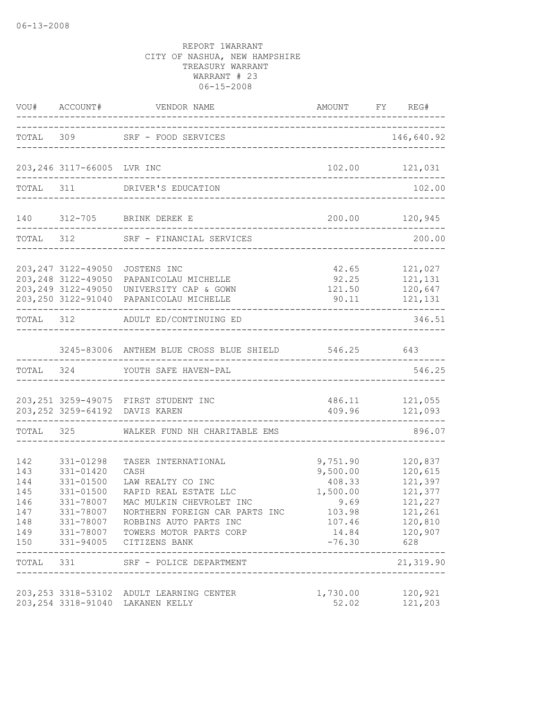|                                               |                                                                            | VOU# ACCOUNT# VENDOR NAME AMOUNT FY RI                                                                                                                                                                                                              | AMOUNT FY REG#                                                               |                                                                                                                     |
|-----------------------------------------------|----------------------------------------------------------------------------|-----------------------------------------------------------------------------------------------------------------------------------------------------------------------------------------------------------------------------------------------------|------------------------------------------------------------------------------|---------------------------------------------------------------------------------------------------------------------|
|                                               |                                                                            | TOTAL 309 SRF - FOOD SERVICES                                                                                                                                                                                                                       |                                                                              | 146,640.92                                                                                                          |
|                                               | 203,246 3117-66005 LVR INC                                                 |                                                                                                                                                                                                                                                     |                                                                              | 102.00 121,031                                                                                                      |
|                                               |                                                                            | TOTAL 311 DRIVER'S EDUCATION                                                                                                                                                                                                                        |                                                                              | 102.00                                                                                                              |
|                                               |                                                                            | 140 312-705 BRINK DEREK E                                                                                                                                                                                                                           | ______________________________________                                       | 200.00 120,945                                                                                                      |
|                                               |                                                                            | TOTAL 312 SRF - FINANCIAL SERVICES<br>______________________________________                                                                                                                                                                        |                                                                              | 200.00                                                                                                              |
|                                               | 203, 247 3122-49050                                                        | JOSTENS INC<br>203, 248 3122-49050 PAPANICOLAU MICHELLE<br>203,249 3122-49050 UNIVERSITY CAP & GOWN<br>203, 250 3122-91040 PAPANICOLAU MICHELLE                                                                                                     | 42.65<br>121.50 120,647                                                      | 121,027<br>92.25 121,131<br>90.11 121,131                                                                           |
|                                               |                                                                            | ----------------------------------<br>TOTAL 312 ADULT ED/CONTINUING ED                                                                                                                                                                              |                                                                              | 346.51                                                                                                              |
|                                               |                                                                            | 3245-83006 ANTHEM BLUE CROSS BLUE SHIELD 546.25 643                                                                                                                                                                                                 |                                                                              |                                                                                                                     |
|                                               |                                                                            | TOTAL 324 YOUTH SAFE HAVEN-PAL                                                                                                                                                                                                                      |                                                                              | 546.25                                                                                                              |
|                                               |                                                                            | 203, 251 3259-49075 FIRST STUDENT INC<br>203, 252 3259-64192 DAVIS KAREN                                                                                                                                                                            |                                                                              | 486.11 121,055<br>409.96 121,093                                                                                    |
|                                               |                                                                            | TOTAL 325 WALKER FUND NH CHARITABLE EMS                                                                                                                                                                                                             |                                                                              | 896.07                                                                                                              |
| 142<br>143<br>144<br>145<br>146<br>147<br>150 | 331-01298<br>331-01420<br>331-01500<br>331-01500<br>331-78007<br>331-78007 | TASER INTERNATIONAL<br>CASH<br>LAW REALTY CO INC<br>RAPID REAL ESTATE LLC<br>MAC MULKIN CHEVROLET INC<br>NORTHERN FOREIGN CAR PARTS INC<br>148 331-78007 ROBBINS AUTO PARTS INC<br>149 331-78007 TOWERS MOTOR PARTS CORP<br>331-94005 CITIZENS BANK | 9,751.90<br>9,500.00<br>408.33<br>1,500.00<br>9.69<br>103.98<br>$-76.30$ 628 | 120,837<br>120,615<br>121,397<br>121,377<br>121,227<br>121,261<br>107.46 120,810<br>14.84 120,907<br>-------------- |
|                                               |                                                                            | TOTAL 331 SRF - POLICE DEPARTMENT                                                                                                                                                                                                                   |                                                                              | 21,319.90                                                                                                           |
|                                               |                                                                            | 203, 253 3318-53102 ADULT LEARNING CENTER<br>203, 254 3318-91040 LAKANEN KELLY                                                                                                                                                                      | 1,730.00<br>52.02                                                            | 120,921<br>121,203                                                                                                  |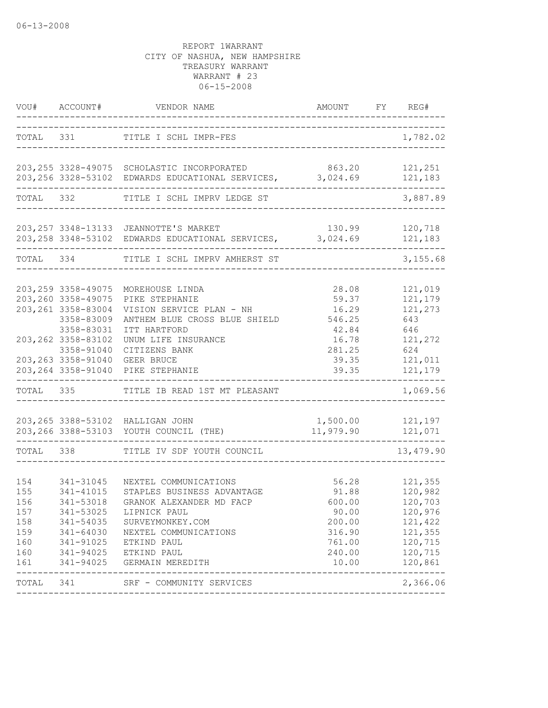| VOU#                                                        | ACCOUNT#                                                                                                                           | VENDOR NAME                                                                                                                                                                                    | AMOUNT                                                                             | FY REG#                                                                                         |
|-------------------------------------------------------------|------------------------------------------------------------------------------------------------------------------------------------|------------------------------------------------------------------------------------------------------------------------------------------------------------------------------------------------|------------------------------------------------------------------------------------|-------------------------------------------------------------------------------------------------|
|                                                             |                                                                                                                                    | TOTAL 331 TITLE I SCHL IMPR-FES                                                                                                                                                                |                                                                                    | 1,782.02                                                                                        |
|                                                             |                                                                                                                                    | 203, 255 3328-49075 SCHOLASTIC INCORPORATED<br>203,256 3328-53102 EDWARDS EDUCATIONAL SERVICES, 3,024.69                                                                                       | 863.20                                                                             | 121,251<br>121,183                                                                              |
|                                                             | TOTAL 332                                                                                                                          | TITLE I SCHL IMPRV LEDGE ST                                                                                                                                                                    |                                                                                    | 3,887.89                                                                                        |
|                                                             |                                                                                                                                    | 203, 257 3348-13133 JEANNOTTE'S MARKET<br>203, 258 3348-53102 EDWARDS EDUCATIONAL SERVICES, 3, 024.69                                                                                          | 130.99                                                                             | 120,718<br>121,183                                                                              |
| TOTAL 334                                                   |                                                                                                                                    | TITLE I SCHL IMPRV AMHERST ST                                                                                                                                                                  |                                                                                    | 3,155.68                                                                                        |
|                                                             | 203, 259 3358-49075<br>203, 260 3358-49075<br>203, 261 3358-83004<br>3358-83009<br>3358-83031<br>203, 262 3358-83102<br>3358-91040 | MOREHOUSE LINDA<br>PIKE STEPHANIE<br>VISION SERVICE PLAN - NH<br>ANTHEM BLUE CROSS BLUE SHIELD<br>ITT HARTFORD<br>UNUM LIFE INSURANCE                                                          | 28.08<br>59.37<br>16.29<br>546.25<br>42.84<br>16.78<br>281.25                      | 121,019<br>121,179<br>121,273<br>643<br>646<br>121,272<br>624                                   |
|                                                             | 203, 263 3358-91040<br>203, 264 3358-91040                                                                                         | CITIZENS BANK<br><b>GEER BRUCE</b><br>PIKE STEPHANIE                                                                                                                                           | 39.35<br>39.35                                                                     | 121,011<br>121,179                                                                              |
| TOTAL                                                       | 335                                                                                                                                | TITLE IB READ 1ST MT PLEASANT                                                                                                                                                                  |                                                                                    | 1,069.56                                                                                        |
|                                                             |                                                                                                                                    | 203, 265 3388-53102 HALLIGAN JOHN<br>203, 266 3388-53103 YOUTH COUNCIL (THE)                                                                                                                   | 1,500.00<br>11,979.90                                                              | 121,197<br>121,071                                                                              |
| TOTAL                                                       | 338                                                                                                                                | TITLE IV SDF YOUTH COUNCIL                                                                                                                                                                     |                                                                                    | 13,479.90                                                                                       |
| 154<br>155<br>156<br>157<br>158<br>159<br>160<br>160<br>161 | 341-31045<br>341-41015<br>341-53018<br>341-53025<br>341-54035<br>341-64030<br>341-91025<br>341-94025<br>341-94025                  | NEXTEL COMMUNICATIONS<br>STAPLES BUSINESS ADVANTAGE<br>GRANOK ALEXANDER MD FACP<br>LIPNICK PAUL<br>SURVEYMONKEY.COM<br>NEXTEL COMMUNICATIONS<br>ETKIND PAUL<br>ETKIND PAUL<br>GERMAIN MEREDITH | 56.28<br>91.88<br>600.00<br>90.00<br>200.00<br>316.90<br>761.00<br>240.00<br>10.00 | 121,355<br>120,982<br>120,703<br>120,976<br>121,422<br>121,355<br>120,715<br>120,715<br>120,861 |
| TOTAL 341                                                   |                                                                                                                                    | SRF - COMMUNITY SERVICES                                                                                                                                                                       |                                                                                    | 2,366.06                                                                                        |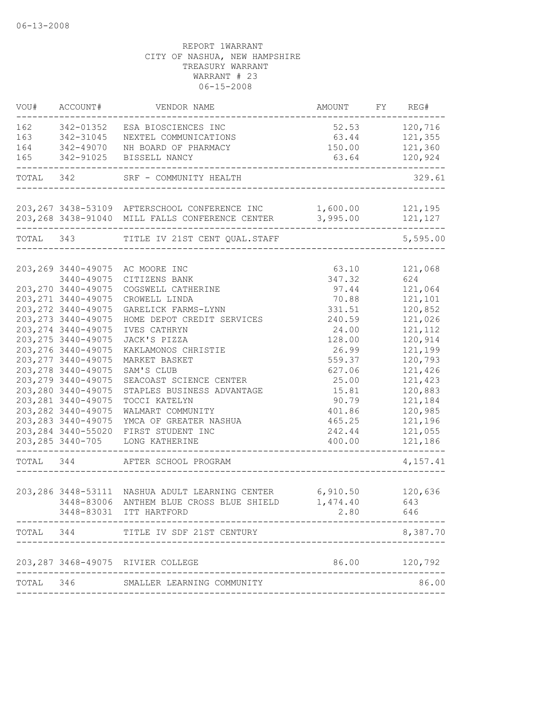| --------- | VOU# ACCOUNT#       | VENDOR NAME                                                      | AMOUNT FY REG# |                |
|-----------|---------------------|------------------------------------------------------------------|----------------|----------------|
|           | 162 342-01352       | ESA BIOSCIENCES INC                                              | 52.53 120,716  |                |
| 163       | 342-31045           | NEXTEL COMMUNICATIONS                                            | 63.44 121,355  |                |
| 164       | 342-49070           | NH BOARD OF PHARMACY                                             |                | 150.00 121,360 |
| 165       | 342-91025           | BISSELL NANCY                                                    | 63.64          | 120,924        |
| TOTAL 342 |                     | SRF - COMMUNITY HEALTH                                           |                | 329.61         |
|           |                     | 203,267 3438-53109 AFTERSCHOOL CONFERENCE INC 1,600.00 121,195   |                |                |
|           |                     | 203,268 3438-91040 MILL FALLS CONFERENCE CENTER 3,995.00 121,127 |                |                |
| TOTAL 343 |                     | TITLE IV 21ST CENT QUAL.STAFF                                    |                | 5,595.00       |
|           | 203, 269 3440-49075 | AC MOORE INC                                                     | 63.10          | 121,068        |
|           | 3440-49075          | CITIZENS BANK                                                    | 347.32         | 624            |
|           | 203, 270 3440-49075 | COGSWELL CATHERINE                                               | 97.44          | 121,064        |
|           | 203, 271 3440-49075 | CROWELL LINDA                                                    | 70.88          | 121,101        |
|           | 203, 272 3440-49075 | GARELICK FARMS-LYNN                                              | 331.51         | 120,852        |
|           | 203, 273 3440-49075 | HOME DEPOT CREDIT SERVICES                                       | 240.59         | 121,026        |
|           | 203, 274 3440-49075 | IVES CATHRYN                                                     | 24.00          | 121, 112       |
|           | 203, 275 3440-49075 | JACK'S PIZZA                                                     | 128.00         | 120,914        |
|           | 203, 276 3440-49075 | KAKLAMONOS CHRISTIE                                              | 26.99          | 121,199        |
|           | 203, 277 3440-49075 | MARKET BASKET                                                    | 559.37         | 120,793        |
|           | 203, 278 3440-49075 | SAM'S CLUB                                                       | 627.06         | 121,426        |
|           | 203, 279 3440-49075 | SEACOAST SCIENCE CENTER                                          | 25.00          | 121,423        |
|           | 203, 280 3440-49075 | STAPLES BUSINESS ADVANTAGE                                       | 15.81          | 120,883        |
|           | 203, 281 3440-49075 | TOCCI KATELYN                                                    | 90.79          | 121,184        |
|           | 203, 282 3440-49075 | WALMART COMMUNITY                                                | 401.86         | 120,985        |
|           | 203, 283 3440-49075 | YMCA OF GREATER NASHUA                                           | 465.25         | 121,196        |
|           | 203, 284 3440-55020 | FIRST STUDENT INC                                                | 242.44         | 121,055        |
|           | 203, 285 3440-705   | LONG KATHERINE                                                   | 400.00         | 121,186        |
| TOTAL 344 |                     | AFTER SCHOOL PROGRAM                                             |                | 4,157.41       |
|           |                     | 203,286 3448-53111 NASHUA ADULT LEARNING CENTER 6,910.50 120,636 |                |                |
|           |                     | 3448-83006 ANTHEM BLUE CROSS BLUE SHIELD                         | 1,474.40       | 643            |
|           |                     | 3448-83031 ITT HARTFORD                                          | 2.80           | 646            |
| TOTAL     | 344                 | TITLE IV SDF 21ST CENTURY                                        |                | 8,387.70       |
|           |                     | 203, 287 3468-49075 RIVIER COLLEGE                               | 86.00          | 120,792        |
| TOTAL     | 346                 | ---------------<br>SMALLER LEARNING COMMUNITY                    |                | 86.00          |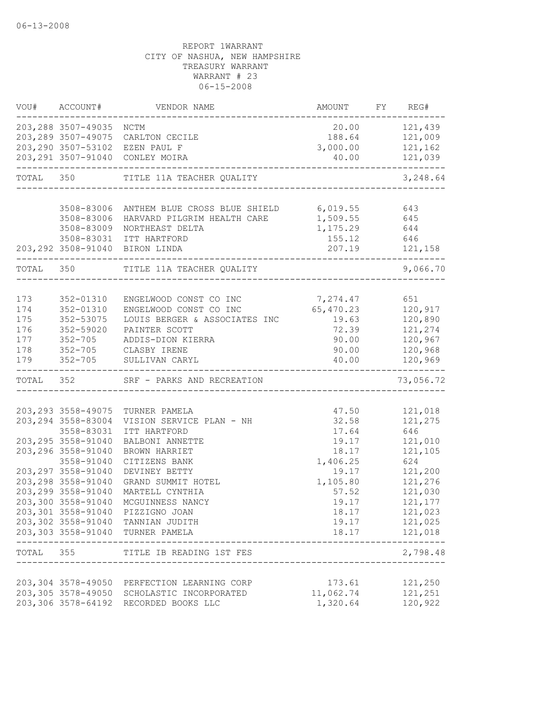|     |                                   | VOU# ACCOUNT# VENDOR NAME                             | AMOUNT FY REG#   |                          |
|-----|-----------------------------------|-------------------------------------------------------|------------------|--------------------------|
|     | 203,288 3507-49035 NCTM           |                                                       | 20.00 121,439    |                          |
|     |                                   | 203,289 3507-49075 CARLTON CECILE                     |                  | 188.64 121,009           |
|     |                                   | 203,290 3507-53102 EZEN PAUL F                        | 3,000.00 121,162 |                          |
|     |                                   | 203,291 3507-91040 CONLEY MOIRA                       |                  | 40.00 121,039            |
|     |                                   | TOTAL 350 TITLE 11A TEACHER QUALITY                   |                  | 3,248.64                 |
|     |                                   | 3508-83006 ANTHEM BLUE CROSS BLUE SHIELD 6,019.55 643 |                  |                          |
|     | 3508-83006                        | HARVARD PILGRIM HEALTH CARE                           | 1,509.55 645     |                          |
|     | 3508-83009                        | NORTHEAST DELTA                                       | 1, 175.29 644    |                          |
|     |                                   | 3508-83031 ITT HARTFORD                               | 155.12 646       |                          |
|     |                                   | 203, 292 3508-91040 BIRON LINDA                       |                  |                          |
|     |                                   | TOTAL 350 TITLE 11A TEACHER QUALITY                   |                  | 9,066.70                 |
|     |                                   |                                                       |                  |                          |
| 173 | 352-01310                         | ENGELWOOD CONST CO INC                                | 7,274.47         | 651                      |
| 174 | 352-01310                         | ENGELWOOD CONST CO INC                                | 65, 470.23       | 120,917                  |
| 175 | 352-53075                         | LOUIS BERGER & ASSOCIATES INC                         | 19.63            | 120,890                  |
| 176 | 352-59020                         | PAINTER SCOTT                                         |                  | 72.39 121,274            |
| 177 | $352 - 705$                       | ADDIS-DION KIERRA                                     | 90.00            | 120,967                  |
| 178 |                                   | 352-705 CLASBY IRENE                                  | 90.00            | 120,968                  |
| 179 |                                   | 352-705 SULLIVAN CARYL                                | 40.00            | 120,969                  |
|     |                                   | TOTAL 352 SRF - PARKS AND RECREATION                  |                  | 73,056.72                |
|     |                                   |                                                       |                  |                          |
|     | 203, 293 3558-49075               | TURNER PAMELA                                         | 47.50            | 121,018                  |
|     | 203, 294 3558-83004               | VISION SERVICE PLAN - NH                              | 32.58            | 121,275                  |
|     | 3558-83031<br>203, 295 3558-91040 | ITT HARTFORD<br>BALBONI ANNETTE                       | 17.64            | 646<br>121,010           |
|     | 203, 296 3558-91040               |                                                       | 19.17<br>18.17   | 121,105                  |
|     | 3558-91040                        | BROWN HARRIET<br>CITIZENS BANK                        | 1,406.25         | 624                      |
|     | 203, 297 3558-91040               | DEVINEY BETTY                                         | 19.17            | 121,200                  |
|     | 203, 298 3558-91040               | GRAND SUMMIT HOTEL                                    | 1,105.80         | 121,276                  |
|     | 203, 299 3558-91040               | MARTELL CYNTHIA                                       | 57.52            | 121,030                  |
|     |                                   |                                                       | 19.17            |                          |
|     | 203,300 3558-91040                | MCGUINNESS NANCY<br>203,301 3558-91040 PIZZIGNO JOAN  | 18.17            | 121,177<br>121,023       |
|     |                                   | 203,302 3558-91040 TANNIAN JUDITH                     |                  | 19.17 121,025            |
|     |                                   | 203,303 3558-91040 TURNER PAMELA                      |                  |                          |
|     |                                   | TOTAL 355 TITLE IB READING 1ST FES                    |                  | ------------<br>2,798.48 |
|     |                                   |                                                       |                  |                          |
|     |                                   | 203,304 3578-49050 PERFECTION LEARNING CORP           | 173.61           | 121,250                  |
|     |                                   | 203,305 3578-49050 SCHOLASTIC INCORPORATED            | 11,062.74        | 121,251                  |
|     |                                   | 203,306 3578-64192 RECORDED BOOKS LLC                 | 1,320.64 120,922 |                          |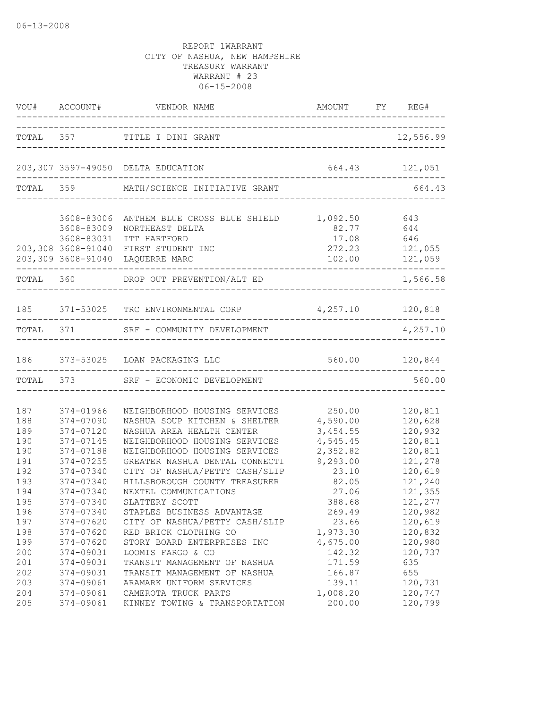|                          |                                                                                    | VOU# ACCOUNT# VENDOR NAME AMOUNT FY RI                                                                                        | AMOUNT FY REG#                                           |                                          |
|--------------------------|------------------------------------------------------------------------------------|-------------------------------------------------------------------------------------------------------------------------------|----------------------------------------------------------|------------------------------------------|
|                          |                                                                                    | TOTAL 357 TITLE I DINI GRANT                                                                                                  |                                                          | 12,556.99                                |
|                          |                                                                                    | 203,307 3597-49050 DELTA EDUCATION                                                                                            | 664.43 121,051                                           |                                          |
|                          |                                                                                    | TOTAL 359 MATH/SCIENCE INITIATIVE GRANT                                                                                       | ---------------------------------                        | 664.43                                   |
|                          | 3608-83006<br>3608-83009<br>3608-83031<br>203,308 3608-91040<br>203,309 3608-91040 | ANTHEM BLUE CROSS BLUE SHIELD<br>NORTHEAST DELTA<br>ITT HARTFORD<br>FIRST STUDENT INC<br>LAQUERRE MARC<br>---------           | 1,092.50 643<br>82.77 644<br>17.08 646<br>272.23 121,055 | 102.00 121,059                           |
|                          |                                                                                    | TOTAL 360 DROP OUT PREVENTION/ALT ED                                                                                          |                                                          | 1,566.58                                 |
|                          |                                                                                    | 185 371-53025 TRC ENVIRONMENTAL CORP 4,257.10 120,818                                                                         |                                                          |                                          |
|                          |                                                                                    | TOTAL 371 SRF - COMMUNITY DEVELOPMENT                                                                                         |                                                          | 4,257.10                                 |
| 186                      |                                                                                    | 373-53025 LOAN PACKAGING LLC                                                                                                  |                                                          | 560.00 120,844                           |
|                          | TOTAL 373                                                                          | SRF - ECONOMIC DEVELOPMENT                                                                                                    |                                                          | 560.00                                   |
| 187<br>188               | 374-01966<br>374-07090                                                             | NEIGHBORHOOD HOUSING SERVICES<br>NASHUA SOUP KITCHEN & SHELTER                                                                | 250.00<br>4,590.00                                       | 120,811<br>120,628                       |
| 189<br>190<br>190<br>191 | 374-07120<br>374-07145<br>374-07188<br>374-07255                                   | NASHUA AREA HEALTH CENTER<br>NEIGHBORHOOD HOUSING SERVICES<br>NEIGHBORHOOD HOUSING SERVICES<br>GREATER NASHUA DENTAL CONNECTI | 3,454.55<br>4,545.45<br>2,352.82<br>9,293.00             | 120,932<br>120,811<br>120,811<br>121,278 |
| 192<br>193<br>194        | 374-07340<br>374-07340<br>374-07340                                                | CITY OF NASHUA/PETTY CASH/SLIP<br>HILLSBOROUGH COUNTY TREASURER<br>NEXTEL COMMUNICATIONS                                      | 23.10<br>82.05<br>27.06                                  | 120,619<br>121,240<br>121,355            |
| 195<br>196<br>197<br>198 | 374-07340<br>374-07340<br>374-07620<br>374-07620                                   | SLATTERY SCOTT<br>STAPLES BUSINESS ADVANTAGE<br>CITY OF NASHUA/PETTY CASH/SLIP<br>RED BRICK CLOTHING CO                       | 388.68<br>269.49<br>23.66<br>1,973.30                    | 121,277<br>120,982<br>120,619<br>120,832 |
| 199<br>200<br>201        | 374-07620<br>374-09031<br>374-09031                                                | STORY BOARD ENTERPRISES INC<br>LOOMIS FARGO & CO<br>TRANSIT MANAGEMENT OF NASHUA                                              | 4,675.00<br>142.32<br>171.59                             | 120,980<br>120,737<br>635                |
| 202<br>203<br>204<br>205 | 374-09031<br>374-09061<br>374-09061<br>374-09061                                   | TRANSIT MANAGEMENT OF NASHUA<br>ARAMARK UNIFORM SERVICES<br>CAMEROTA TRUCK PARTS<br>KINNEY TOWING & TRANSPORTATION            | 166.87<br>139.11<br>1,008.20<br>200.00                   | 655<br>120,731<br>120,747<br>120,799     |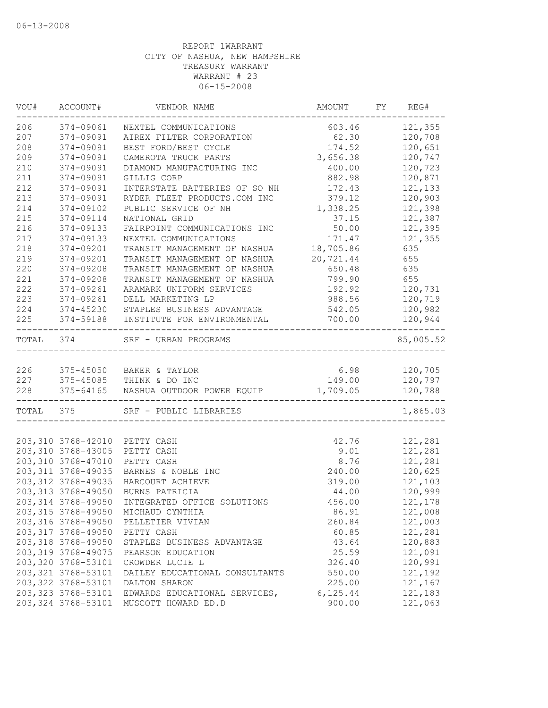| WOU#      | ACCOUNT#                                 | VENDOR NAME                          | AMOUNT    | FY REG#   |
|-----------|------------------------------------------|--------------------------------------|-----------|-----------|
| 206       | 374-09061                                | NEXTEL COMMUNICATIONS                | 603.46    | 121,355   |
| 207       | 374-09091                                | AIREX FILTER CORPORATION             | 62.30     | 120,708   |
| 208       | 374-09091                                | BEST FORD/BEST CYCLE                 | 174.52    | 120,651   |
| 209       | 374-09091                                | CAMEROTA TRUCK PARTS                 | 3,656.38  | 120,747   |
| 210       | 374-09091                                | DIAMOND MANUFACTURING INC            | 400.00    | 120,723   |
| 211       | 374-09091                                | GILLIG CORP                          | 882.98    | 120,871   |
| 212       | 374-09091                                | INTERSTATE BATTERIES OF SO NH        | 172.43    | 121,133   |
| 213       | 374-09091                                | RYDER FLEET PRODUCTS.COM INC         | 379.12    | 120,903   |
| 214       | 374-09102                                | PUBLIC SERVICE OF NH                 | 1,338.25  | 121,398   |
| 215       | 374-09114                                | NATIONAL GRID                        | 37.15     | 121,387   |
| 216       | 374-09133                                | FAIRPOINT COMMUNICATIONS INC         | 50.00     | 121,395   |
| 217       | 374-09133                                | NEXTEL COMMUNICATIONS                | 171.47    | 121,355   |
| 218       | 374-09201                                | TRANSIT MANAGEMENT OF NASHUA         | 18,705.86 | 635       |
| 219       | 374-09201                                | TRANSIT MANAGEMENT OF NASHUA         | 20,721.44 | 655       |
| 220       | 374-09208                                | TRANSIT MANAGEMENT OF NASHUA         | 650.48    | 635       |
| 221       | 374-09208                                | TRANSIT MANAGEMENT OF NASHUA         | 799.90    | 655       |
| 222       | 374-09261                                | ARAMARK UNIFORM SERVICES             | 192.92    | 120,731   |
| 223       | 374-09261                                | DELL MARKETING LP                    | 988.56    | 120,719   |
| 224       | 374-45230                                | STAPLES BUSINESS ADVANTAGE           | 542.05    | 120,982   |
| 225       | 374-59188                                | INSTITUTE FOR ENVIRONMENTAL          | 700.00    | 120,944   |
| TOTAL 374 |                                          | SRF - URBAN PROGRAMS                 |           | 85,005.52 |
|           |                                          |                                      |           |           |
| 226       |                                          | 375-45050 BAKER & TAYLOR             | 6.98      | 120,705   |
| 227       |                                          | 375-45085 THINK & DO INC             | 149.00    | 120,797   |
| 228       | -----------------                        | 375-64165 NASHUA OUTDOOR POWER EQUIP | 1,709.05  | 120,788   |
| TOTAL 375 |                                          | SRF - PUBLIC LIBRARIES               |           | 1,865.03  |
|           |                                          |                                      |           |           |
|           | 203,310 3768-42010<br>203,310 3768-43005 | PETTY CASH                           | 42.76     | 121,281   |
|           |                                          | PETTY CASH                           | 9.01      | 121,281   |
|           | 203,310 3768-47010                       | PETTY CASH                           | 8.76      | 121,281   |
|           | 203, 311 3768-49035                      | BARNES & NOBLE INC                   | 240.00    | 120,625   |
|           | 203, 312 3768-49035                      | HARCOURT ACHIEVE                     | 319.00    | 121,103   |
|           | 203, 313 3768-49050                      | BURNS PATRICIA                       | 44.00     | 120,999   |
|           | 203, 314 3768-49050                      | INTEGRATED OFFICE SOLUTIONS          | 456.00    | 121,178   |
|           | 203,315 3768-49050                       | MICHAUD CYNTHIA                      | 86.91     | 121,008   |
|           | 203,316 3768-49050                       | PELLETIER VIVIAN                     | 260.84    | 121,003   |
|           | 203, 317 3768-49050                      | PETTY CASH                           | 60.85     | 121,281   |
|           | 203,318 3768-49050                       | STAPLES BUSINESS ADVANTAGE           | 43.64     | 120,883   |
|           | 203, 319 3768-49075                      | PEARSON EDUCATION                    | 25.59     | 121,091   |
|           | 203, 320 3768-53101                      | CROWDER LUCIE L                      | 326.40    | 120,991   |
|           | 203, 321 3768-53101                      | DAILEY EDUCATIONAL CONSULTANTS       | 550.00    | 121,192   |
|           | 203, 322 3768-53101                      | DALTON SHARON                        | 225.00    | 121,167   |
|           | 203, 323 3768-53101                      | EDWARDS EDUCATIONAL SERVICES,        | 6, 125.44 | 121,183   |
|           | 203, 324 3768-53101                      | MUSCOTT HOWARD ED.D                  | 900.00    | 121,063   |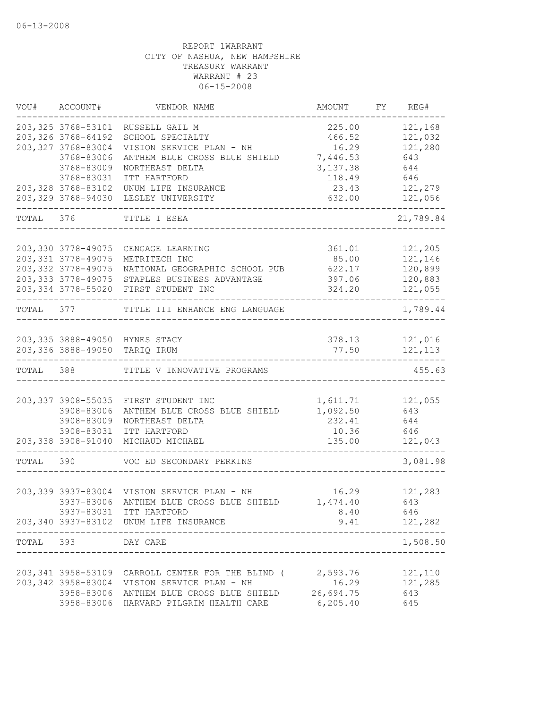|           | VOU# ACCOUNT#       | VENDOR NAME                                               | AMOUNT          | FY REG#        |
|-----------|---------------------|-----------------------------------------------------------|-----------------|----------------|
|           | 203, 325 3768-53101 | RUSSELL GAIL M                                            | 225.00          | 121,168        |
|           | 203, 326 3768-64192 | SCHOOL SPECIALTY                                          | 466.52          | 121,032        |
|           | 203, 327 3768-83004 | VISION SERVICE PLAN - NH                                  | 16.29           | 121,280        |
|           | 3768-83006          | ANTHEM BLUE CROSS BLUE SHIELD                             | 7,446.53        | 643            |
|           | 3768-83009          | NORTHEAST DELTA                                           | 3,137.38        | 644            |
|           | 3768-83031          | ITT HARTFORD                                              | 118.49          | 646            |
|           | 203, 328 3768-83102 | UNUM LIFE INSURANCE<br>LESLEY UNIVERSITY                  | 23.43<br>632.00 | 121,279        |
|           | 203, 329 3768-94030 |                                                           |                 | 121,056        |
| TOTAL 376 |                     | TITLE I ESEA                                              |                 | 21,789.84      |
|           |                     |                                                           |                 |                |
|           | 203,330 3778-49075  | CENGAGE LEARNING                                          | 361.01          | 121,205        |
|           | 203, 331 3778-49075 | METRITECH INC                                             | 85.00           | 121,146        |
|           | 203, 332 3778-49075 | NATIONAL GEOGRAPHIC SCHOOL PUB                            | 622.17          | 120,899        |
|           | 203, 333 3778-49075 | STAPLES BUSINESS ADVANTAGE                                | 397.06          | 120,883        |
|           |                     | 203,334 3778-55020 FIRST STUDENT INC                      | 324.20          | 121,055        |
| TOTAL 377 |                     | TITLE III ENHANCE ENG LANGUAGE                            |                 | 1,789.44       |
|           |                     | 203,335 3888-49050 HYNES STACY                            |                 | 378.13 121,016 |
|           |                     | 203,336 3888-49050 TARIQ IRUM                             |                 | 77.50 121,113  |
| TOTAL 388 |                     | TITLE V INNOVATIVE PROGRAMS                               |                 | 455.63         |
|           |                     |                                                           |                 |                |
|           | 203, 337 3908-55035 | FIRST STUDENT INC                                         | 1,611.71        | 121,055        |
|           | 3908-83006          | ANTHEM BLUE CROSS BLUE SHIELD                             | 1,092.50        | 643            |
|           | 3908-83009          | NORTHEAST DELTA                                           | 232.41          | 644            |
|           | 3908-83031          | ITT HARTFORD                                              | 10.36           | 646            |
|           | 203,338 3908-91040  | MICHAUD MICHAEL                                           | 135.00          | 121,043        |
| TOTAL     | 390                 | VOC ED SECONDARY PERKINS                                  |                 | 3,081.98       |
|           |                     |                                                           |                 |                |
|           |                     | 203,339 3937-83004 VISION SERVICE PLAN - NH               | 16.29 121,283   |                |
|           |                     | 3937-83006 ANTHEM BLUE CROSS BLUE SHIELD 1,474.40 643     |                 |                |
|           |                     | 3937-83031 ITT HARTFORD                                   | 8.40            | 646            |
|           |                     | 203,340 3937-83102 UNUM LIFE INSURANCE                    | 9.41            | 121,282        |
| TOTAL 393 |                     | DAY CARE                                                  |                 | 1,508.50       |
|           |                     |                                                           |                 |                |
|           |                     | 203,341 3958-53109 CARROLL CENTER FOR THE BLIND (2,593.76 |                 | 121,110        |
|           |                     | 203,342 3958-83004 VISION SERVICE PLAN - NH               | 16.29           | 121,285        |
|           | 3958-83006          | ANTHEM BLUE CROSS BLUE SHIELD                             | 26,694.75       | 643            |
|           |                     | 3958-83006 HARVARD PILGRIM HEALTH CARE                    | 6, 205.40       | 645            |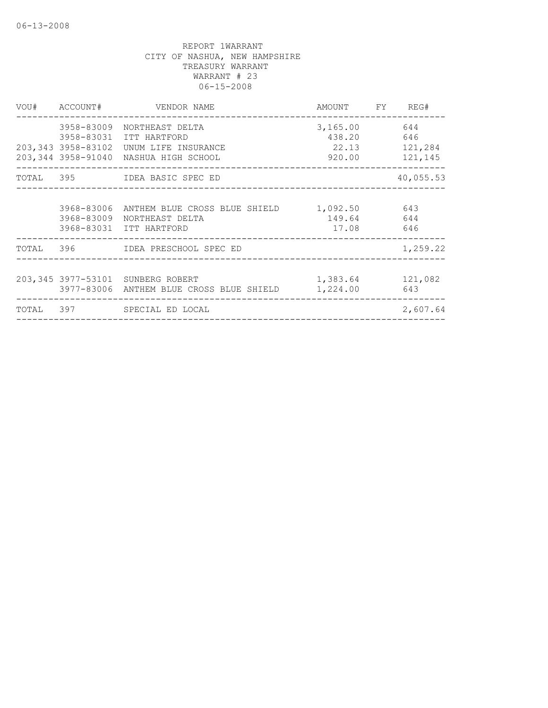|       | VOU# ACCOUNT# | VENDOR NAME                                                                                                                              | AMOUNT FY REG#                                            |                |
|-------|---------------|------------------------------------------------------------------------------------------------------------------------------------------|-----------------------------------------------------------|----------------|
|       |               | 3958-83009 NORTHEAST DELTA<br>3958-83031 ITT HARTFORD<br>203,343 3958-83102 UNUM LIFE INSURANCE<br>203,344 3958-91040 NASHUA HIGH SCHOOL | 3,165.00 644<br>438.20<br>22.13 121,284<br>920.00 121,145 | 646            |
|       |               | TOTAL 395 IDEA BASIC SPEC ED                                                                                                             |                                                           | 40,055.53      |
|       |               | 3968-83006 ANTHEM BLUE CROSS BLUE SHIELD<br>3968-83009 NORTHEAST DELTA<br>3968-83031 ITT HARTFORD                                        | 1,092.50<br>149.64 644<br>17.08 646                       | 643            |
|       |               | TOTAL 396 IDEA PRESCHOOL SPEC ED                                                                                                         |                                                           | 1,259.22       |
|       |               | 203,345 3977-53101 SUNBERG ROBERT<br>3977-83006 ANTHEM BLUE CROSS BLUE SHIELD                                                            | 1,383.64<br>1,224.00                                      | 121,082<br>643 |
| TOTAL |               | 397 SPECIAL ED LOCAL                                                                                                                     |                                                           | 2,607.64       |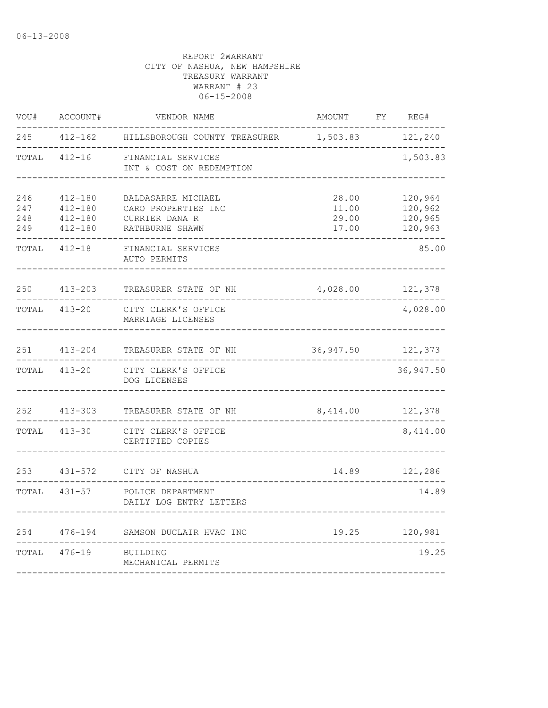| VOU#                     | ACCOUNT#                                                 | VENDOR NAME                                                                    | AMOUNT                           | FY | REG#                                     |
|--------------------------|----------------------------------------------------------|--------------------------------------------------------------------------------|----------------------------------|----|------------------------------------------|
| 245                      | $412 - 162$                                              | HILLSBOROUGH COUNTY TREASURER                                                  | 1,503.83                         |    | 121,240                                  |
| TOTAL                    | $412 - 16$                                               | FINANCIAL SERVICES<br>INT & COST ON REDEMPTION                                 |                                  |    | 1,503.83                                 |
| 246<br>247<br>248<br>249 | $412 - 180$<br>$412 - 180$<br>$412 - 180$<br>$412 - 180$ | BALDASARRE MICHAEL<br>CARO PROPERTIES INC<br>CURRIER DANA R<br>RATHBURNE SHAWN | 28.00<br>11.00<br>29.00<br>17.00 |    | 120,964<br>120,962<br>120,965<br>120,963 |
| TOTAL                    | $412 - 18$                                               | FINANCIAL SERVICES<br>AUTO PERMITS                                             |                                  |    | 85.00                                    |
| 250                      | $413 - 203$                                              | TREASURER STATE OF NH                                                          | 4,028.00                         |    | 121,378                                  |
| TOTAL                    | $413 - 20$                                               | CITY CLERK'S OFFICE<br>MARRIAGE LICENSES                                       |                                  |    | 4,028.00                                 |
| 251                      | $413 - 204$                                              | TREASURER STATE OF NH                                                          | 36,947.50                        |    | 121,373                                  |
| TOTAL                    | $413 - 20$                                               | CITY CLERK'S OFFICE<br>DOG LICENSES                                            |                                  |    | 36,947.50                                |
| 252                      | $413 - 303$                                              | TREASURER STATE OF NH                                                          | 8,414.00                         |    | 121,378                                  |
| TOTAL                    | $413 - 30$                                               | CITY CLERK'S OFFICE<br>CERTIFIED COPIES                                        |                                  |    | 8,414.00                                 |
| 253                      | $431 - 572$                                              | CITY OF NASHUA                                                                 | 14.89                            |    | 121,286                                  |
| TOTAL                    | $431 - 57$                                               | POLICE DEPARTMENT<br>DAILY LOG ENTRY LETTERS                                   |                                  |    | 14.89                                    |
| 254                      | $476 - 194$                                              | SAMSON DUCLAIR HVAC INC                                                        | 19.25                            |    | 120,981                                  |
| TOTAL                    | $476 - 19$                                               | BUILDING<br>MECHANICAL PERMITS                                                 |                                  |    | 19.25                                    |
|                          |                                                          |                                                                                |                                  |    |                                          |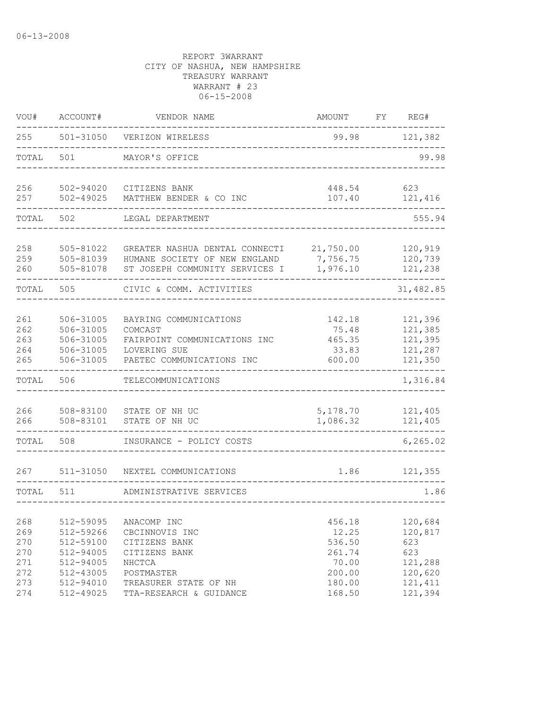| VOU#       | ACCOUNT#                   | VENDOR NAME                                                     | AMOUNT               | FΥ | REG#               |
|------------|----------------------------|-----------------------------------------------------------------|----------------------|----|--------------------|
| 255        | 501-31050                  | VERIZON WIRELESS                                                | 99.98                |    | 121,382            |
| TOTAL      | 501                        | MAYOR'S OFFICE                                                  |                      |    | 99.98              |
| 256<br>257 | 502-94020<br>$502 - 49025$ | CITIZENS BANK<br>MATTHEW BENDER & CO INC                        | 448.54<br>107.40     |    | 623<br>121,416     |
|            |                            |                                                                 |                      |    |                    |
| TOTAL      | 502                        | LEGAL DEPARTMENT                                                |                      |    | 555.94             |
| 258        | 505-81022                  | GREATER NASHUA DENTAL CONNECTI<br>HUMANE SOCIETY OF NEW ENGLAND | 21,750.00            |    | 120,919            |
| 259<br>260 | 505-81039<br>505-81078     | ST JOSEPH COMMUNITY SERVICES I                                  | 7,756.75<br>1,976.10 |    | 120,739<br>121,238 |
| TOTAL      | 505                        | CIVIC & COMM. ACTIVITIES                                        |                      |    | 31,482.85          |
| 261        | 506-31005                  | BAYRING COMMUNICATIONS                                          | 142.18               |    | 121,396            |
| 262        | 506-31005                  | COMCAST                                                         | 75.48                |    | 121,385            |
| 263        | 506-31005                  | FAIRPOINT COMMUNICATIONS INC                                    | 465.35               |    | 121,395            |
| 264        | 506-31005                  | LOVERING SUE                                                    | 33.83                |    | 121,287            |
| 265        | 506-31005                  | PAETEC COMMUNICATIONS INC                                       | 600.00               |    | 121,350            |
| TOTAL      | 506                        | TELECOMMUNICATIONS                                              |                      |    | 1,316.84           |
| 266        | 508-83100                  | STATE OF NH UC                                                  | 5,178.70             |    | 121,405            |
| 266        | 508-83101                  | STATE OF NH UC                                                  | 1,086.32             |    | 121,405            |
| TOTAL      | 508                        | INSURANCE - POLICY COSTS                                        |                      |    | 6, 265.02          |
| 267        | $511 - 31050$              | NEXTEL COMMUNICATIONS                                           | 1.86                 |    | 121,355            |
| TOTAL      | 511                        | ADMINISTRATIVE SERVICES                                         |                      |    | 1.86               |
|            |                            |                                                                 |                      |    |                    |
| 268        | 512-59095                  | ANACOMP INC                                                     | 456.18               |    | 120,684            |
| 269        | 512-59266                  | CBCINNOVIS INC                                                  | 12.25                |    | 120,817            |
| 270        | 512-59100                  | CITIZENS BANK                                                   | 536.50               |    | 623                |
| 270        | 512-94005                  | CITIZENS BANK                                                   | 261.74               |    | 623                |
| 271        | 512-94005                  | NHCTCA                                                          | 70.00                |    | 121,288            |
| 272        | 512-43005                  | POSTMASTER                                                      | 200.00               |    | 120,620            |
| 273        | 512-94010                  | TREASURER STATE OF NH                                           | 180.00               |    | 121, 411           |
| 274        | 512-49025                  | TTA-RESEARCH & GUIDANCE                                         | 168.50               |    | 121,394            |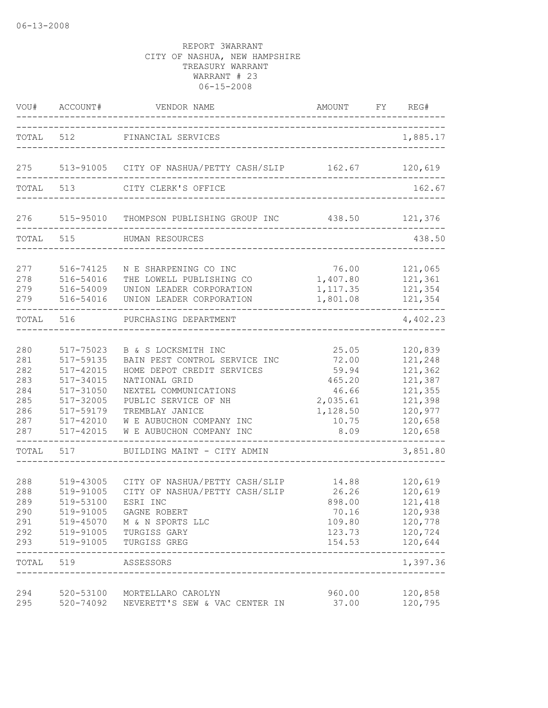| VOU#                                                        | ACCOUNT#                                                                                                              | VENDOR NAME                                                                                                                                                                                                                     | AMOUNT                                                                              | FY | REG#                                                                                            |
|-------------------------------------------------------------|-----------------------------------------------------------------------------------------------------------------------|---------------------------------------------------------------------------------------------------------------------------------------------------------------------------------------------------------------------------------|-------------------------------------------------------------------------------------|----|-------------------------------------------------------------------------------------------------|
| TOTAL                                                       | 512                                                                                                                   | FINANCIAL SERVICES<br>________________________________                                                                                                                                                                          |                                                                                     |    | 1,885.17                                                                                        |
| 275                                                         |                                                                                                                       | 513-91005 CITY OF NASHUA/PETTY CASH/SLIP 162.67                                                                                                                                                                                 |                                                                                     |    | 120,619                                                                                         |
| TOTAL                                                       | 513                                                                                                                   | CITY CLERK'S OFFICE                                                                                                                                                                                                             |                                                                                     |    | 162.67                                                                                          |
| 276                                                         | 515-95010                                                                                                             | THOMPSON PUBLISHING GROUP INC                                                                                                                                                                                                   | 438.50                                                                              |    | 121,376                                                                                         |
| TOTAL 515                                                   |                                                                                                                       | HUMAN RESOURCES                                                                                                                                                                                                                 |                                                                                     |    | 438.50                                                                                          |
| 277<br>278<br>279<br>279                                    | 516-74125<br>516-54016<br>516-54009<br>516-54016                                                                      | N E SHARPENING CO INC<br>THE LOWELL PUBLISHING CO<br>UNION LEADER CORPORATION<br>UNION LEADER CORPORATION                                                                                                                       | 76.00<br>1,407.80<br>1, 117.35<br>1,801.08                                          |    | 121,065<br>121,361<br>121,354<br>121,354                                                        |
| TOTAL                                                       | 516                                                                                                                   | PURCHASING DEPARTMENT                                                                                                                                                                                                           |                                                                                     |    | 4,402.23                                                                                        |
| 280<br>281<br>282<br>283<br>284<br>285<br>286<br>287<br>287 | 517-75023<br>517-59135<br>517-42015<br>517-34015<br>517-31050<br>517-32005<br>517-59179<br>517-42010<br>$517 - 42015$ | B & S LOCKSMITH INC<br>BAIN PEST CONTROL SERVICE INC<br>HOME DEPOT CREDIT SERVICES<br>NATIONAL GRID<br>NEXTEL COMMUNICATIONS<br>PUBLIC SERVICE OF NH<br>TREMBLAY JANICE<br>W E AUBUCHON COMPANY INC<br>W E AUBUCHON COMPANY INC | 25.05<br>72.00<br>59.94<br>465.20<br>46.66<br>2,035.61<br>1,128.50<br>10.75<br>8.09 |    | 120,839<br>121,248<br>121,362<br>121,387<br>121,355<br>121,398<br>120,977<br>120,658<br>120,658 |
| TOTAL                                                       | 517                                                                                                                   | BUILDING MAINT - CITY ADMIN                                                                                                                                                                                                     |                                                                                     |    | 3,851.80                                                                                        |
| 288<br>288<br>289<br>290<br>291<br>292<br>293               | 519-43005<br>519-91005<br>519-53100<br>519-91005<br>519-45070<br>519-91005<br>519-91005                               | CITY OF NASHUA/PETTY CASH/SLIP<br>CITY OF NASHUA/PETTY CASH/SLIP<br>ESRI INC<br>GAGNE ROBERT<br>M & N SPORTS LLC<br>TURGISS GARY<br>TURGISS GREG                                                                                | 14.88<br>26.26<br>898.00<br>70.16<br>109.80<br>123.73<br>154.53                     |    | 120,619<br>120,619<br>121,418<br>120,938<br>120,778<br>120,724<br>120,644<br>$- - - - -$        |
| TOTAL                                                       | 519                                                                                                                   | ASSESSORS                                                                                                                                                                                                                       |                                                                                     |    | 1,397.36                                                                                        |
| 294<br>295                                                  |                                                                                                                       | 520-53100 MORTELLARO CAROLYN<br>520-74092 NEVERETT'S SEW & VAC CENTER IN                                                                                                                                                        | 960.00<br>37.00                                                                     |    | 120,858<br>120,795                                                                              |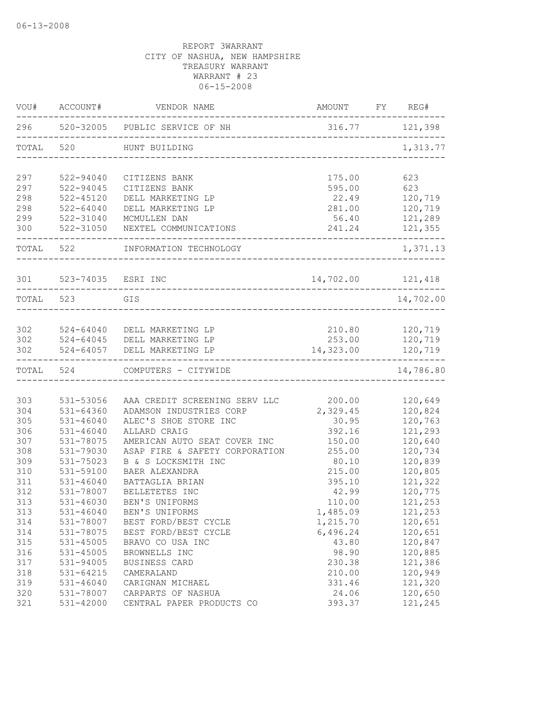| VOU#      | ACCOUNT#               | VENDOR NAME                                                   | AMOUNT FY REG#      |                      |
|-----------|------------------------|---------------------------------------------------------------|---------------------|----------------------|
|           |                        | 296 520-32005 PUBLIC SERVICE OF NH<br>_______________________ | 316.77 121,398      |                      |
| TOTAL 520 |                        | HUNT BUILDING                                                 |                     | 1,313.77             |
| 297       | 522-94040              | CITIZENS BANK                                                 | 175.00              | 623                  |
| 297       | 522-94045              | CITIZENS BANK                                                 | 595.00              | 623                  |
| 298       | $522 - 45120$          | DELL MARKETING LP                                             | 22.49               | 120,719              |
| 298       | $522 - 64040$          | DELL MARKETING LP                                             | 281.00              | 120,719              |
| 299       | 522-31040              | MCMULLEN DAN                                                  |                     | 56.40 121,289        |
|           |                        | 300 522-31050 NEXTEL COMMUNICATIONS                           | 241.24 121,355      |                      |
|           | TOTAL 522              | INFORMATION TECHNOLOGY                                        |                     | 1,371.13             |
|           | 301 523-74035 ESRI INC |                                                               | $14,702.00$ 121,418 |                      |
| TOTAL 523 |                        | GIS                                                           |                     | 14,702.00            |
|           |                        |                                                               |                     |                      |
|           |                        | 302 524-64040 DELL MARKETING LP                               | 210.80 120,719      |                      |
|           |                        | 302 524-64045 DELL MARKETING LP                               |                     | 253.00 120,719       |
| 302       |                        | 524-64057 DELL MARKETING LP                                   | 14,323.00           | 120,719<br>--------- |
| TOTAL 524 |                        | COMPUTERS - CITYWIDE                                          |                     | 14,786.80            |
|           |                        |                                                               |                     |                      |
| 303       | 531-53056              | AAA CREDIT SCREENING SERV LLC                                 | 200.00              | 120,649              |
| 304       | 531-64360              | ADAMSON INDUSTRIES CORP                                       | 2,329.45            | 120,824              |
| 305       | 531-46040              | ALEC'S SHOE STORE INC                                         | 30.95               | 120,763              |
| 306       | 531-46040              | ALLARD CRAIG                                                  | 392.16              | 121,293              |
| 307       | 531-78075              | AMERICAN AUTO SEAT COVER INC                                  | 150.00              | 120,640              |
| 308       | 531-79030              | ASAP FIRE & SAFETY CORPORATION                                | 255.00              | 120,734              |
| 309       | 531-75023              | B & S LOCKSMITH INC                                           | 80.10               | 120,839              |
| 310       | 531-59100              | BAER ALEXANDRA                                                | 215.00              | 120,805              |
| 311       | 531-46040              | BATTAGLIA BRIAN                                               | 395.10              | 121,322              |
| 312       | 531-78007              | BELLETETES INC                                                | 42.99               | 120,775              |
| 313       | 531-46030              | BEN'S UNIFORMS                                                | 110.00              | 121,253              |
| 313       | 531-46040              | BEN'S UNIFORMS                                                | 1,485.09            | 121,253              |
| 314       | 531-78007              | BEST FORD/BEST CYCLE                                          | 1,215.70            | 120,651              |
| 314       | 531-78075              | BEST FORD/BEST CYCLE                                          | 6,496.24            | 120,651              |
| 315       | $531 - 45005$          | BRAVO CO USA INC                                              | 43.80               | 120,847              |
| 316       | 531-45005              | BROWNELLS INC                                                 | 98.90               | 120,885              |
| 317       | 531-94005              | BUSINESS CARD                                                 | 230.38              | 121,386              |
| 318       | 531-64215              | CAMERALAND                                                    | 210.00              | 120,949              |
| 319       | 531-46040              | CARIGNAN MICHAEL                                              | 331.46              | 121,320              |
| 320       | 531-78007              | CARPARTS OF NASHUA                                            | 24.06               | 120,650              |
| 321       | 531-42000              | CENTRAL PAPER PRODUCTS CO                                     | 393.37              | 121,245              |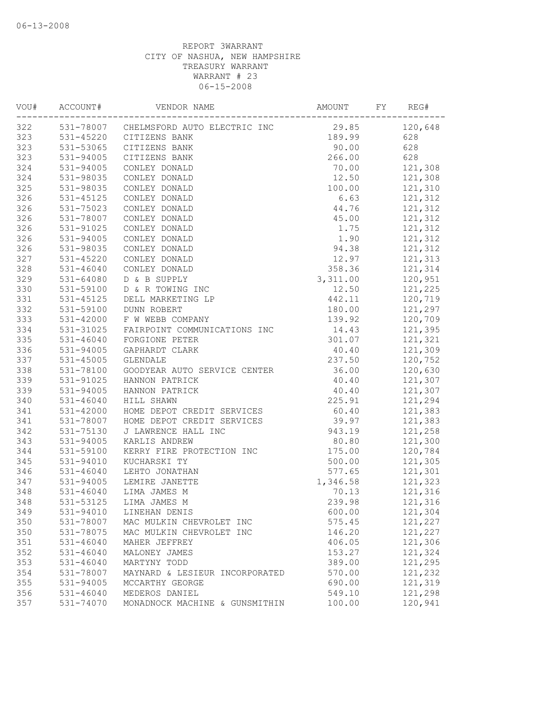| VOU# | ACCOUNT#      | VENDOR NAME                            | AMOUNT   | FY | REG#    |
|------|---------------|----------------------------------------|----------|----|---------|
| 322  |               | 531-78007 CHELMSFORD AUTO ELECTRIC INC | 29.85    |    | 120,648 |
| 323  |               | 531-45220 CITIZENS BANK                | 189.99   |    | 628     |
| 323  | 531-53065     | CITIZENS BANK                          | 90.00    |    | 628     |
| 323  | 531-94005     | CITIZENS BANK                          | 266.00   |    | 628     |
| 324  | 531-94005     | CONLEY DONALD                          | 70.00    |    | 121,308 |
| 324  | 531-98035     | CONLEY DONALD                          | 12.50    |    | 121,308 |
| 325  | 531-98035     | CONLEY DONALD                          | 100.00   |    | 121,310 |
| 326  | 531-45125     | CONLEY DONALD                          | 6.63     |    | 121,312 |
| 326  | 531-75023     | CONLEY DONALD                          | 44.76    |    | 121,312 |
| 326  | 531-78007     | CONLEY DONALD                          | 45.00    |    | 121,312 |
| 326  | 531-91025     | CONLEY DONALD                          | 1.75     |    | 121,312 |
| 326  | 531-94005     | CONLEY DONALD                          | 1.90     |    | 121,312 |
| 326  | 531-98035     | CONLEY DONALD                          | 94.38    |    | 121,312 |
| 327  | 531-45220     | CONLEY DONALD                          | 12.97    |    | 121,313 |
| 328  | 531-46040     | CONLEY DONALD                          | 358.36   |    | 121,314 |
| 329  | 531-64080     | D & B SUPPLY                           | 3,311.00 |    | 120,951 |
| 330  | 531-59100     | D & R TOWING INC                       | 12.50    |    | 121,225 |
| 331  | 531-45125     | DELL MARKETING LP                      | 442.11   |    | 120,719 |
| 332  | 531-59100     | DUNN ROBERT                            | 180.00   |    | 121,297 |
| 333  | 531-42000     | F W WEBB COMPANY                       | 139.92   |    | 120,709 |
| 334  | 531-31025     | FAIRPOINT COMMUNICATIONS INC           | 14.43    |    | 121,395 |
| 335  | $531 - 46040$ | FORGIONE PETER                         | 301.07   |    | 121,321 |
| 336  | 531-94005     | GAPHARDT CLARK                         | 40.40    |    | 121,309 |
| 337  | $531 - 45005$ | GLENDALE                               | 237.50   |    | 120,752 |
| 338  | 531-78100     | GOODYEAR AUTO SERVICE CENTER           | 36.00    |    | 120,630 |
| 339  | 531-91025     | HANNON PATRICK                         | 40.40    |    | 121,307 |
| 339  | 531-94005     | HANNON PATRICK                         | 40.40    |    | 121,307 |
| 340  | $531 - 46040$ | HILL SHAWN                             | 225.91   |    | 121,294 |
| 341  | 531-42000     | HOME DEPOT CREDIT SERVICES             | 60.40    |    | 121,383 |
| 341  | 531-78007     | HOME DEPOT CREDIT SERVICES             | 39.97    |    | 121,383 |
| 342  | 531-75130     | J LAWRENCE HALL INC                    | 943.19   |    | 121,258 |
| 343  | 531-94005     | KARLIS ANDREW                          | 80.80    |    | 121,300 |
| 344  | 531-59100     | KERRY FIRE PROTECTION INC              | 175.00   |    | 120,784 |
| 345  | 531-94010     | KUCHARSKI TY                           | 500.00   |    | 121,305 |
| 346  | 531-46040     | LEHTO JONATHAN                         | 577.65   |    | 121,301 |
| 347  | 531-94005     | LEMIRE JANETTE                         | 1,346.58 |    | 121,323 |
| 348  | $531 - 46040$ | LIMA JAMES M                           | 70.13    |    | 121,316 |
| 348  | 531-53125     | LIMA JAMES M                           | 239.98   |    | 121,316 |
| 349  | 531-94010     | LINEHAN DENIS                          | 600.00   |    | 121,304 |
| 350  | 531-78007     | MAC MULKIN CHEVROLET INC               | 575.45   |    | 121,227 |
| 350  | 531-78075     | MAC MULKIN CHEVROLET INC               | 146.20   |    | 121,227 |
| 351  | 531-46040     | MAHER JEFFREY                          | 406.05   |    | 121,306 |
| 352  | 531-46040     | MALONEY JAMES                          | 153.27   |    | 121,324 |
| 353  | 531-46040     | MARTYNY TODD                           | 389.00   |    | 121,295 |
| 354  | 531-78007     | MAYNARD & LESIEUR INCORPORATED         | 570.00   |    | 121,232 |
| 355  | 531-94005     | MCCARTHY GEORGE                        | 690.00   |    | 121,319 |
| 356  | $531 - 46040$ | MEDEROS DANIEL                         | 549.10   |    | 121,298 |
| 357  | 531-74070     | MONADNOCK MACHINE & GUNSMITHIN         | 100.00   |    | 120,941 |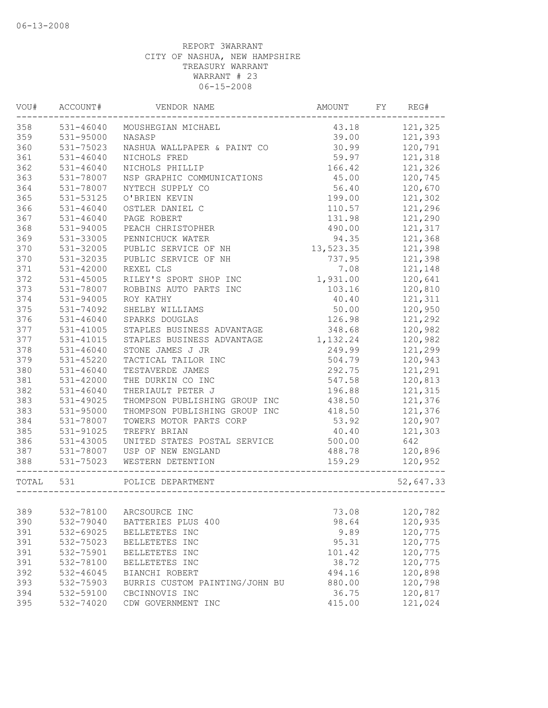| VOU#  | ACCOUNT#      | VENDOR NAME                    | AMOUNT    | FY | REG#      |
|-------|---------------|--------------------------------|-----------|----|-----------|
| 358   | $531 - 46040$ | MOUSHEGIAN MICHAEL             | 43.18     |    | 121,325   |
| 359   | 531-95000     | NASASP                         | 39.00     |    | 121,393   |
| 360   | 531-75023     | NASHUA WALLPAPER & PAINT CO    | 30.99     |    | 120,791   |
| 361   | 531-46040     | NICHOLS FRED                   | 59.97     |    | 121,318   |
| 362   | $531 - 46040$ | NICHOLS PHILLIP                | 166.42    |    | 121,326   |
| 363   | 531-78007     | NSP GRAPHIC COMMUNICATIONS     | 45.00     |    | 120,745   |
| 364   | 531-78007     | NYTECH SUPPLY CO               | 56.40     |    | 120,670   |
| 365   | 531-53125     | O'BRIEN KEVIN                  | 199.00    |    | 121,302   |
| 366   | $531 - 46040$ | OSTLER DANIEL C                | 110.57    |    | 121,296   |
| 367   | 531-46040     | PAGE ROBERT                    | 131.98    |    | 121,290   |
| 368   | 531-94005     | PEACH CHRISTOPHER              | 490.00    |    | 121,317   |
| 369   | 531-33005     | PENNICHUCK WATER               | 94.35     |    | 121,368   |
| 370   | 531-32005     | PUBLIC SERVICE OF NH           | 13,523.35 |    | 121,398   |
| 370   | 531-32035     | PUBLIC SERVICE OF NH           | 737.95    |    | 121,398   |
| 371   | 531-42000     | REXEL CLS                      | 7.08      |    | 121,148   |
| 372   | 531-45005     | RILEY'S SPORT SHOP INC         | 1,931.00  |    | 120,641   |
| 373   | 531-78007     | ROBBINS AUTO PARTS INC         | 103.16    |    | 120,810   |
| 374   | 531-94005     | ROY KATHY                      | 40.40     |    | 121,311   |
| 375   | 531-74092     | SHELBY WILLIAMS                | 50.00     |    | 120,950   |
| 376   | 531-46040     | SPARKS DOUGLAS                 | 126.98    |    | 121,292   |
| 377   | 531-41005     | STAPLES BUSINESS ADVANTAGE     | 348.68    |    | 120,982   |
| 377   | 531-41015     | STAPLES BUSINESS ADVANTAGE     | 1,132.24  |    | 120,982   |
| 378   | $531 - 46040$ | STONE JAMES J JR               | 249.99    |    | 121,299   |
| 379   | 531-45220     | TACTICAL TAILOR INC            | 504.79    |    | 120,943   |
| 380   | $531 - 46040$ | TESTAVERDE JAMES               | 292.75    |    | 121,291   |
| 381   | 531-42000     | THE DURKIN CO INC              | 547.58    |    | 120,813   |
| 382   | $531 - 46040$ | THERIAULT PETER J              | 196.88    |    | 121,315   |
| 383   | 531-49025     | THOMPSON PUBLISHING GROUP INC  | 438.50    |    | 121,376   |
| 383   | 531-95000     | THOMPSON PUBLISHING GROUP INC  | 418.50    |    | 121,376   |
| 384   | 531-78007     | TOWERS MOTOR PARTS CORP        | 53.92     |    | 120,907   |
| 385   | 531-91025     | TREFRY BRIAN                   | 40.40     |    | 121,303   |
| 386   | 531-43005     | UNITED STATES POSTAL SERVICE   | 500.00    |    | 642       |
| 387   | 531-78007     | USP OF NEW ENGLAND             | 488.78    |    | 120,896   |
| 388   | 531-75023     | WESTERN DETENTION              | 159.29    |    | 120,952   |
| TOTAL | 531           | POLICE DEPARTMENT              |           |    | 52,647.33 |
|       |               |                                |           |    |           |
| 389   | 532-78100     | ARCSOURCE INC                  | 73.08     |    | 120,782   |
| 390   | 532-79040     | BATTERIES PLUS 400             | 98.64     |    | 120,935   |
| 391   | 532-69025     | BELLETETES INC                 | 9.89      |    | 120,775   |
| 391   | 532-75023     | BELLETETES INC                 | 95.31     |    | 120,775   |
| 391   | 532-75901     | BELLETETES INC                 | 101.42    |    | 120,775   |
| 391   | 532-78100     | BELLETETES INC                 | 38.72     |    | 120,775   |
| 392   | 532-46045     | BIANCHI ROBERT                 | 494.16    |    | 120,898   |
| 393   | 532-75903     | BURRIS CUSTOM PAINTING/JOHN BU | 880.00    |    | 120,798   |
| 394   | 532-59100     | CBCINNOVIS INC                 | 36.75     |    | 120,817   |
| 395   | 532-74020     | CDW GOVERNMENT INC             | 415.00    |    | 121,024   |
|       |               |                                |           |    |           |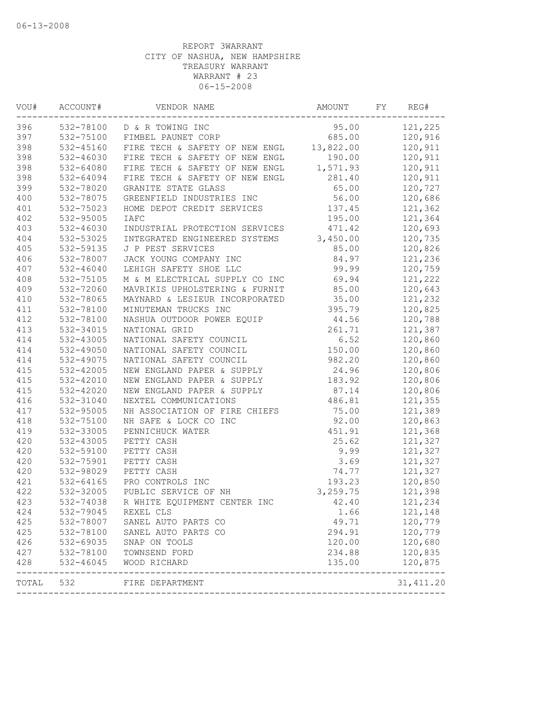| VOU#  | ACCOUNT#  | VENDOR NAME                            | AMOUNT    | FY | REG#                  |
|-------|-----------|----------------------------------------|-----------|----|-----------------------|
| 396   |           | 532-78100 D & R TOWING INC             | 95.00     |    | 121,225               |
| 397   | 532-75100 | FIMBEL PAUNET CORP                     | 685.00    |    | 120,916               |
| 398   | 532-45160 | FIRE TECH & SAFETY OF NEW ENGL         | 13,822.00 |    | 120,911               |
| 398   | 532-46030 | FIRE TECH & SAFETY OF NEW ENGL         | 190.00    |    | 120,911               |
| 398   | 532-64080 | FIRE TECH & SAFETY OF NEW ENGL         | 1,571.93  |    | 120,911               |
| 398   | 532-64094 | FIRE TECH & SAFETY OF NEW ENGL         | 281.40    |    | 120,911               |
| 399   | 532-78020 | GRANITE STATE GLASS                    | 65.00     |    | 120,727               |
| 400   | 532-78075 | GREENFIELD INDUSTRIES INC              | 56.00     |    | 120,686               |
| 401   | 532-75023 | HOME DEPOT CREDIT SERVICES             | 137.45    |    | 121,362               |
| 402   | 532-95005 | <b>IAFC</b>                            | 195.00    |    | 121,364               |
| 403   | 532-46030 | INDUSTRIAL PROTECTION SERVICES         | 471.42    |    | 120,693               |
| 404   | 532-53025 | INTEGRATED ENGINEERED SYSTEMS          | 3,450.00  |    | 120,735               |
| 405   | 532-59135 | J P PEST SERVICES                      | 85.00     |    | 120,826               |
| 406   | 532-78007 | JACK YOUNG COMPANY INC                 | 84.97     |    | 121,236               |
| 407   | 532-46040 | LEHIGH SAFETY SHOE LLC                 | 99.99     |    | 120,759               |
| 408   | 532-75105 | M & M ELECTRICAL SUPPLY CO INC         | 69.94     |    | 121,222               |
| 409   | 532-72060 | MAVRIKIS UPHOLSTERING & FURNIT         | 85.00     |    | 120,643               |
| 410   | 532-78065 | MAYNARD & LESIEUR INCORPORATED         | 35.00     |    | 121,232               |
| 411   | 532-78100 | MINUTEMAN TRUCKS INC                   | 395.79    |    | 120,825               |
| 412   | 532-78100 | NASHUA OUTDOOR POWER EQUIP             | 44.56     |    | 120,788               |
| 413   | 532-34015 | NATIONAL GRID                          | 261.71    |    | 121,387               |
| 414   | 532-43005 | NATIONAL SAFETY COUNCIL                | 6.52      |    | 120,860               |
| 414   | 532-49050 | NATIONAL SAFETY COUNCIL                | 150.00    |    | 120,860               |
| 414   | 532-49075 | NATIONAL SAFETY COUNCIL                | 982.20    |    | 120,860               |
| 415   | 532-42005 | NEW ENGLAND PAPER & SUPPLY             | 24.96     |    | 120,806               |
| 415   | 532-42010 | NEW ENGLAND PAPER & SUPPLY             | 183.92    |    | 120,806               |
| 415   | 532-42020 | NEW ENGLAND PAPER & SUPPLY             | 87.14     |    | 120,806               |
| 416   | 532-31040 | NEXTEL COMMUNICATIONS                  | 486.81    |    | 121,355               |
| 417   | 532-95005 | NH ASSOCIATION OF FIRE CHIEFS          | 75.00     |    | 121,389               |
| 418   | 532-75100 | NH SAFE & LOCK CO INC                  | 92.00     |    | 120,863               |
| 419   | 532-33005 | PENNICHUCK WATER                       | 451.91    |    | 121,368               |
| 420   | 532-43005 | PETTY CASH                             | 25.62     |    | 121,327               |
| 420   | 532-59100 | PETTY CASH                             | 9.99      |    | 121,327               |
| 420   | 532-75901 | PETTY CASH                             | 3.69      |    | 121,327               |
| 420   | 532-98029 | PETTY CASH                             | 74.77     |    | 121,327               |
| 421   | 532-64165 | PRO CONTROLS INC                       | 193.23    |    | 120,850               |
| 422   | 532-32005 | PUBLIC SERVICE OF NH                   | 3,259.75  |    | 121,398               |
| 423   |           | 532-74038 R WHITE EQUIPMENT CENTER INC | 42.40     |    | 121,234               |
| 424   | 532-79045 | REXEL CLS                              | 1.66      |    | 121,148               |
| 425   | 532-78007 | SANEL AUTO PARTS CO                    | 49.71     |    | 120,779               |
| 425   | 532-78100 | SANEL AUTO PARTS CO                    | 294.91    |    | 120,779               |
| 426   | 532-69035 | SNAP ON TOOLS                          | 120.00    |    | 120,680               |
| 427   | 532-78100 | TOWNSEND FORD                          | 234.88    |    | 120,835               |
| 428   | 532-46045 | WOOD RICHARD                           | 135.00    |    | 120,875               |
| TOTAL | 532       | FIRE DEPARTMENT                        |           |    | -------<br>31, 411.20 |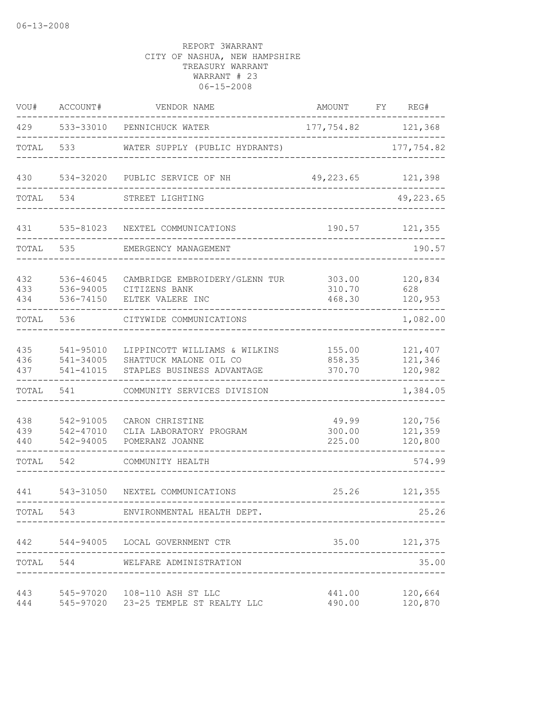| VOU#              | ACCOUNT#                            | VENDOR NAME                                                                           | AMOUNT                     | FY. | REG#                          |
|-------------------|-------------------------------------|---------------------------------------------------------------------------------------|----------------------------|-----|-------------------------------|
| 429               |                                     | 533-33010 PENNICHUCK WATER                                                            | 177,754.82 121,368         |     |                               |
| TOTAL             | 533                                 | WATER SUPPLY (PUBLIC HYDRANTS)                                                        |                            |     | 177,754.82                    |
| 430               | 534-32020                           | PUBLIC SERVICE OF NH                                                                  | 49,223.65                  |     | 121,398                       |
| TOTAL             | 534                                 | STREET LIGHTING                                                                       |                            |     | 49,223.65                     |
| 431               | 535-81023                           | NEXTEL COMMUNICATIONS                                                                 | 190.57                     |     | 121,355                       |
| TOTAL             | 535                                 | EMERGENCY MANAGEMENT                                                                  |                            |     | 190.57                        |
| 432<br>433<br>434 | 536-46045<br>536-94005<br>536-74150 | CAMBRIDGE EMBROIDERY/GLENN TUR<br>CITIZENS BANK<br>ELTEK VALERE INC                   | 303.00<br>310.70<br>468.30 |     | 120,834<br>628<br>120,953     |
| TOTAL             | 536                                 | CITYWIDE COMMUNICATIONS                                                               |                            |     | 1,082.00                      |
| 435<br>436<br>437 | 541-95010<br>541-34005<br>541-41015 | LIPPINCOTT WILLIAMS & WILKINS<br>SHATTUCK MALONE OIL CO<br>STAPLES BUSINESS ADVANTAGE | 155.00<br>858.35<br>370.70 |     | 121,407<br>121,346<br>120,982 |
| TOTAL             | 541                                 | COMMUNITY SERVICES DIVISION                                                           |                            |     | 1,384.05                      |
| 438<br>439<br>440 | 542-91005<br>542-47010<br>542-94005 | CARON CHRISTINE<br>CLIA LABORATORY PROGRAM<br>POMERANZ JOANNE                         | 49.99<br>300.00<br>225.00  |     | 120,756<br>121,359<br>120,800 |
| TOTAL             | 542                                 | COMMUNITY HEALTH                                                                      |                            |     | 574.99                        |
| 441               | 543-31050                           | NEXTEL COMMUNICATIONS                                                                 | 25.26                      |     | 121,355                       |
| TOTAL             | 543                                 | ENVIRONMENTAL HEALTH DEPT.                                                            |                            |     | 25.26                         |
|                   |                                     | 442 544-94005 LOCAL GOVERNMENT CTR                                                    |                            |     | 35.00 121,375                 |
| TOTAL             | 544                                 | WELFARE ADMINISTRATION                                                                |                            |     | 35.00                         |
| 443<br>444        |                                     | 545-97020 108-110 ASH ST LLC<br>545-97020 23-25 TEMPLE ST REALTY LLC                  | 441.00<br>490.00           |     | 120,664<br>120,870            |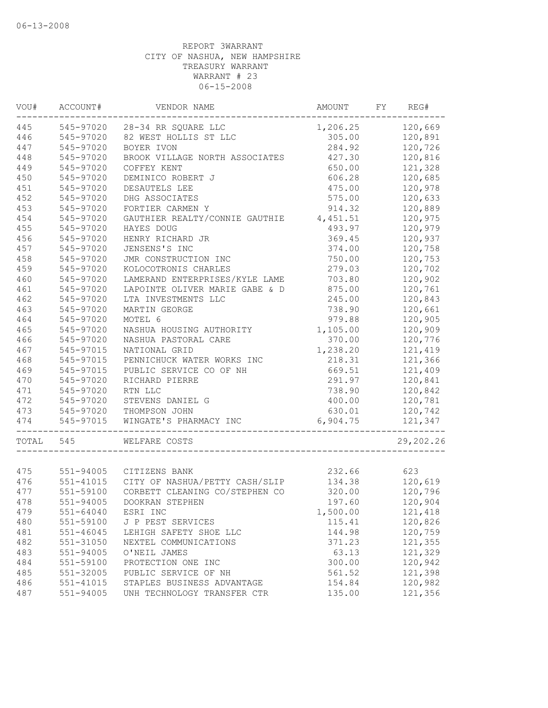| VOU#       | ACCOUNT#                   | VENDOR NAME                                 | AMOUNT           | FY | REG#               |
|------------|----------------------------|---------------------------------------------|------------------|----|--------------------|
| 445        | 545-97020                  | 28-34 RR SQUARE LLC                         | 1,206.25         |    | 120,669            |
| 446        | 545-97020                  | 82 WEST HOLLIS ST LLC                       | 305.00           |    | 120,891            |
| 447        | 545-97020                  | BOYER IVON                                  | 284.92           |    | 120,726            |
| 448        | 545-97020                  | BROOK VILLAGE NORTH ASSOCIATES              | 427.30           |    | 120,816            |
| 449        | 545-97020                  | COFFEY KENT                                 | 650.00           |    | 121,328            |
| 450        | 545-97020                  | DEMINICO ROBERT J                           | 606.28           |    | 120,685            |
| 451        | 545-97020                  | DESAUTELS LEE                               | 475.00           |    | 120,978            |
| 452        | 545-97020                  | DHG ASSOCIATES                              | 575.00           |    | 120,633            |
| 453        | 545-97020                  | FORTIER CARMEN Y                            | 914.32           |    | 120,889            |
| 454        | 545-97020                  | GAUTHIER REALTY/CONNIE GAUTHIE              | 4,451.51         |    | 120,975            |
| 455        | 545-97020                  | HAYES DOUG                                  | 493.97           |    | 120,979            |
| 456        | 545-97020                  | HENRY RICHARD JR                            | 369.45           |    | 120,937            |
| 457        | 545-97020                  | JENSENS'S INC                               | 374.00           |    | 120,758            |
| 458        | 545-97020                  | JMR CONSTRUCTION INC                        | 750.00           |    | 120,753            |
| 459        | 545-97020                  | KOLOCOTRONIS CHARLES                        | 279.03           |    | 120,702            |
| 460        | 545-97020                  | LAMERAND ENTERPRISES/KYLE LAME              | 703.80           |    | 120,902            |
| 461        | 545-97020                  | LAPOINTE OLIVER MARIE GABE & D              | 875.00           |    | 120,761            |
| 462        | 545-97020                  | LTA INVESTMENTS LLC                         | 245.00           |    | 120,843            |
| 463        | 545-97020                  | MARTIN GEORGE                               | 738.90           |    | 120,661            |
| 464        | 545-97020                  | MOTEL 6                                     | 979.88           |    | 120,905            |
| 465        | 545-97020                  | NASHUA HOUSING AUTHORITY                    | 1,105.00         |    | 120,909            |
| 466        | 545-97020                  | NASHUA PASTORAL CARE                        | 370.00           |    | 120,776            |
| 467        | 545-97015                  | NATIONAL GRID                               | 1,238.20         |    | 121,419            |
| 468        | 545-97015                  | PENNICHUCK WATER WORKS INC                  | 218.31           |    | 121,366            |
| 469        | 545-97015                  | PUBLIC SERVICE CO OF NH                     | 669.51           |    | 121,409            |
| 470        | 545-97020                  | RICHARD PIERRE                              | 291.97           |    | 120,841            |
| 471        | 545-97020                  | RTN LLC                                     | 738.90           |    | 120,842            |
| 472        | 545-97020                  | STEVENS DANIEL G                            | 400.00           |    | 120,781            |
| 473        | 545-97020                  | THOMPSON JOHN                               | 630.01           |    | 120,742            |
| 474        | 545-97015                  | WINGATE'S PHARMACY INC                      | 6,904.75         |    | 121,347            |
| TOTAL      | 545                        | WELFARE COSTS                               |                  |    | 29,202.26          |
| 475        | 551-94005                  | CITIZENS BANK                               | 232.66           |    | 623                |
| 476        | 551-41015                  | CITY OF NASHUA/PETTY CASH/SLIP              | 134.38           |    | 120,619            |
| 477        | 551-59100                  | CORBETT CLEANING CO/STEPHEN CO              | 320.00           |    | 120,796            |
| 478        | 551-94005                  | DOOKRAN STEPHEN                             | 197.60           |    | 120,904            |
|            |                            |                                             |                  |    |                    |
| 479<br>480 | 551-64040<br>551-59100     | ESRI INC                                    | 1,500.00         |    | 121,418            |
|            |                            | J P PEST SERVICES<br>LEHIGH SAFETY SHOE LLC | 115.41           |    | 120,826            |
| 481<br>482 | $551 - 46045$<br>551-31050 | NEXTEL COMMUNICATIONS                       | 144.98<br>371.23 |    | 120,759<br>121,355 |
| 483        | 551-94005                  | O'NEIL JAMES                                | 63.13            |    | 121,329            |
| 484        |                            | PROTECTION ONE INC                          | 300.00           |    | 120,942            |
| 485        | 551-59100<br>551-32005     | PUBLIC SERVICE OF NH                        | 561.52           |    | 121,398            |
| 486        | 551-41015                  | STAPLES BUSINESS ADVANTAGE                  | 154.84           |    | 120,982            |
| 487        | $551 - 94005$              | UNH TECHNOLOGY TRANSFER CTR                 | 135.00           |    | 121,356            |
|            |                            |                                             |                  |    |                    |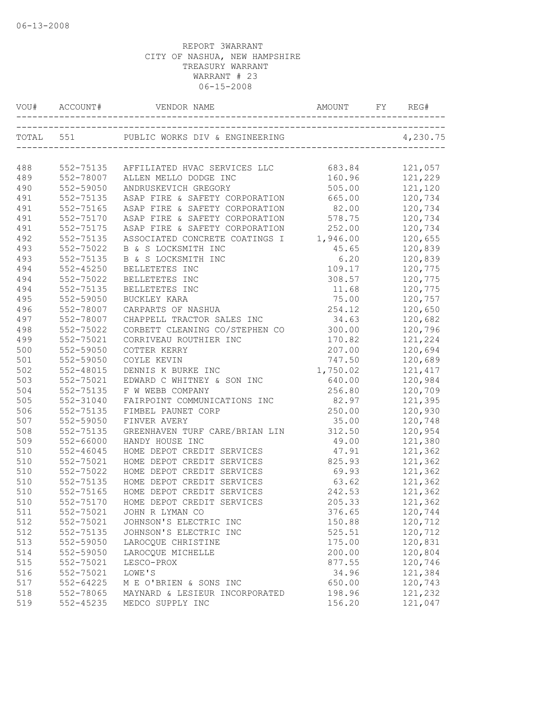| VOU# | ACCOUNT#  | VENDOR NAME                             |          | REG#     |
|------|-----------|-----------------------------------------|----------|----------|
|      | TOTAL 551 |                                         |          | 4,230.75 |
|      |           |                                         |          |          |
| 488  | 552-75135 | AFFILIATED HVAC SERVICES LLC            | 683.84   | 121,057  |
| 489  | 552-78007 | ALLEN MELLO DODGE INC                   | 160.96   | 121,229  |
| 490  | 552-59050 | ANDRUSKEVICH GREGORY                    | 505.00   | 121,120  |
| 491  | 552-75135 | ASAP FIRE & SAFETY CORPORATION          | 665.00   | 120,734  |
| 491  | 552-75165 | ASAP FIRE & SAFETY CORPORATION          | 82.00    | 120,734  |
| 491  | 552-75170 | ASAP FIRE & SAFETY CORPORATION          | 578.75   | 120,734  |
| 491  | 552-75175 | ASAP FIRE & SAFETY CORPORATION          | 252.00   | 120,734  |
| 492  | 552-75135 | ASSOCIATED CONCRETE COATINGS I 1,946.00 |          | 120,655  |
| 493  | 552-75022 | B & S LOCKSMITH INC                     | 45.65    | 120,839  |
| 493  | 552-75135 | B & S LOCKSMITH INC                     | 6.20     | 120,839  |
| 494  | 552-45250 | BELLETETES INC                          | 109.17   | 120,775  |
| 494  | 552-75022 | BELLETETES INC                          | 308.57   | 120,775  |
| 494  | 552-75135 | BELLETETES INC                          | 11.68    | 120,775  |
| 495  | 552-59050 | BUCKLEY KARA                            | 75.00    | 120,757  |
| 496  | 552-78007 | CARPARTS OF NASHUA                      | 254.12   | 120,650  |
| 497  | 552-78007 | CHAPPELL TRACTOR SALES INC              | 34.63    | 120,682  |
| 498  | 552-75022 | CORBETT CLEANING CO/STEPHEN CO          | 300.00   | 120,796  |
| 499  | 552-75021 | CORRIVEAU ROUTHIER INC                  | 170.82   | 121,224  |
| 500  | 552-59050 | COTTER KERRY                            | 207.00   | 120,694  |
| 501  | 552-59050 | COYLE KEVIN                             | 747.50   | 120,689  |
| 502  | 552-48015 | DENNIS K BURKE INC                      | 1,750.02 | 121, 417 |
| 503  | 552-75021 | EDWARD C WHITNEY & SON INC              | 640.00   | 120,984  |
| 504  | 552-75135 | F W WEBB COMPANY                        | 256.80   | 120,709  |
| 505  | 552-31040 | FAIRPOINT COMMUNICATIONS INC            | 82.97    | 121,395  |
| 506  | 552-75135 | FIMBEL PAUNET CORP                      | 250.00   | 120,930  |
| 507  | 552-59050 | FINVER AVERY                            | 35.00    | 120,748  |
| 508  | 552-75135 | GREENHAVEN TURF CARE/BRIAN LIN          | 312.50   | 120,954  |
| 509  | 552-66000 | HANDY HOUSE INC                         | 49.00    | 121,380  |
| 510  | 552-46045 | HOME DEPOT CREDIT SERVICES              | 47.91    | 121,362  |
| 510  | 552-75021 | HOME DEPOT CREDIT SERVICES              | 825.93   | 121,362  |
| 510  | 552-75022 | HOME DEPOT CREDIT SERVICES              | 69.93    | 121,362  |
| 510  | 552-75135 | HOME DEPOT CREDIT SERVICES              | 63.62    | 121,362  |
| 510  | 552-75165 | HOME DEPOT CREDIT SERVICES              | 242.53   | 121,362  |
| 510  |           | 552-75170 HOME DEPOT CREDIT SERVICES    | 205.33   | 121,362  |
| 511  | 552-75021 | JOHN R LYMAN CO                         | 376.65   | 120,744  |
| 512  | 552-75021 | JOHNSON'S ELECTRIC INC                  | 150.88   | 120,712  |
| 512  | 552-75135 | JOHNSON'S ELECTRIC INC                  | 525.51   | 120,712  |
| 513  | 552-59050 | LAROCQUE CHRISTINE                      | 175.00   | 120,831  |
| 514  | 552-59050 | LAROCQUE MICHELLE                       | 200.00   | 120,804  |
| 515  | 552-75021 | LESCO-PROX                              | 877.55   | 120,746  |
| 516  | 552-75021 | LOWE'S                                  | 34.96    | 121,384  |
| 517  | 552-64225 | M E O'BRIEN & SONS INC                  | 650.00   | 120,743  |
| 518  | 552-78065 | MAYNARD & LESIEUR INCORPORATED          | 198.96   | 121,232  |
| 519  | 552-45235 | MEDCO SUPPLY INC                        | 156.20   | 121,047  |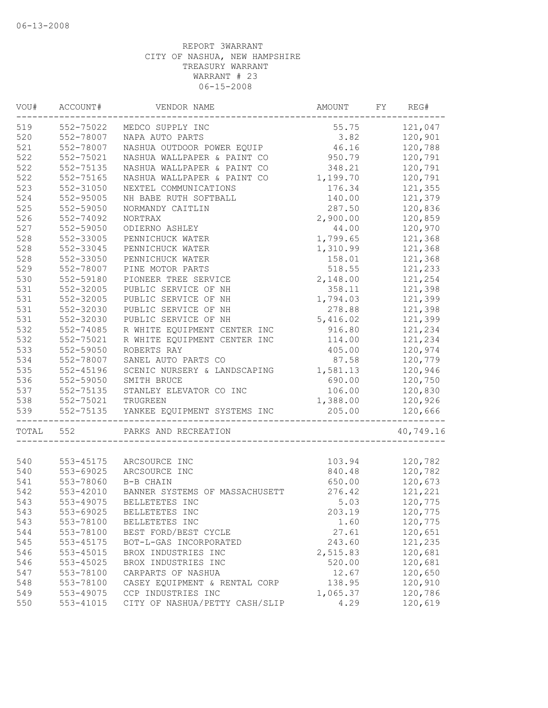| VOU#  | ACCOUNT#      | VENDOR NAME                    | AMOUNT   | FY | REG#      |
|-------|---------------|--------------------------------|----------|----|-----------|
| 519   | 552-75022     | MEDCO SUPPLY INC               | 55.75    |    | 121,047   |
| 520   | 552-78007     | NAPA AUTO PARTS                | 3.82     |    | 120,901   |
| 521   | 552-78007     | NASHUA OUTDOOR POWER EQUIP     | 46.16    |    | 120,788   |
| 522   | 552-75021     | NASHUA WALLPAPER & PAINT CO    | 950.79   |    | 120,791   |
| 522   | 552-75135     | NASHUA WALLPAPER & PAINT CO    | 348.21   |    | 120,791   |
| 522   | 552-75165     | NASHUA WALLPAPER & PAINT CO    | 1,199.70 |    | 120,791   |
| 523   | 552-31050     | NEXTEL COMMUNICATIONS          | 176.34   |    | 121,355   |
| 524   | $552 - 95005$ | NH BABE RUTH SOFTBALL          | 140.00   |    | 121,379   |
| 525   | 552-59050     | NORMANDY CAITLIN               | 287.50   |    | 120,836   |
| 526   | 552-74092     | <b>NORTRAX</b>                 | 2,900.00 |    | 120,859   |
| 527   | 552-59050     | ODIERNO ASHLEY                 | 44.00    |    | 120,970   |
| 528   | 552-33005     | PENNICHUCK WATER               | 1,799.65 |    | 121,368   |
| 528   | 552-33045     | PENNICHUCK WATER               | 1,310.99 |    | 121,368   |
| 528   | 552-33050     | PENNICHUCK WATER               | 158.01   |    | 121,368   |
| 529   | 552-78007     | PINE MOTOR PARTS               | 518.55   |    | 121,233   |
| 530   | 552-59180     | PIONEER TREE SERVICE           | 2,148.00 |    | 121,254   |
| 531   | 552-32005     | PUBLIC SERVICE OF NH           | 358.11   |    | 121,398   |
| 531   | 552-32005     | PUBLIC SERVICE OF NH           | 1,794.03 |    | 121,399   |
| 531   | 552-32030     | PUBLIC SERVICE OF NH           | 278.88   |    | 121,398   |
| 531   | 552-32030     | PUBLIC SERVICE OF NH           | 5,416.02 |    | 121,399   |
| 532   | 552-74085     | R WHITE EQUIPMENT CENTER INC   | 916.80   |    | 121,234   |
| 532   | 552-75021     | R WHITE EQUIPMENT CENTER INC   | 114.00   |    | 121,234   |
| 533   | 552-59050     | ROBERTS RAY                    | 405.00   |    | 120,974   |
| 534   | 552-78007     | SANEL AUTO PARTS CO            | 87.58    |    | 120,779   |
| 535   | 552-45196     | SCENIC NURSERY & LANDSCAPING   | 1,581.13 |    | 120,946   |
| 536   | 552-59050     | SMITH BRUCE                    | 690.00   |    | 120,750   |
| 537   | 552-75135     | STANLEY ELEVATOR CO INC        | 106.00   |    | 120,830   |
| 538   | 552-75021     | TRUGREEN                       | 1,388.00 |    | 120,926   |
| 539   | 552-75135     | YANKEE EQUIPMENT SYSTEMS INC   | 205.00   |    | 120,666   |
| TOTAL | 552           | PARKS AND RECREATION           |          |    | 40,749.16 |
|       |               |                                |          |    |           |
| 540   | 553-45175     | ARCSOURCE INC                  | 103.94   |    | 120,782   |
| 540   | 553-69025     | ARCSOURCE INC                  | 840.48   |    | 120,782   |
| 541   | 553-78060     | B-B CHAIN                      | 650.00   |    | 120,673   |
| 542   | 553-42010     | BANNER SYSTEMS OF MASSACHUSETT | 276.42   |    | 121,221   |
| 543   | 553-49075     | BELLETETES INC                 | 5.03     |    | 120,775   |
| 543   | 553-69025     | BELLETETES INC                 | 203.19   |    | 120,775   |
| 543   | 553-78100     | BELLETETES INC                 | 1.60     |    | 120,775   |
| 544   | 553-78100     | BEST FORD/BEST CYCLE           | 27.61    |    | 120,651   |
| 545   | 553-45175     | BOT-L-GAS INCORPORATED         | 243.60   |    | 121,235   |
| 546   | 553-45015     | BROX INDUSTRIES INC            | 2,515.83 |    | 120,681   |
| 546   | 553-45025     | BROX INDUSTRIES INC            | 520.00   |    | 120,681   |
| 547   | 553-78100     | CARPARTS OF NASHUA             | 12.67    |    | 120,650   |
| 548   | 553-78100     | CASEY EQUIPMENT & RENTAL CORP  | 138.95   |    | 120,910   |
| 549   | 553-49075     | CCP INDUSTRIES INC             | 1,065.37 |    | 120,786   |
| 550   | 553-41015     | CITY OF NASHUA/PETTY CASH/SLIP | 4.29     |    | 120,619   |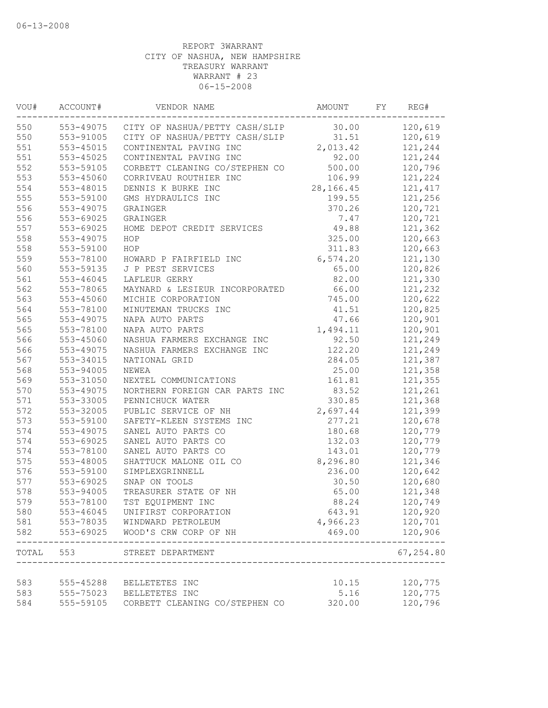| VOU#      | ACCOUNT#  | VENDOR NAME                                   | AMOUNT    | FY | REG#                |
|-----------|-----------|-----------------------------------------------|-----------|----|---------------------|
| 550       |           | 553-49075 CITY OF NASHUA/PETTY CASH/SLIP      | 30.00     |    | 120,619             |
| 550       | 553-91005 | CITY OF NASHUA/PETTY CASH/SLIP                | 31.51     |    | 120,619             |
| 551       | 553-45015 | CONTINENTAL PAVING INC                        | 2,013.42  |    | 121,244             |
| 551       | 553-45025 | CONTINENTAL PAVING INC                        | 92.00     |    | 121,244             |
| 552       | 553-59105 | CORBETT CLEANING CO/STEPHEN CO                | 500.00    |    | 120,796             |
| 553       | 553-45060 | CORRIVEAU ROUTHIER INC                        | 106.99    |    | 121,224             |
| 554       | 553-48015 | DENNIS K BURKE INC                            | 28,166.45 |    | 121, 417            |
| 555       | 553-59100 | GMS HYDRAULICS INC                            | 199.55    |    | 121,256             |
| 556       | 553-49075 | GRAINGER                                      | 370.26    |    | 120,721             |
| 556       | 553-69025 | GRAINGER                                      | 7.47      |    | 120,721             |
| 557       | 553-69025 | HOME DEPOT CREDIT SERVICES                    | 49.88     |    | 121,362             |
| 558       | 553-49075 | HOP                                           | 325.00    |    | 120,663             |
| 558       | 553-59100 | HOP                                           | 311.83    |    | 120,663             |
| 559       | 553-78100 | HOWARD P FAIRFIELD INC                        | 6,574.20  |    | 121,130             |
| 560       | 553-59135 | J P PEST SERVICES                             | 65.00     |    | 120,826             |
| 561       | 553-46045 | LAFLEUR GERRY                                 | 82.00     |    | 121,330             |
| 562       | 553-78065 | MAYNARD & LESIEUR INCORPORATED                | 66.00     |    | 121,232             |
| 563       | 553-45060 | MICHIE CORPORATION                            | 745.00    |    | 120,622             |
| 564       | 553-78100 | MINUTEMAN TRUCKS INC                          | 41.51     |    | 120,825             |
| 565       | 553-49075 | NAPA AUTO PARTS                               | 47.66     |    | 120,901             |
| 565       | 553-78100 | NAPA AUTO PARTS                               | 1,494.11  |    | 120,901             |
| 566       | 553-45060 | NASHUA FARMERS EXCHANGE INC                   | 92.50     |    | 121,249             |
| 566       | 553-49075 | NASHUA FARMERS EXCHANGE INC                   | 122.20    |    | 121,249             |
| 567       | 553-34015 | NATIONAL GRID                                 | 284.05    |    | 121,387             |
| 568       | 553-94005 | NEWEA                                         | 25.00     |    | 121,358             |
| 569       | 553-31050 | NEXTEL COMMUNICATIONS                         | 161.81    |    | 121,355             |
| 570       | 553-49075 | NORTHERN FOREIGN CAR PARTS INC                | 83.52     |    | 121,261             |
| 571       | 553-33005 | PENNICHUCK WATER                              | 330.85    |    | 121,368             |
| 572       | 553-32005 | PUBLIC SERVICE OF NH                          | 2,697.44  |    | 121,399             |
| 573       | 553-59100 | SAFETY-KLEEN SYSTEMS INC                      | 277.21    |    | 120,678             |
| 574       | 553-49075 | SANEL AUTO PARTS CO                           | 180.68    |    | 120,779             |
| 574       | 553-69025 | SANEL AUTO PARTS CO                           | 132.03    |    | 120,779             |
| 574       | 553-78100 | SANEL AUTO PARTS CO                           | 143.01    |    | 120,779             |
| 575       | 553-48005 | SHATTUCK MALONE OIL CO                        | 8,296.80  |    | 121,346             |
| 576       | 553-59100 | SIMPLEXGRINNELL                               | 236.00    |    | 120,642             |
| 577       | 553-69025 | SNAP ON TOOLS                                 | 30.50     |    | 120,680             |
| 578       | 553-94005 | TREASURER STATE OF NH                         | 65.00     |    | 121,348             |
| 579       | 553-78100 | TST EQUIPMENT INC                             | 88.24     |    | 120,749             |
| 580       | 553-46045 | UNIFIRST CORPORATION                          | 643.91    |    | 120,920             |
| 581       |           | 553-78035 WINDWARD PETROLEUM                  | 4,966.23  |    | 120,701             |
| 582       | 553-69025 | WOOD'S CRW CORP OF NH                         | 469.00    |    | 120,906<br>-------- |
| TOTAL 553 |           | STREET DEPARTMENT<br>------------------------ |           |    | 67,254.80           |
| 583       |           | 555-45288 BELLETETES INC                      | 10.15     |    | 120,775             |
| 583       |           | 555-75023 BELLETETES INC                      | 5.16      |    | 120,775             |
| 584       | 555-59105 | CORBETT CLEANING CO/STEPHEN CO                | 320.00    |    | 120,796             |
|           |           |                                               |           |    |                     |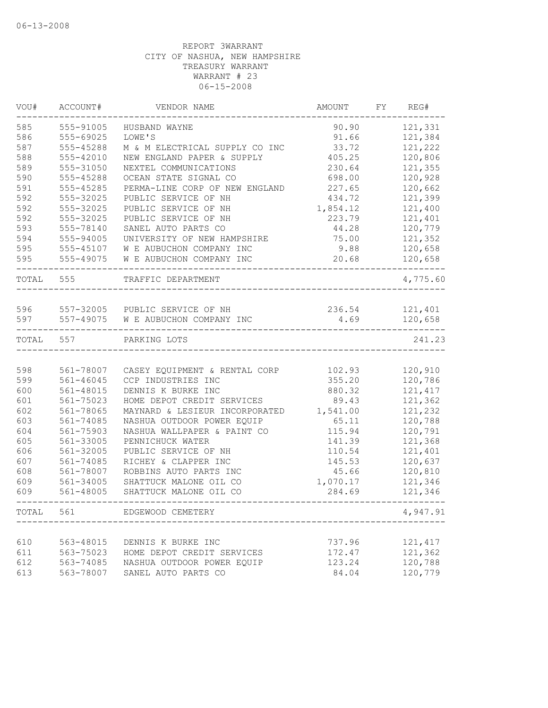| VOU#  | ACCOUNT#      | VENDOR NAME                    | AMOUNT   | FY | REG#     |
|-------|---------------|--------------------------------|----------|----|----------|
| 585   | 555-91005     | HUSBAND WAYNE                  | 90.90    |    | 121,331  |
| 586   | 555-69025     | LOWE'S                         | 91.66    |    | 121,384  |
| 587   | 555-45288     | M & M ELECTRICAL SUPPLY CO INC | 33.72    |    | 121,222  |
| 588   | 555-42010     | NEW ENGLAND PAPER & SUPPLY     | 405.25   |    | 120,806  |
| 589   | 555-31050     | NEXTEL COMMUNICATIONS          | 230.64   |    | 121,355  |
| 590   | 555-45288     | OCEAN STATE SIGNAL CO          | 698.00   |    | 120,928  |
| 591   | 555-45285     | PERMA-LINE CORP OF NEW ENGLAND | 227.65   |    | 120,662  |
| 592   | 555-32025     | PUBLIC SERVICE OF NH           | 434.72   |    | 121,399  |
| 592   | 555-32025     | PUBLIC SERVICE OF NH           | 1,854.12 |    | 121,400  |
| 592   | 555-32025     | PUBLIC SERVICE OF NH           | 223.79   |    | 121,401  |
| 593   | 555-78140     | SANEL AUTO PARTS CO            | 44.28    |    | 120,779  |
| 594   | 555-94005     | UNIVERSITY OF NEW HAMPSHIRE    | 75.00    |    | 121,352  |
| 595   | 555-45107     | W E AUBUCHON COMPANY INC       | 9.88     |    | 120,658  |
| 595   | 555-49075     | W E AUBUCHON COMPANY INC       | 20.68    |    | 120,658  |
| TOTAL | 555           | TRAFFIC DEPARTMENT             |          |    | 4,775.60 |
|       |               |                                |          |    |          |
| 596   |               | 557-32005 PUBLIC SERVICE OF NH | 236.54   |    | 121,401  |
| 597   | 557-49075     | W E AUBUCHON COMPANY INC       | 4.69     |    | 120,658  |
| TOTAL | 557           | PARKING LOTS                   |          |    | 241.23   |
|       |               |                                |          |    |          |
| 598   | 561-78007     | CASEY EQUIPMENT & RENTAL CORP  | 102.93   |    | 120,910  |
| 599   | $561 - 46045$ | CCP INDUSTRIES INC             | 355.20   |    | 120,786  |
| 600   | 561-48015     | DENNIS K BURKE INC             | 880.32   |    | 121, 417 |
| 601   | 561-75023     | HOME DEPOT CREDIT SERVICES     | 89.43    |    | 121,362  |
| 602   | 561-78065     | MAYNARD & LESIEUR INCORPORATED | 1,541.00 |    | 121,232  |
| 603   | 561-74085     | NASHUA OUTDOOR POWER EQUIP     | 65.11    |    | 120,788  |
| 604   | 561-75903     | NASHUA WALLPAPER & PAINT CO    | 115.94   |    | 120,791  |
| 605   | 561-33005     | PENNICHUCK WATER               | 141.39   |    | 121,368  |
| 606   | 561-32005     | PUBLIC SERVICE OF NH           | 110.54   |    | 121,401  |
| 607   | 561-74085     | RICHEY & CLAPPER INC           | 145.53   |    | 120,637  |
| 608   | 561-78007     | ROBBINS AUTO PARTS INC         | 45.66    |    | 120,810  |
| 609   | 561-34005     | SHATTUCK MALONE OIL CO         | 1,070.17 |    | 121,346  |
| 609   | 561-48005     | SHATTUCK MALONE OIL CO         | 284.69   |    | 121,346  |
| TOTAL | 561           | EDGEWOOD CEMETERY              |          |    | 4,947.91 |
|       |               |                                |          |    |          |
| 610   | 563-48015     | DENNIS K BURKE INC             | 737.96   |    | 121, 417 |
| 611   | 563-75023     | HOME DEPOT CREDIT SERVICES     | 172.47   |    | 121,362  |
| 612   | 563-74085     | NASHUA OUTDOOR POWER EQUIP     | 123.24   |    | 120,788  |
| 613   | 563-78007     | SANEL AUTO PARTS CO            | 84.04    |    | 120,779  |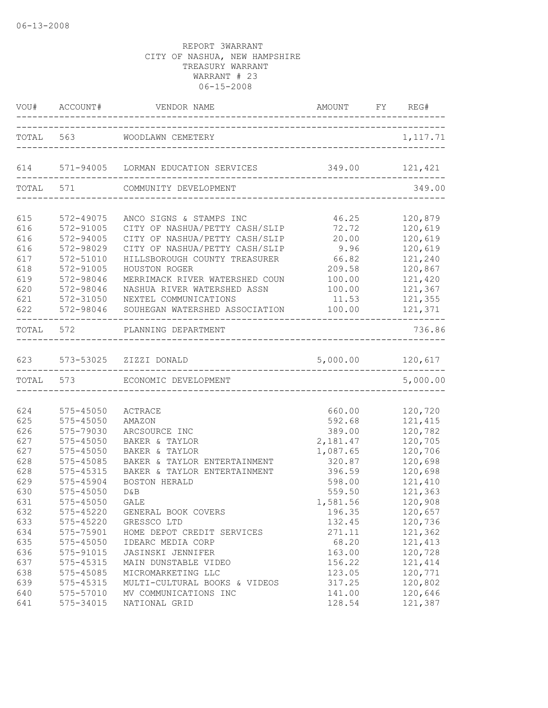|     |           | VOU# ACCOUNT# VENDOR NAME                                             | AMOUNT FY REG#   |           |
|-----|-----------|-----------------------------------------------------------------------|------------------|-----------|
|     |           | TOTAL 563 WOODLAWN CEMETERY<br>______________________________________ |                  | 1, 117.71 |
|     |           | 614 571-94005 LORMAN EDUCATION SERVICES<br>-------------------------  | 349.00 121,421   |           |
|     | TOTAL 571 | COMMUNITY DEVELOPMENT                                                 |                  | 349.00    |
| 615 | 572-49075 | ANCO SIGNS & STAMPS INC                                               | 46.25            | 120,879   |
| 616 | 572-91005 | CITY OF NASHUA/PETTY CASH/SLIP                                        | 72.72            | 120,619   |
| 616 | 572-94005 | CITY OF NASHUA/PETTY CASH/SLIP                                        | 20.00            | 120,619   |
| 616 | 572-98029 | CITY OF NASHUA/PETTY CASH/SLIP                                        | 9.96             | 120,619   |
| 617 | 572-51010 | HILLSBOROUGH COUNTY TREASURER                                         | 66.82            | 121,240   |
| 618 | 572-91005 | HOUSTON ROGER                                                         | 209.58           | 120,867   |
| 619 | 572-98046 | MERRIMACK RIVER WATERSHED COUN                                        | 100.00           | 121,420   |
| 620 | 572-98046 | NASHUA RIVER WATERSHED ASSN                                           | 100.00           | 121,367   |
| 621 | 572-31050 | NEXTEL COMMUNICATIONS                                                 | 11.53            | 121,355   |
| 622 | 572-98046 | SOUHEGAN WATERSHED ASSOCIATION                                        | 100.00           | 121,371   |
|     | TOTAL 572 | PLANNING DEPARTMENT                                                   |                  | 736.86    |
|     |           |                                                                       |                  |           |
| 623 |           | 573-53025 ZIZZI DONALD                                                | 5,000.00 120,617 |           |
|     | TOTAL 573 | ECONOMIC DEVELOPMENT                                                  |                  | 5,000.00  |
|     |           |                                                                       |                  |           |
| 624 | 575-45050 | ACTRACE                                                               | 660.00           | 120,720   |
| 625 | 575-45050 | AMAZON                                                                | 592.68           | 121,415   |
| 626 | 575-79030 | ARCSOURCE INC                                                         | 389.00           | 120,782   |
| 627 | 575-45050 | BAKER & TAYLOR                                                        | 2,181.47         | 120,705   |
| 627 | 575-45050 | BAKER & TAYLOR                                                        | 1,087.65         | 120,706   |
| 628 | 575-45085 | BAKER & TAYLOR ENTERTAINMENT                                          | 320.87           | 120,698   |
| 628 | 575-45315 | BAKER & TAYLOR ENTERTAINMENT                                          | 396.59           | 120,698   |
| 629 | 575-45904 | BOSTON HERALD                                                         | 598.00           | 121,410   |
| 630 | 575-45050 | D&B                                                                   | 559.50           | 121,363   |
| 631 | 575-45050 | GALE                                                                  | 1,581.56         | 120,908   |
| 632 | 575-45220 | GENERAL BOOK COVERS                                                   | 196.35           | 120,657   |
| 633 | 575-45220 | GRESSCO LTD                                                           | 132.45           | 120,736   |
| 634 | 575-75901 | HOME DEPOT CREDIT SERVICES                                            | 271.11           | 121,362   |
| 635 | 575-45050 | IDEARC MEDIA CORP                                                     | 68.20            | 121, 413  |
| 636 | 575-91015 | <b>JASINSKI JENNIFER</b>                                              | 163.00           | 120,728   |
| 637 | 575-45315 | MAIN DUNSTABLE VIDEO                                                  | 156.22           | 121, 414  |
| 638 | 575-45085 | MICROMARKETING LLC                                                    | 123.05           | 120,771   |
| 639 | 575-45315 | MULTI-CULTURAL BOOKS & VIDEOS                                         | 317.25           | 120,802   |
| 640 | 575-57010 | MV COMMUNICATIONS INC                                                 | 141.00           | 120,646   |
| 641 | 575-34015 | NATIONAL GRID                                                         | 128.54           | 121,387   |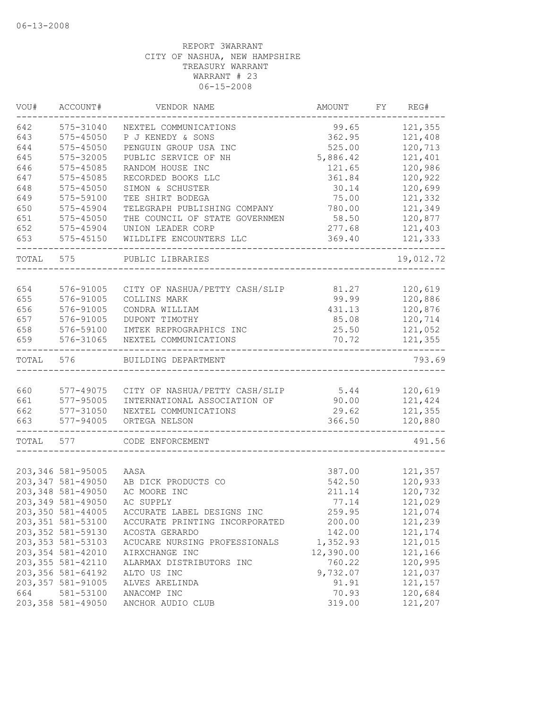| VOU#  | ACCOUNT#           | VENDOR NAME                    | AMOUNT    | FY | REG#      |
|-------|--------------------|--------------------------------|-----------|----|-----------|
| 642   | 575-31040          | NEXTEL COMMUNICATIONS          | 99.65     |    | 121,355   |
| 643   | 575-45050          | P J KENEDY & SONS              | 362.95    |    | 121,408   |
| 644   | 575-45050          | PENGUIN GROUP USA INC          | 525.00    |    | 120,713   |
| 645   | 575-32005          | PUBLIC SERVICE OF NH           | 5,886.42  |    | 121,401   |
| 646   | 575-45085          | RANDOM HOUSE INC               | 121.65    |    | 120,986   |
| 647   | 575-45085          | RECORDED BOOKS LLC             | 361.84    |    | 120,922   |
| 648   | 575-45050          | SIMON & SCHUSTER               | 30.14     |    | 120,699   |
| 649   | 575-59100          | TEE SHIRT BODEGA               | 75.00     |    | 121,332   |
| 650   | 575-45904          | TELEGRAPH PUBLISHING COMPANY   | 780.00    |    | 121,349   |
| 651   | 575-45050          | THE COUNCIL OF STATE GOVERNMEN | 58.50     |    | 120,877   |
| 652   | 575-45904          | UNION LEADER CORP              | 277.68    |    | 121,403   |
| 653   | 575-45150          | WILDLIFE ENCOUNTERS LLC        | 369.40    |    | 121,333   |
| TOTAL | 575                | PUBLIC LIBRARIES               |           |    | 19,012.72 |
|       |                    |                                |           |    |           |
| 654   | 576-91005          | CITY OF NASHUA/PETTY CASH/SLIP | 81.27     |    | 120,619   |
| 655   | 576-91005          | COLLINS MARK                   | 99.99     |    | 120,886   |
| 656   | 576-91005          | CONDRA WILLIAM                 | 431.13    |    | 120,876   |
| 657   | 576-91005          | DUPONT TIMOTHY                 | 85.08     |    | 120,714   |
| 658   | 576-59100          | IMTEK REPROGRAPHICS INC        | 25.50     |    | 121,052   |
| 659   | 576-31065          | NEXTEL COMMUNICATIONS          | 70.72     |    | 121,355   |
| TOTAL | 576                | BUILDING DEPARTMENT            |           |    | 793.69    |
|       | 577-49075          |                                |           |    |           |
| 660   |                    | CITY OF NASHUA/PETTY CASH/SLIP | 5.44      |    | 120,619   |
| 661   | 577-95005          | INTERNATIONAL ASSOCIATION OF   | 90.00     |    | 121,424   |
| 662   | 577-31050          | NEXTEL COMMUNICATIONS          | 29.62     |    | 121,355   |
| 663   | 577-94005          | ORTEGA NELSON                  | 366.50    |    | 120,880   |
| TOTAL | 577                | CODE ENFORCEMENT               |           |    | 491.56    |
|       |                    |                                |           |    |           |
|       | 203, 346 581-95005 | AASA                           | 387.00    |    | 121,357   |
|       | 203, 347 581-49050 | AB DICK PRODUCTS CO            | 542.50    |    | 120,933   |
|       | 203,348 581-49050  | AC MOORE INC                   | 211.14    |    | 120,732   |
|       | 203,349 581-49050  | AC SUPPLY                      | 77.14     |    | 121,029   |
|       | 203,350 581-44005  | ACCURATE LABEL DESIGNS INC     | 259.95    |    | 121,074   |
|       | 203, 351 581-53100 | ACCURATE PRINTING INCORPORATED | 200.00    |    | 121,239   |
|       | 203, 352 581-59130 | ACOSTA GERARDO                 | 142.00    |    | 121,174   |
|       | 203, 353 581-53103 | ACUCARE NURSING PROFESSIONALS  | 1,352.93  |    | 121,015   |
|       | 203, 354 581-42010 | AIRXCHANGE INC                 | 12,390.00 |    | 121,166   |
|       | 203, 355 581-42110 | ALARMAX DISTRIBUTORS INC       | 760.22    |    | 120,995   |
|       | 203, 356 581-64192 | ALTO US INC                    | 9,732.07  |    | 121,037   |
|       | 203, 357 581-91005 | ALVES ARELINDA                 | 91.91     |    | 121,157   |
| 664   | 581-53100          | ANACOMP INC                    | 70.93     |    | 120,684   |
|       | 203, 358 581-49050 | ANCHOR AUDIO CLUB              | 319.00    |    | 121,207   |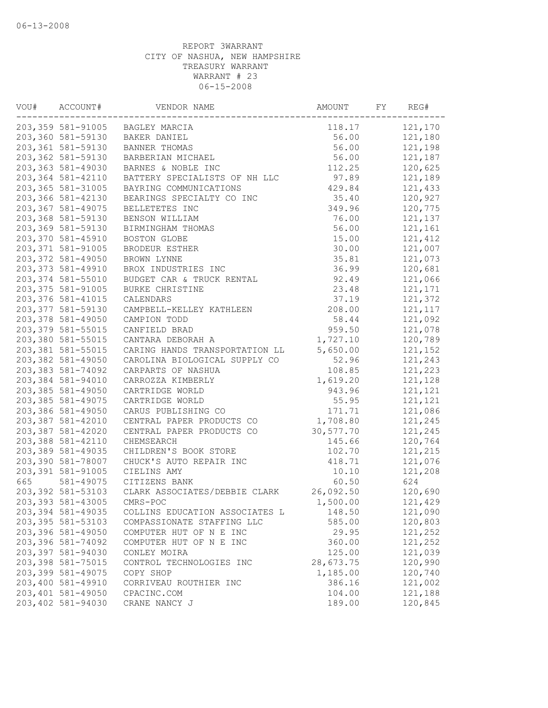| VOU# | ACCOUNT#           | VENDOR NAME                     | AMOUNT    | FY | REG#     |
|------|--------------------|---------------------------------|-----------|----|----------|
|      |                    | 203,359 581-91005 BAGLEY MARCIA | 118.17    |    | 121,170  |
|      | 203,360 581-59130  | BAKER DANIEL                    | 56.00     |    | 121,180  |
|      | 203,361 581-59130  | BANNER THOMAS                   | 56.00     |    | 121,198  |
|      | 203,362 581-59130  | BARBERIAN MICHAEL               | 56.00     |    | 121,187  |
|      | 203,363 581-49030  | BARNES & NOBLE INC              | 112.25    |    | 120,625  |
|      | 203,364 581-42110  | BATTERY SPECIALISTS OF NH LLC   | 97.89     |    | 121,189  |
|      | 203,365 581-31005  | BAYRING COMMUNICATIONS          | 429.84    |    | 121,433  |
|      | 203,366 581-42130  | BEARINGS SPECIALTY CO INC       | 35.40     |    | 120,927  |
|      | 203,367 581-49075  | BELLETETES INC                  | 349.96    |    | 120,775  |
|      | 203,368 581-59130  | BENSON WILLIAM                  | 76.00     |    | 121,137  |
|      | 203,369 581-59130  | BIRMINGHAM THOMAS               | 56.00     |    | 121,161  |
|      | 203,370 581-45910  | BOSTON GLOBE                    | 15.00     |    | 121,412  |
|      | 203, 371 581-91005 | BRODEUR ESTHER                  | 30.00     |    | 121,007  |
|      | 203,372 581-49050  | BROWN LYNNE                     | 35.81     |    | 121,073  |
|      | 203, 373 581-49910 | BROX INDUSTRIES INC             | 36.99     |    | 120,681  |
|      | 203,374 581-55010  | BUDGET CAR & TRUCK RENTAL       | 92.49     |    | 121,066  |
|      | 203, 375 581-91005 | BURKE CHRISTINE                 | 23.48     |    | 121,171  |
|      | 203,376 581-41015  | CALENDARS                       | 37.19     |    | 121,372  |
|      | 203, 377 581-59130 | CAMPBELL-KELLEY KATHLEEN        | 208.00    |    | 121, 117 |
|      | 203,378 581-49050  | CAMPION TODD                    | 58.44     |    | 121,092  |
|      | 203,379 581-55015  | CANFIELD BRAD                   | 959.50    |    | 121,078  |
|      | 203,380 581-55015  | CANTARA DEBORAH A               | 1,727.10  |    | 120,789  |
|      | 203,381 581-55015  | CARING HANDS TRANSPORTATION LL  | 5,650.00  |    | 121,152  |
|      | 203,382 581-49050  | CAROLINA BIOLOGICAL SUPPLY CO   | 52.96     |    | 121,243  |
|      | 203,383 581-74092  | CARPARTS OF NASHUA              | 108.85    |    | 121,223  |
|      | 203,384 581-94010  | CARROZZA KIMBERLY               | 1,619.20  |    | 121,128  |
|      | 203,385 581-49050  | CARTRIDGE WORLD                 | 943.96    |    | 121,121  |
|      | 203,385 581-49075  | CARTRIDGE WORLD                 | 55.95     |    | 121,121  |
|      | 203,386 581-49050  | CARUS PUBLISHING CO             | 171.71    |    | 121,086  |
|      | 203,387 581-42010  | CENTRAL PAPER PRODUCTS CO       | 1,708.80  |    | 121,245  |
|      | 203,387 581-42020  | CENTRAL PAPER PRODUCTS CO       | 30,577.70 |    | 121,245  |
|      | 203,388 581-42110  | CHEMSEARCH                      | 145.66    |    | 120,764  |
|      | 203,389 581-49035  | CHILDREN'S BOOK STORE           | 102.70    |    | 121,215  |
|      | 203,390 581-78007  | CHUCK'S AUTO REPAIR INC         | 418.71    |    | 121,076  |
|      | 203,391 581-91005  | CIELINS AMY                     | 10.10     |    | 121,208  |
| 665  | 581-49075          | CITIZENS BANK                   | 60.50     |    | 624      |
|      | 203, 392 581-53103 | CLARK ASSOCIATES/DEBBIE CLARK   | 26,092.50 |    | 120,690  |
|      | 203,393 581-43005  | CMRS-POC                        | 1,500.00  |    | 121,429  |
|      | 203,394 581-49035  | COLLINS EDUCATION ASSOCIATES L  | 148.50    |    | 121,090  |
|      | 203, 395 581-53103 | COMPASSIONATE STAFFING LLC      | 585.00    |    | 120,803  |
|      | 203,396 581-49050  | COMPUTER HUT OF N E INC         | 29.95     |    | 121,252  |
|      | 203,396 581-74092  | COMPUTER HUT OF N E INC         | 360.00    |    | 121,252  |
|      | 203,397 581-94030  | CONLEY MOIRA                    | 125.00    |    | 121,039  |
|      | 203,398 581-75015  | CONTROL TECHNOLOGIES INC        | 28,673.75 |    | 120,990  |
|      | 203,399 581-49075  | COPY SHOP                       | 1,185.00  |    | 120,740  |
|      | 203,400 581-49910  | CORRIVEAU ROUTHIER INC          | 386.16    |    | 121,002  |
|      | 203,401 581-49050  | CPACINC.COM                     | 104.00    |    | 121,188  |
|      | 203,402 581-94030  | CRANE NANCY J                   | 189.00    |    | 120,845  |
|      |                    |                                 |           |    |          |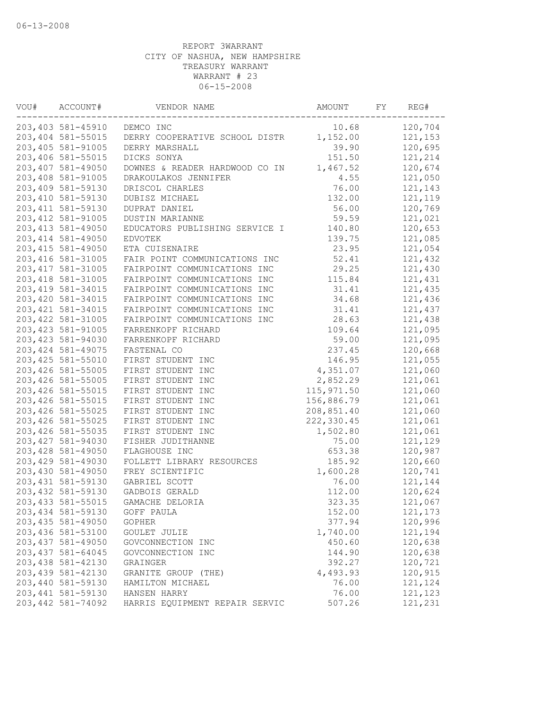| VOU# | ACCOUNT#           | VENDOR NAME                    | AMOUNT      | FY | REG#     |
|------|--------------------|--------------------------------|-------------|----|----------|
|      | 203,403 581-45910  | DEMCO INC                      | 10.68       |    | 120,704  |
|      | 203,404 581-55015  | DERRY COOPERATIVE SCHOOL DISTR | 1,152.00    |    | 121,153  |
|      | 203,405 581-91005  | DERRY MARSHALL                 | 39.90       |    | 120,695  |
|      | 203,406 581-55015  | DICKS SONYA                    | 151.50      |    | 121,214  |
|      | 203,407 581-49050  | DOWNES & READER HARDWOOD CO IN | 1,467.52    |    | 120,674  |
|      | 203,408 581-91005  | DRAKOULAKOS JENNIFER           | 4.55        |    | 121,050  |
|      | 203,409 581-59130  | DRISCOL CHARLES                | 76.00       |    | 121,143  |
|      | 203,410 581-59130  | DUBISZ MICHAEL                 | 132.00      |    | 121,119  |
|      | 203, 411 581-59130 | DUPRAT DANIEL                  | 56.00       |    | 120,769  |
|      | 203, 412 581-91005 | DUSTIN MARIANNE                | 59.59       |    | 121,021  |
|      | 203, 413 581-49050 | EDUCATORS PUBLISHING SERVICE I | 140.80      |    | 120,653  |
|      | 203, 414 581-49050 | <b>EDVOTEK</b>                 | 139.75      |    | 121,085  |
|      | 203, 415 581-49050 | ETA CUISENAIRE                 | 23.95       |    | 121,054  |
|      | 203, 416 581-31005 | FAIR POINT COMMUNICATIONS INC  | 52.41       |    | 121,432  |
|      | 203, 417 581-31005 | FAIRPOINT COMMUNICATIONS INC   | 29.25       |    | 121,430  |
|      | 203, 418 581-31005 | FAIRPOINT COMMUNICATIONS INC   | 115.84      |    | 121,431  |
|      | 203, 419 581-34015 | FAIRPOINT COMMUNICATIONS INC   | 31.41       |    | 121,435  |
|      | 203,420 581-34015  | FAIRPOINT COMMUNICATIONS INC   | 34.68       |    | 121,436  |
|      | 203, 421 581-34015 | FAIRPOINT COMMUNICATIONS INC   | 31.41       |    | 121,437  |
|      | 203, 422 581-31005 | FAIRPOINT COMMUNICATIONS INC   | 28.63       |    | 121,438  |
|      | 203, 423 581-91005 | FARRENKOPF RICHARD             | 109.64      |    | 121,095  |
|      | 203, 423 581-94030 | FARRENKOPF RICHARD             | 59.00       |    | 121,095  |
|      | 203, 424 581-49075 | FASTENAL CO                    | 237.45      |    | 120,668  |
|      | 203, 425 581-55010 | FIRST STUDENT INC              | 146.95      |    | 121,055  |
|      | 203,426 581-55005  | FIRST STUDENT INC              | 4,351.07    |    | 121,060  |
|      | 203,426 581-55005  | FIRST STUDENT INC              | 2,852.29    |    | 121,061  |
|      | 203, 426 581-55015 | FIRST STUDENT INC              | 115, 971.50 |    | 121,060  |
|      | 203, 426 581-55015 | FIRST STUDENT INC              | 156,886.79  |    | 121,061  |
|      | 203, 426 581-55025 | FIRST STUDENT INC              | 208,851.40  |    | 121,060  |
|      | 203,426 581-55025  | FIRST STUDENT INC              | 222,330.45  |    | 121,061  |
|      | 203, 426 581-55035 | FIRST STUDENT INC              | 1,502.80    |    | 121,061  |
|      | 203, 427 581-94030 | FISHER JUDITHANNE              | 75.00       |    | 121,129  |
|      | 203, 428 581-49050 | FLAGHOUSE INC                  | 653.38      |    | 120,987  |
|      | 203, 429 581-49030 | FOLLETT LIBRARY RESOURCES      | 185.92      |    | 120,660  |
|      | 203,430 581-49050  | FREY SCIENTIFIC                | 1,600.28    |    | 120,741  |
|      | 203, 431 581-59130 | GABRIEL SCOTT                  | 76.00       |    | 121,144  |
|      | 203, 432 581-59130 | GADBOIS GERALD                 | 112.00      |    | 120,624  |
|      | 203, 433 581-55015 | GAMACHE DELORIA                | 323.35      |    | 121,067  |
|      | 203,434 581-59130  | GOFF PAULA                     | 152.00      |    | 121, 173 |
|      | 203, 435 581-49050 | <b>GOPHER</b>                  | 377.94      |    | 120,996  |
|      | 203,436 581-53100  | GOULET JULIE                   | 1,740.00    |    | 121,194  |
|      | 203, 437 581-49050 | GOVCONNECTION INC              | 450.60      |    | 120,638  |
|      | 203, 437 581-64045 | GOVCONNECTION INC              | 144.90      |    | 120,638  |
|      | 203,438 581-42130  | GRAINGER                       | 392.27      |    | 120,721  |
|      | 203,439 581-42130  | GRANITE GROUP (THE)            | 4,493.93    |    | 120,915  |
|      | 203,440 581-59130  | HAMILTON MICHAEL               | 76.00       |    | 121,124  |
|      | 203, 441 581-59130 | HANSEN HARRY                   | 76.00       |    | 121,123  |
|      | 203, 442 581-74092 | HARRIS EQUIPMENT REPAIR SERVIC | 507.26      |    | 121,231  |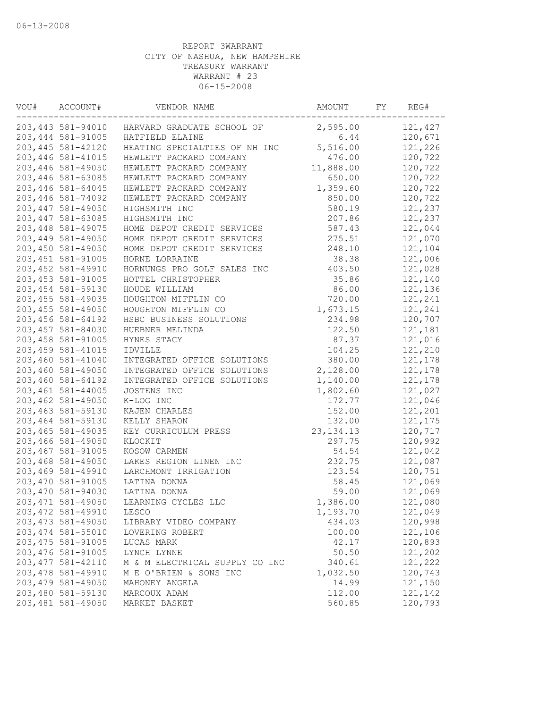| VOU# | ACCOUNT#           | VENDOR NAME                                  | AMOUNT      | FY | REG#    |
|------|--------------------|----------------------------------------------|-------------|----|---------|
|      |                    | 203,443 581-94010 HARVARD GRADUATE SCHOOL OF | 2,595.00    |    | 121,427 |
|      | 203, 444 581-91005 | HATFIELD ELAINE                              | 6.44        |    | 120,671 |
|      | 203, 445 581-42120 | HEATING SPECIALTIES OF NH INC                | 5,516.00    |    | 121,226 |
|      | 203,446 581-41015  | HEWLETT PACKARD COMPANY                      | 476.00      |    | 120,722 |
|      | 203,446 581-49050  | HEWLETT PACKARD COMPANY                      | 11,888.00   |    | 120,722 |
|      | 203,446 581-63085  | HEWLETT PACKARD COMPANY                      | 650.00      |    | 120,722 |
|      | 203,446 581-64045  | HEWLETT PACKARD COMPANY                      | 1,359.60    |    | 120,722 |
|      | 203, 446 581-74092 | HEWLETT PACKARD COMPANY                      | 850.00      |    | 120,722 |
|      | 203, 447 581-49050 | HIGHSMITH INC                                | 580.19      |    | 121,237 |
|      | 203, 447 581-63085 | HIGHSMITH INC                                | 207.86      |    | 121,237 |
|      | 203, 448 581-49075 | HOME DEPOT CREDIT SERVICES                   | 587.43      |    | 121,044 |
|      | 203,449 581-49050  | HOME DEPOT CREDIT SERVICES                   | 275.51      |    | 121,070 |
|      | 203,450 581-49050  | HOME DEPOT CREDIT SERVICES                   | 248.10      |    | 121,104 |
|      | 203, 451 581-91005 | HORNE LORRAINE                               | 38.38       |    | 121,006 |
|      | 203, 452 581-49910 | HORNUNGS PRO GOLF SALES INC                  | 403.50      |    | 121,028 |
|      | 203, 453 581-91005 | HOTTEL CHRISTOPHER                           | 35.86       |    | 121,140 |
|      | 203, 454 581-59130 | HOUDE WILLIAM                                | 86.00       |    | 121,136 |
|      | 203, 455 581-49035 | HOUGHTON MIFFLIN CO                          | 720.00      |    | 121,241 |
|      | 203, 455 581-49050 | HOUGHTON MIFFLIN CO                          | 1,673.15    |    | 121,241 |
|      | 203,456 581-64192  | HSBC BUSINESS SOLUTIONS                      | 234.98      |    | 120,707 |
|      | 203, 457 581-84030 | HUEBNER MELINDA                              | 122.50      |    | 121,181 |
|      | 203, 458 581-91005 | HYNES STACY                                  | 87.37       |    | 121,016 |
|      | 203, 459 581-41015 | IDVILLE                                      | 104.25      |    | 121,210 |
|      | 203,460 581-41040  | INTEGRATED OFFICE SOLUTIONS                  | 380.00      |    | 121,178 |
|      | 203,460 581-49050  | INTEGRATED OFFICE SOLUTIONS                  | 2,128.00    |    | 121,178 |
|      | 203,460 581-64192  | INTEGRATED OFFICE SOLUTIONS                  | 1,140.00    |    | 121,178 |
|      | 203,461 581-44005  | JOSTENS INC                                  | 1,802.60    |    | 121,027 |
|      | 203,462 581-49050  | K-LOG INC                                    | 172.77      |    | 121,046 |
|      | 203,463 581-59130  | KAJEN CHARLES                                | 152.00      |    | 121,201 |
|      | 203,464 581-59130  |                                              |             |    |         |
|      |                    | KELLY SHARON                                 | 132.00      |    | 121,175 |
|      | 203, 465 581-49035 | KEY CURRICULUM PRESS                         | 23, 134. 13 |    | 120,717 |
|      | 203,466 581-49050  | KLOCKIT                                      | 297.75      |    | 120,992 |
|      | 203,467 581-91005  | KOSOW CARMEN                                 | 54.54       |    | 121,042 |
|      | 203,468 581-49050  | LAKES REGION LINEN INC                       | 232.75      |    | 121,087 |
|      | 203,469 581-49910  | LARCHMONT IRRIGATION                         | 123.54      |    | 120,751 |
|      | 203,470 581-91005  | LATINA DONNA                                 | 58.45       |    | 121,069 |
|      | 203,470 581-94030  | LATINA DONNA                                 | 59.00       |    | 121,069 |
|      | 203, 471 581-49050 | LEARNING CYCLES LLC                          | 1,386.00    |    | 121,080 |
|      | 203, 472 581-49910 | LESCO                                        | 1,193.70    |    | 121,049 |
|      | 203, 473 581-49050 | LIBRARY VIDEO COMPANY                        | 434.03      |    | 120,998 |
|      | 203, 474 581-55010 | LOVERING ROBERT                              | 100.00      |    | 121,106 |
|      | 203, 475 581-91005 | LUCAS MARK                                   | 42.17       |    | 120,893 |
|      | 203, 476 581-91005 | LYNCH LYNNE                                  | 50.50       |    | 121,202 |
|      | 203, 477 581-42110 | M & M ELECTRICAL SUPPLY CO INC               | 340.61      |    | 121,222 |
|      | 203, 478 581-49910 | M E O'BRIEN & SONS INC                       | 1,032.50    |    | 120,743 |
|      | 203, 479 581-49050 | MAHONEY ANGELA                               | 14.99       |    | 121,150 |
|      | 203,480 581-59130  | MARCOUX ADAM                                 | 112.00      |    | 121,142 |
|      | 203,481 581-49050  | MARKET BASKET                                | 560.85      |    | 120,793 |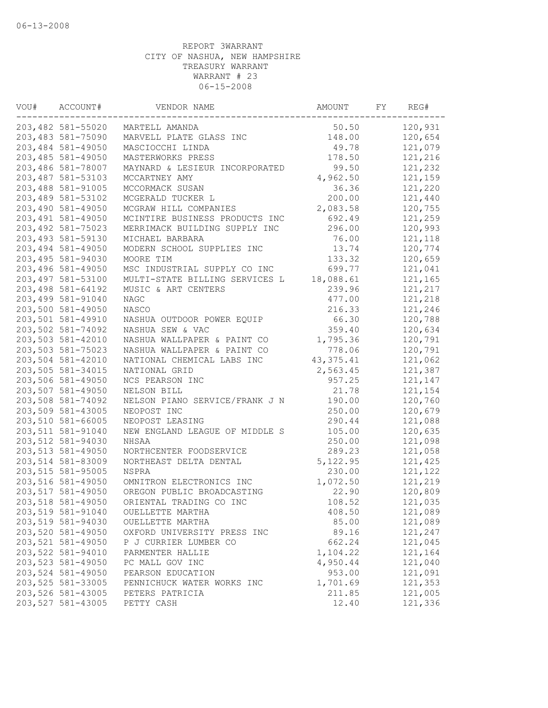| VOU# | ACCOUNT#           | VENDOR NAME                    | AMOUNT      | FY | REG#    |
|------|--------------------|--------------------------------|-------------|----|---------|
|      | 203,482 581-55020  | MARTELL AMANDA                 | 50.50       |    | 120,931 |
|      | 203,483 581-75090  | MARVELL PLATE GLASS INC        | 148.00      |    | 120,654 |
|      | 203,484 581-49050  | MASCIOCCHI LINDA               | 49.78       |    | 121,079 |
|      | 203,485 581-49050  | MASTERWORKS PRESS              | 178.50      |    | 121,216 |
|      | 203,486 581-78007  | MAYNARD & LESIEUR INCORPORATED | 99.50       |    | 121,232 |
|      | 203,487 581-53103  | MCCARTNEY AMY                  | 4,962.50    |    | 121,159 |
|      | 203,488 581-91005  | MCCORMACK SUSAN                | 36.36       |    | 121,220 |
|      | 203,489 581-53102  | MCGERALD TUCKER L              | 200.00      |    | 121,440 |
|      | 203,490 581-49050  | MCGRAW HILL COMPANIES          | 2,083.58    |    | 120,755 |
|      | 203, 491 581-49050 | MCINTIRE BUSINESS PRODUCTS INC | 692.49      |    | 121,259 |
|      | 203, 492 581-75023 | MERRIMACK BUILDING SUPPLY INC  | 296.00      |    | 120,993 |
|      | 203, 493 581-59130 | MICHAEL BARBARA                | 76.00       |    | 121,118 |
|      | 203,494 581-49050  | MODERN SCHOOL SUPPLIES INC     | 13.74       |    | 120,774 |
|      | 203,495 581-94030  | MOORE TIM                      | 133.32      |    | 120,659 |
|      | 203,496 581-49050  | MSC INDUSTRIAL SUPPLY CO INC   | 699.77      |    | 121,041 |
|      | 203,497 581-53100  | MULTI-STATE BILLING SERVICES L | 18,088.61   |    | 121,165 |
|      | 203,498 581-64192  | MUSIC & ART CENTERS            | 239.96      |    | 121,217 |
|      | 203,499 581-91040  | <b>NAGC</b>                    | 477.00      |    | 121,218 |
|      | 203,500 581-49050  | NASCO                          | 216.33      |    | 121,246 |
|      | 203,501 581-49910  | NASHUA OUTDOOR POWER EQUIP     | 66.30       |    | 120,788 |
|      | 203,502 581-74092  | NASHUA SEW & VAC               | 359.40      |    | 120,634 |
|      | 203,503 581-42010  | NASHUA WALLPAPER & PAINT CO    | 1,795.36    |    | 120,791 |
|      | 203,503 581-75023  | NASHUA WALLPAPER & PAINT CO    | 778.06      |    | 120,791 |
|      | 203,504 581-42010  | NATIONAL CHEMICAL LABS INC     | 43, 375. 41 |    | 121,062 |
|      | 203,505 581-34015  | NATIONAL GRID                  | 2,563.45    |    | 121,387 |
|      | 203,506 581-49050  | NCS PEARSON INC                | 957.25      |    | 121,147 |
|      | 203,507 581-49050  | NELSON BILL                    | 21.78       |    | 121,154 |
|      | 203,508 581-74092  | NELSON PIANO SERVICE/FRANK J N | 190.00      |    | 120,760 |
|      | 203,509 581-43005  | NEOPOST INC                    | 250.00      |    | 120,679 |
|      | 203,510 581-66005  | NEOPOST LEASING                | 290.44      |    | 121,088 |
|      | 203,511 581-91040  | NEW ENGLAND LEAGUE OF MIDDLE S | 105.00      |    | 120,635 |
|      | 203,512 581-94030  | NHSAA                          | 250.00      |    | 121,098 |
|      | 203,513 581-49050  | NORTHCENTER FOODSERVICE        | 289.23      |    | 121,058 |
|      | 203,514 581-83009  | NORTHEAST DELTA DENTAL         | 5,122.95    |    | 121,425 |
|      | 203,515 581-95005  | NSPRA                          | 230.00      |    | 121,122 |
|      | 203,516 581-49050  | OMNITRON ELECTRONICS INC       | 1,072.50    |    | 121,219 |
|      | 203,517 581-49050  | OREGON PUBLIC BROADCASTING     | 22.90       |    | 120,809 |
|      | 203,518 581-49050  | ORIENTAL TRADING CO INC        | 108.52      |    | 121,035 |
|      | 203,519 581-91040  | OUELLETTE MARTHA               | 408.50      |    | 121,089 |
|      | 203,519 581-94030  | OUELLETTE MARTHA               | 85.00       |    | 121,089 |
|      | 203,520 581-49050  | OXFORD UNIVERSITY PRESS INC    | 89.16       |    | 121,247 |
|      | 203,521 581-49050  | P J CURRIER LUMBER CO          | 662.24      |    | 121,045 |
|      | 203,522 581-94010  | PARMENTER HALLIE               | 1,104.22    |    | 121,164 |
|      | 203,523 581-49050  | PC MALL GOV INC                | 4,950.44    |    | 121,040 |
|      | 203,524 581-49050  | PEARSON EDUCATION              | 953.00      |    | 121,091 |
|      | 203,525 581-33005  | PENNICHUCK WATER WORKS INC     | 1,701.69    |    | 121,353 |
|      | 203,526 581-43005  | PETERS PATRICIA                | 211.85      |    | 121,005 |
|      | 203,527 581-43005  | PETTY CASH                     | 12.40       |    | 121,336 |
|      |                    |                                |             |    |         |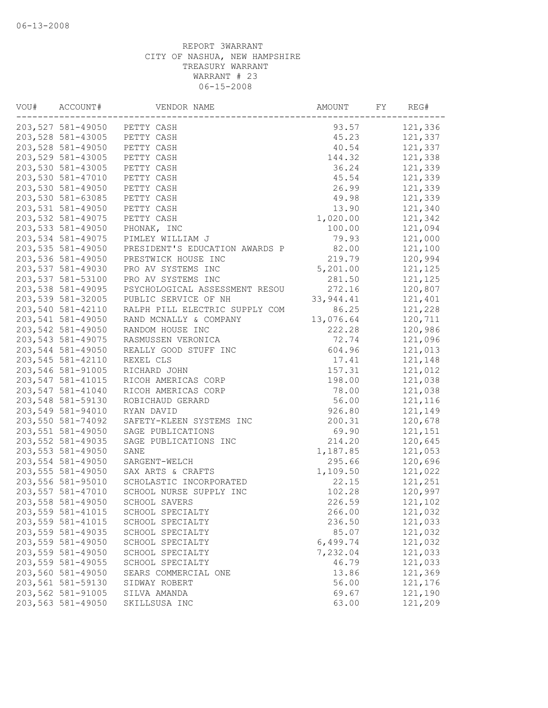| VOU# | ACCOUNT#          | VENDOR NAME                    | AMOUNT     | FY | REG#    |
|------|-------------------|--------------------------------|------------|----|---------|
|      |                   | 203,527 581-49050 PETTY CASH   | 93.57      |    | 121,336 |
|      | 203,528 581-43005 | PETTY CASH                     | 45.23      |    | 121,337 |
|      | 203,528 581-49050 | PETTY CASH                     | 40.54      |    | 121,337 |
|      | 203,529 581-43005 | PETTY CASH                     | 144.32     |    | 121,338 |
|      | 203,530 581-43005 | PETTY CASH                     | 36.24      |    | 121,339 |
|      | 203,530 581-47010 | PETTY CASH                     | 45.54      |    | 121,339 |
|      | 203,530 581-49050 | PETTY CASH                     | 26.99      |    | 121,339 |
|      | 203,530 581-63085 | PETTY CASH                     | 49.98      |    | 121,339 |
|      | 203,531 581-49050 | PETTY CASH                     | 13.90      |    | 121,340 |
|      | 203,532 581-49075 | PETTY CASH                     | 1,020.00   |    | 121,342 |
|      | 203,533 581-49050 | PHONAK, INC                    | 100.00     |    | 121,094 |
|      | 203,534 581-49075 | PIMLEY WILLIAM J               | 79.93      |    | 121,000 |
|      | 203,535 581-49050 | PRESIDENT'S EDUCATION AWARDS P | 82.00      |    | 121,100 |
|      | 203,536 581-49050 | PRESTWICK HOUSE INC            | 219.79     |    | 120,994 |
|      | 203,537 581-49030 | PRO AV SYSTEMS INC             | 5,201.00   |    | 121,125 |
|      | 203,537 581-53100 | PRO AV SYSTEMS INC             | 281.50     |    | 121,125 |
|      | 203,538 581-49095 | PSYCHOLOGICAL ASSESSMENT RESOU | 272.16     |    | 120,807 |
|      | 203,539 581-32005 | PUBLIC SERVICE OF NH           | 33, 944.41 |    | 121,401 |
|      | 203,540 581-42110 | RALPH PILL ELECTRIC SUPPLY COM | 86.25      |    | 121,228 |
|      | 203,541 581-49050 | RAND MCNALLY & COMPANY         | 13,076.64  |    | 120,711 |
|      | 203,542 581-49050 | RANDOM HOUSE INC               | 222.28     |    | 120,986 |
|      | 203,543 581-49075 | RASMUSSEN VERONICA             | 72.74      |    | 121,096 |
|      | 203,544 581-49050 | REALLY GOOD STUFF INC          | 604.96     |    | 121,013 |
|      | 203,545 581-42110 | REXEL CLS                      | 17.41      |    | 121,148 |
|      | 203,546 581-91005 | RICHARD JOHN                   | 157.31     |    | 121,012 |
|      | 203,547 581-41015 | RICOH AMERICAS CORP            | 198.00     |    | 121,038 |
|      | 203,547 581-41040 | RICOH AMERICAS CORP            | 78.00      |    | 121,038 |
|      | 203,548 581-59130 | ROBICHAUD GERARD               | 56.00      |    | 121,116 |
|      | 203,549 581-94010 | RYAN DAVID                     | 926.80     |    | 121,149 |
|      | 203,550 581-74092 | SAFETY-KLEEN SYSTEMS INC       | 200.31     |    | 120,678 |
|      | 203,551 581-49050 | SAGE PUBLICATIONS              | 69.90      |    | 121,151 |
|      | 203,552 581-49035 | SAGE PUBLICATIONS INC          | 214.20     |    | 120,645 |
|      | 203,553 581-49050 | SANE                           | 1,187.85   |    | 121,053 |
|      | 203,554 581-49050 | SARGENT-WELCH                  | 295.66     |    | 120,696 |
|      | 203,555 581-49050 | SAX ARTS & CRAFTS              | 1,109.50   |    | 121,022 |
|      | 203,556 581-95010 | SCHOLASTIC INCORPORATED        | 22.15      |    | 121,251 |
|      | 203,557 581-47010 | SCHOOL NURSE SUPPLY INC        | 102.28     |    | 120,997 |
|      | 203,558 581-49050 | SCHOOL SAVERS                  | 226.59     |    | 121,102 |
|      | 203,559 581-41015 | SCHOOL SPECIALTY               | 266.00     |    | 121,032 |
|      | 203,559 581-41015 | SCHOOL SPECIALTY               | 236.50     |    | 121,033 |
|      | 203,559 581-49035 | SCHOOL SPECIALTY               | 85.07      |    | 121,032 |
|      | 203,559 581-49050 | SCHOOL SPECIALTY               | 6,499.74   |    | 121,032 |
|      | 203,559 581-49050 | SCHOOL SPECIALTY               | 7,232.04   |    | 121,033 |
|      | 203,559 581-49055 | SCHOOL SPECIALTY               | 46.79      |    | 121,033 |
|      | 203,560 581-49050 | SEARS COMMERCIAL ONE           | 13.86      |    | 121,369 |
|      | 203,561 581-59130 | SIDWAY ROBERT                  | 56.00      |    | 121,176 |
|      | 203,562 581-91005 | SILVA AMANDA                   | 69.67      |    | 121,190 |
|      | 203,563 581-49050 | SKILLSUSA INC                  | 63.00      |    | 121,209 |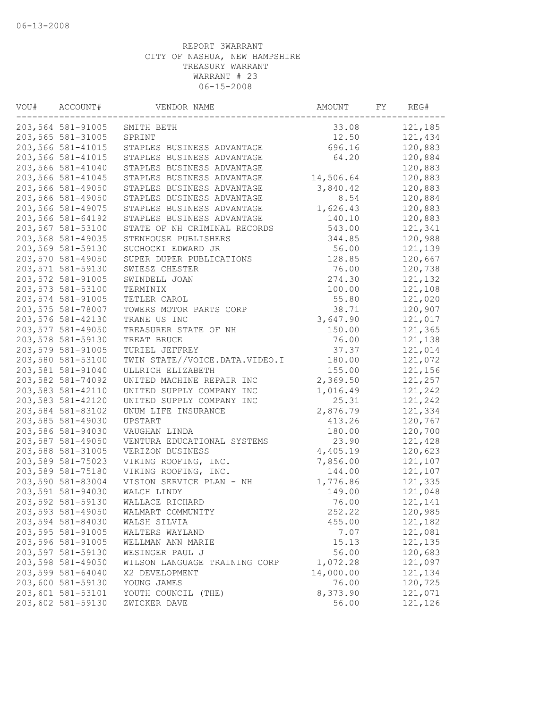| ACCOUNT#          | VENDOR NAME                                                                                                                                                                                                                                                                                                                                                                                                                                                                                                                                                                                                                   | AMOUNT                                                                                                                    | FY                                                                                                                               | REG#    |
|-------------------|-------------------------------------------------------------------------------------------------------------------------------------------------------------------------------------------------------------------------------------------------------------------------------------------------------------------------------------------------------------------------------------------------------------------------------------------------------------------------------------------------------------------------------------------------------------------------------------------------------------------------------|---------------------------------------------------------------------------------------------------------------------------|----------------------------------------------------------------------------------------------------------------------------------|---------|
| 203,564 581-91005 | SMITH BETH                                                                                                                                                                                                                                                                                                                                                                                                                                                                                                                                                                                                                    | 33.08                                                                                                                     |                                                                                                                                  | 121,185 |
| 203,565 581-31005 | SPRINT                                                                                                                                                                                                                                                                                                                                                                                                                                                                                                                                                                                                                        | 12.50                                                                                                                     |                                                                                                                                  | 121,434 |
| 203,566 581-41015 |                                                                                                                                                                                                                                                                                                                                                                                                                                                                                                                                                                                                                               | 696.16                                                                                                                    |                                                                                                                                  | 120,883 |
| 203,566 581-41015 | STAPLES BUSINESS ADVANTAGE                                                                                                                                                                                                                                                                                                                                                                                                                                                                                                                                                                                                    | 64.20                                                                                                                     |                                                                                                                                  | 120,884 |
| 203,566 581-41040 | STAPLES BUSINESS ADVANTAGE                                                                                                                                                                                                                                                                                                                                                                                                                                                                                                                                                                                                    |                                                                                                                           |                                                                                                                                  | 120,883 |
|                   | STAPLES BUSINESS ADVANTAGE                                                                                                                                                                                                                                                                                                                                                                                                                                                                                                                                                                                                    |                                                                                                                           |                                                                                                                                  | 120,883 |
|                   | STAPLES BUSINESS ADVANTAGE                                                                                                                                                                                                                                                                                                                                                                                                                                                                                                                                                                                                    |                                                                                                                           |                                                                                                                                  | 120,883 |
|                   | STAPLES BUSINESS ADVANTAGE                                                                                                                                                                                                                                                                                                                                                                                                                                                                                                                                                                                                    |                                                                                                                           |                                                                                                                                  | 120,884 |
|                   | STAPLES BUSINESS ADVANTAGE                                                                                                                                                                                                                                                                                                                                                                                                                                                                                                                                                                                                    |                                                                                                                           |                                                                                                                                  | 120,883 |
|                   | STAPLES BUSINESS ADVANTAGE                                                                                                                                                                                                                                                                                                                                                                                                                                                                                                                                                                                                    | 140.10                                                                                                                    |                                                                                                                                  | 120,883 |
|                   |                                                                                                                                                                                                                                                                                                                                                                                                                                                                                                                                                                                                                               | 543.00                                                                                                                    |                                                                                                                                  | 121,341 |
|                   | STENHOUSE PUBLISHERS                                                                                                                                                                                                                                                                                                                                                                                                                                                                                                                                                                                                          | 344.85                                                                                                                    |                                                                                                                                  | 120,988 |
| 203,569 581-59130 | SUCHOCKI EDWARD JR                                                                                                                                                                                                                                                                                                                                                                                                                                                                                                                                                                                                            | 56.00                                                                                                                     |                                                                                                                                  | 121,139 |
|                   | SUPER DUPER PUBLICATIONS                                                                                                                                                                                                                                                                                                                                                                                                                                                                                                                                                                                                      |                                                                                                                           |                                                                                                                                  | 120,667 |
|                   | SWIESZ CHESTER                                                                                                                                                                                                                                                                                                                                                                                                                                                                                                                                                                                                                | 76.00                                                                                                                     |                                                                                                                                  | 120,738 |
|                   | SWINDELL JOAN                                                                                                                                                                                                                                                                                                                                                                                                                                                                                                                                                                                                                 |                                                                                                                           |                                                                                                                                  | 121,132 |
|                   | TERMINIX                                                                                                                                                                                                                                                                                                                                                                                                                                                                                                                                                                                                                      | 100.00                                                                                                                    |                                                                                                                                  | 121,108 |
|                   | TETLER CAROL                                                                                                                                                                                                                                                                                                                                                                                                                                                                                                                                                                                                                  | 55.80                                                                                                                     |                                                                                                                                  | 121,020 |
| 203,575 581-78007 | TOWERS MOTOR PARTS CORP                                                                                                                                                                                                                                                                                                                                                                                                                                                                                                                                                                                                       | 38.71                                                                                                                     |                                                                                                                                  | 120,907 |
| 203,576 581-42130 | TRANE US INC                                                                                                                                                                                                                                                                                                                                                                                                                                                                                                                                                                                                                  | 3,647.90                                                                                                                  |                                                                                                                                  | 121,017 |
|                   | TREASURER STATE OF NH                                                                                                                                                                                                                                                                                                                                                                                                                                                                                                                                                                                                         | 150.00                                                                                                                    |                                                                                                                                  | 121,365 |
| 203,578 581-59130 | TREAT BRUCE                                                                                                                                                                                                                                                                                                                                                                                                                                                                                                                                                                                                                   | 76.00                                                                                                                     |                                                                                                                                  | 121,138 |
|                   | TURIEL JEFFREY                                                                                                                                                                                                                                                                                                                                                                                                                                                                                                                                                                                                                | 37.37                                                                                                                     |                                                                                                                                  | 121,014 |
| 203,580 581-53100 | TWIN STATE//VOICE.DATA.VIDEO.I                                                                                                                                                                                                                                                                                                                                                                                                                                                                                                                                                                                                | 180.00                                                                                                                    |                                                                                                                                  | 121,072 |
| 203,581 581-91040 | ULLRICH ELIZABETH                                                                                                                                                                                                                                                                                                                                                                                                                                                                                                                                                                                                             | 155.00                                                                                                                    |                                                                                                                                  | 121,156 |
|                   | UNITED MACHINE REPAIR INC                                                                                                                                                                                                                                                                                                                                                                                                                                                                                                                                                                                                     |                                                                                                                           |                                                                                                                                  | 121,257 |
|                   | UNITED SUPPLY COMPANY INC                                                                                                                                                                                                                                                                                                                                                                                                                                                                                                                                                                                                     | 1,016.49                                                                                                                  |                                                                                                                                  | 121,242 |
|                   | UNITED SUPPLY COMPANY INC                                                                                                                                                                                                                                                                                                                                                                                                                                                                                                                                                                                                     | 25.31                                                                                                                     |                                                                                                                                  | 121,242 |
|                   | UNUM LIFE INSURANCE                                                                                                                                                                                                                                                                                                                                                                                                                                                                                                                                                                                                           | 2,876.79                                                                                                                  |                                                                                                                                  | 121,334 |
|                   | UPSTART                                                                                                                                                                                                                                                                                                                                                                                                                                                                                                                                                                                                                       | 413.26                                                                                                                    |                                                                                                                                  | 120,767 |
| 203,586 581-94030 | VAUGHAN LINDA                                                                                                                                                                                                                                                                                                                                                                                                                                                                                                                                                                                                                 | 180.00                                                                                                                    |                                                                                                                                  | 120,700 |
|                   | VENTURA EDUCATIONAL SYSTEMS                                                                                                                                                                                                                                                                                                                                                                                                                                                                                                                                                                                                   | 23.90                                                                                                                     |                                                                                                                                  | 121,428 |
|                   | VERIZON BUSINESS                                                                                                                                                                                                                                                                                                                                                                                                                                                                                                                                                                                                              |                                                                                                                           |                                                                                                                                  | 120,623 |
|                   |                                                                                                                                                                                                                                                                                                                                                                                                                                                                                                                                                                                                                               |                                                                                                                           |                                                                                                                                  | 121,107 |
|                   |                                                                                                                                                                                                                                                                                                                                                                                                                                                                                                                                                                                                                               | 144.00                                                                                                                    |                                                                                                                                  | 121,107 |
|                   | VISION SERVICE PLAN - NH                                                                                                                                                                                                                                                                                                                                                                                                                                                                                                                                                                                                      |                                                                                                                           |                                                                                                                                  | 121,335 |
|                   |                                                                                                                                                                                                                                                                                                                                                                                                                                                                                                                                                                                                                               | 149.00                                                                                                                    |                                                                                                                                  | 121,048 |
|                   | WALLACE RICHARD                                                                                                                                                                                                                                                                                                                                                                                                                                                                                                                                                                                                               | 76.00                                                                                                                     |                                                                                                                                  | 121,141 |
| 203,593 581-49050 | WALMART COMMUNITY                                                                                                                                                                                                                                                                                                                                                                                                                                                                                                                                                                                                             | 252.22                                                                                                                    |                                                                                                                                  | 120,985 |
| 203,594 581-84030 | WALSH SILVIA                                                                                                                                                                                                                                                                                                                                                                                                                                                                                                                                                                                                                  |                                                                                                                           |                                                                                                                                  | 121,182 |
| 203,595 581-91005 | WALTERS WAYLAND                                                                                                                                                                                                                                                                                                                                                                                                                                                                                                                                                                                                               | 7.07                                                                                                                      |                                                                                                                                  | 121,081 |
|                   | WELLMAN ANN MARIE                                                                                                                                                                                                                                                                                                                                                                                                                                                                                                                                                                                                             |                                                                                                                           |                                                                                                                                  | 121,135 |
| 203,597 581-59130 | WESINGER PAUL J                                                                                                                                                                                                                                                                                                                                                                                                                                                                                                                                                                                                               | 56.00                                                                                                                     |                                                                                                                                  | 120,683 |
| 203,598 581-49050 | WILSON LANGUAGE TRAINING CORP                                                                                                                                                                                                                                                                                                                                                                                                                                                                                                                                                                                                 | 1,072.28                                                                                                                  |                                                                                                                                  | 121,097 |
| 203,599 581-64040 | X2 DEVELOPMENT                                                                                                                                                                                                                                                                                                                                                                                                                                                                                                                                                                                                                | 14,000.00                                                                                                                 |                                                                                                                                  | 121,134 |
| 203,600 581-59130 | YOUNG JAMES                                                                                                                                                                                                                                                                                                                                                                                                                                                                                                                                                                                                                   | 76.00                                                                                                                     |                                                                                                                                  | 120,725 |
|                   | YOUTH COUNCIL (THE)                                                                                                                                                                                                                                                                                                                                                                                                                                                                                                                                                                                                           | 8,373.90                                                                                                                  |                                                                                                                                  | 121,071 |
|                   | ZWICKER DAVE                                                                                                                                                                                                                                                                                                                                                                                                                                                                                                                                                                                                                  | 56.00                                                                                                                     |                                                                                                                                  | 121,126 |
|                   | 203,566 581-41045<br>203,566 581-49050<br>203,566 581-49050<br>203,566 581-49075<br>203,566 581-64192<br>203,567 581-53100<br>203,568 581-49035<br>203,570 581-49050<br>203,571 581-59130<br>203,572 581-91005<br>203,573 581-53100<br>203,574 581-91005<br>203,577 581-49050<br>203,579 581-91005<br>203,582 581-74092<br>203,583 581-42110<br>203,583 581-42120<br>203,584 581-83102<br>203,585 581-49030<br>203,587 581-49050<br>203,588 581-31005<br>203,589 581-75023<br>203,589 581-75180<br>203,590 581-83004<br>203,591 581-94030<br>203,592 581-59130<br>203,596 581-91005<br>203,601 581-53101<br>203,602 581-59130 | STAPLES BUSINESS ADVANTAGE<br>STATE OF NH CRIMINAL RECORDS<br>VIKING ROOFING, INC.<br>VIKING ROOFING, INC.<br>WALCH LINDY | 14,506.64<br>3,840.42<br>8.54<br>1,626.43<br>128.85<br>274.30<br>2,369.50<br>4,405.19<br>7,856.00<br>1,776.86<br>455.00<br>15.13 |         |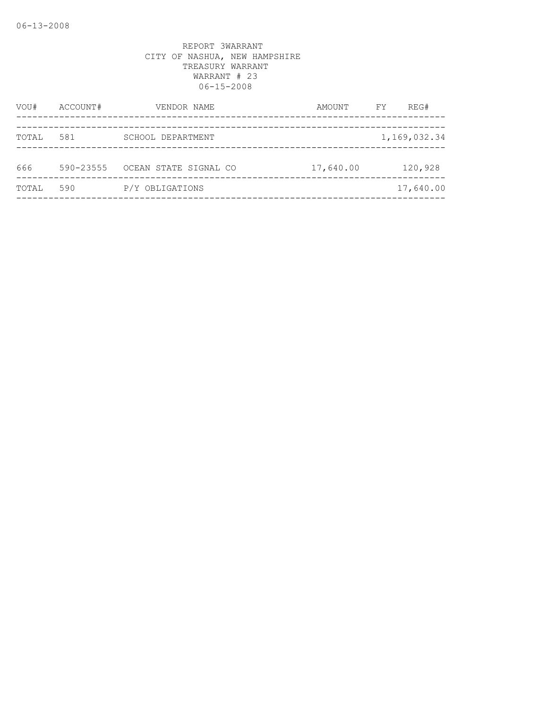| VOU#  | ACCOUNT#      | VENDOR NAME           | AMOUNT    | FY | REG#         |
|-------|---------------|-----------------------|-----------|----|--------------|
| TOTAL | 581           | SCHOOL DEPARTMENT     |           |    | 1,169,032.34 |
| 666   | $590 - 23555$ | OCEAN STATE SIGNAL CO | 17,640.00 |    | 120,928      |
| TOTAL | 590           | P/Y OBLIGATIONS       |           |    | 17,640.00    |
|       |               |                       |           |    |              |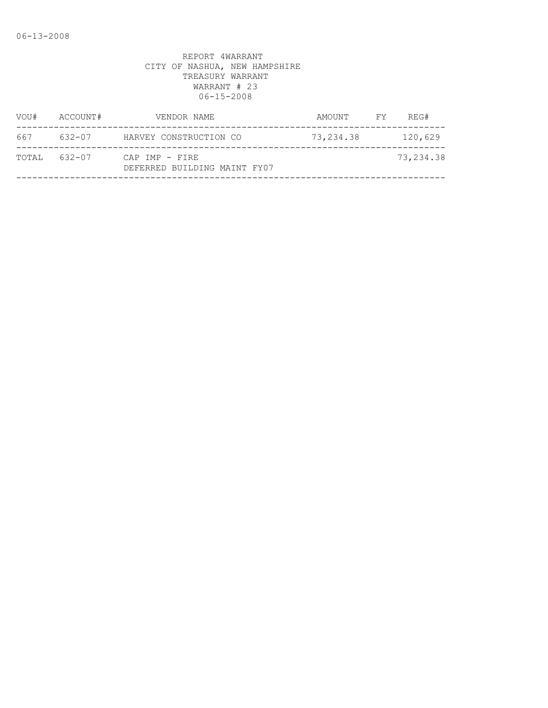| VOU#         | ACCOUNT# | VENDOR NAME                                    | AMOUNT FY | REG#      |
|--------------|----------|------------------------------------------------|-----------|-----------|
| 667          | 632-07   | HARVEY CONSTRUCTION CO                         | 73,234.38 | 120,629   |
| TOTAL 632-07 |          | CAP IMP - FIRE<br>DEFERRED BUILDING MAINT FY07 |           | 73,234.38 |
|              |          |                                                |           |           |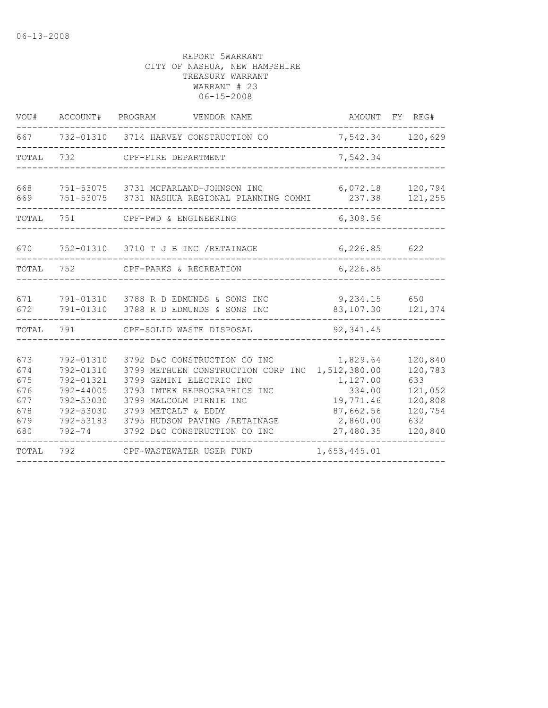| VOU#                                                 | ACCOUNT#                                                                                | PROGRAM<br>VENDOR NAME                                                                                                                                                                                                                                   |                                                                                                   | AMOUNT FY REG#                                                               |
|------------------------------------------------------|-----------------------------------------------------------------------------------------|----------------------------------------------------------------------------------------------------------------------------------------------------------------------------------------------------------------------------------------------------------|---------------------------------------------------------------------------------------------------|------------------------------------------------------------------------------|
| 667                                                  |                                                                                         | 732-01310 3714 HARVEY CONSTRUCTION CO                                                                                                                                                                                                                    | 7,542.34                                                                                          | 120,629                                                                      |
| TOTAL                                                | 732                                                                                     | CPF-FIRE DEPARTMENT                                                                                                                                                                                                                                      | 7,542.34                                                                                          |                                                                              |
| 668<br>669                                           |                                                                                         | 751-53075 3731 MCFARLAND-JOHNSON INC<br>751-53075 3731 NASHUA REGIONAL PLANNING COMMI                                                                                                                                                                    | 6,072.18<br>237.38                                                                                | 120,794<br>121,255                                                           |
| TOTAL                                                | 751                                                                                     | CPF-PWD & ENGINEERING                                                                                                                                                                                                                                    | 6,309.56                                                                                          |                                                                              |
| 670                                                  |                                                                                         | 752-01310 3710 T J B INC / RETAINAGE                                                                                                                                                                                                                     | 6, 226.85                                                                                         | 622                                                                          |
| TOTAL                                                | 752                                                                                     | CPF-PARKS & RECREATION                                                                                                                                                                                                                                   | 6,226.85                                                                                          |                                                                              |
| 671<br>672                                           |                                                                                         | 791-01310 3788 R D EDMUNDS & SONS INC<br>791-01310 3788 R D EDMUNDS & SONS INC                                                                                                                                                                           | 9,234.15<br>83,107.30                                                                             | 650<br>121,374                                                               |
| TOTAL                                                | 791                                                                                     | CPF-SOLID WASTE DISPOSAL                                                                                                                                                                                                                                 | 92,341.45                                                                                         |                                                                              |
| 673<br>674<br>675<br>676<br>677<br>678<br>679<br>680 | 792-01310<br>792-01310<br>792-01321<br>792-44005<br>792-53030<br>792-53030<br>792-53183 | 3792 D&C CONSTRUCTION CO INC<br>3799 METHUEN CONSTRUCTION CORP INC<br>3799 GEMINI ELECTRIC INC<br>3793 IMTEK REPROGRAPHICS INC<br>3799 MALCOLM PIRNIE INC<br>3799 METCALF & EDDY<br>3795 HUDSON PAVING /RETAINAGE<br>792-74 3792 D&C CONSTRUCTION CO INC | 1,829.64<br>1,512,380.00<br>1,127.00<br>334.00<br>19,771.46<br>87,662.56<br>2,860.00<br>27,480.35 | 120,840<br>120,783<br>633<br>121,052<br>120,808<br>120,754<br>632<br>120,840 |
| TOTAL                                                | 792                                                                                     | CPF-WASTEWATER USER FUND                                                                                                                                                                                                                                 | 1,653,445.01                                                                                      |                                                                              |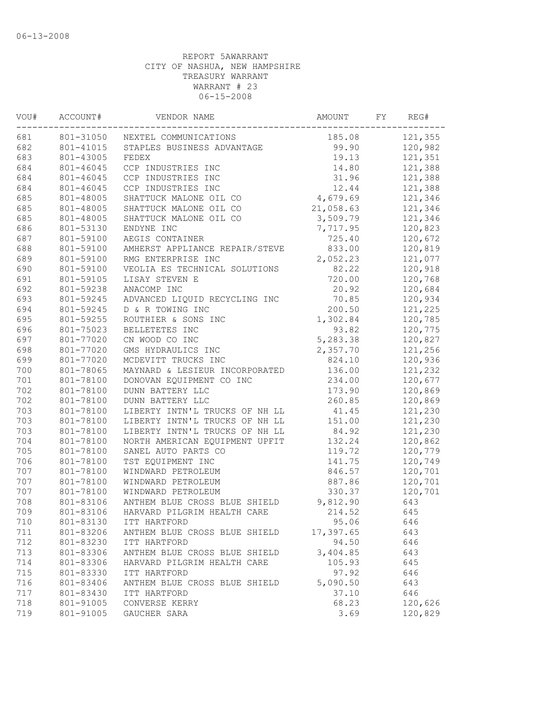| VOU# | ACCOUNT#  | VENDOR NAME                    | AMOUNT    | FΥ | REG#    |
|------|-----------|--------------------------------|-----------|----|---------|
| 681  | 801-31050 | NEXTEL COMMUNICATIONS          | 185.08    |    | 121,355 |
| 682  | 801-41015 | STAPLES BUSINESS ADVANTAGE     | 99.90     |    | 120,982 |
| 683  | 801-43005 | FEDEX                          | 19.13     |    | 121,351 |
| 684  | 801-46045 | CCP INDUSTRIES INC             | 14.80     |    | 121,388 |
| 684  | 801-46045 | CCP INDUSTRIES INC             | 31.96     |    | 121,388 |
| 684  | 801-46045 | CCP INDUSTRIES INC             | 12.44     |    | 121,388 |
| 685  | 801-48005 | SHATTUCK MALONE OIL CO         | 4,679.69  |    | 121,346 |
| 685  | 801-48005 | SHATTUCK MALONE OIL CO         | 21,058.63 |    | 121,346 |
| 685  | 801-48005 | SHATTUCK MALONE OIL CO         | 3,509.79  |    | 121,346 |
| 686  | 801-53130 | ENDYNE INC                     | 7,717.95  |    | 120,823 |
| 687  | 801-59100 | AEGIS CONTAINER                | 725.40    |    | 120,672 |
| 688  | 801-59100 | AMHERST APPLIANCE REPAIR/STEVE | 833.00    |    | 120,819 |
| 689  | 801-59100 | RMG ENTERPRISE INC             | 2,052.23  |    | 121,077 |
| 690  | 801-59100 | VEOLIA ES TECHNICAL SOLUTIONS  | 82.22     |    | 120,918 |
| 691  | 801-59105 | LISAY STEVEN E                 | 720.00    |    | 120,768 |
| 692  | 801-59238 | ANACOMP INC                    | 20.92     |    | 120,684 |
| 693  | 801-59245 | ADVANCED LIQUID RECYCLING INC  | 70.85     |    | 120,934 |
| 694  | 801-59245 | D & R TOWING INC               | 200.50    |    | 121,225 |
| 695  | 801-59255 | ROUTHIER & SONS INC            | 1,302.84  |    | 120,785 |
| 696  | 801-75023 | BELLETETES INC                 | 93.82     |    | 120,775 |
| 697  | 801-77020 | CN WOOD CO INC                 | 5,283.38  |    | 120,827 |
| 698  | 801-77020 | GMS HYDRAULICS INC             | 2,357.70  |    | 121,256 |
| 699  | 801-77020 | MCDEVITT TRUCKS INC            | 824.10    |    | 120,936 |
| 700  | 801-78065 | MAYNARD & LESIEUR INCORPORATED | 136.00    |    | 121,232 |
| 701  | 801-78100 | DONOVAN EQUIPMENT CO INC       | 234.00    |    | 120,677 |
| 702  | 801-78100 | DUNN BATTERY LLC               | 173.90    |    | 120,869 |
| 702  | 801-78100 | DUNN BATTERY LLC               | 260.85    |    | 120,869 |
| 703  | 801-78100 | LIBERTY INTN'L TRUCKS OF NH LL | 41.45     |    | 121,230 |
| 703  | 801-78100 | LIBERTY INTN'L TRUCKS OF NH LL | 151.00    |    | 121,230 |
| 703  | 801-78100 | LIBERTY INTN'L TRUCKS OF NH LL | 84.92     |    | 121,230 |
| 704  | 801-78100 | NORTH AMERICAN EQUIPMENT UPFIT | 132.24    |    | 120,862 |
| 705  | 801-78100 | SANEL AUTO PARTS CO            | 119.72    |    | 120,779 |
| 706  | 801-78100 | TST EQUIPMENT INC              | 141.75    |    | 120,749 |
| 707  | 801-78100 | WINDWARD PETROLEUM             | 846.57    |    | 120,701 |
| 707  | 801-78100 | WINDWARD PETROLEUM             | 887.86    |    | 120,701 |
| 707  | 801-78100 | WINDWARD PETROLEUM             | 330.37    |    | 120,701 |
| 708  | 801-83106 | ANTHEM BLUE CROSS BLUE SHIELD  | 9,812.90  |    | 643     |
| 709  | 801-83106 | HARVARD PILGRIM HEALTH CARE    | 214.52    |    | 645     |
| 710  | 801-83130 | ITT HARTFORD                   | 95.06     |    | 646     |
| 711  | 801-83206 | ANTHEM BLUE CROSS BLUE SHIELD  | 17,397.65 |    | 643     |
| 712  | 801-83230 | ITT HARTFORD                   | 94.50     |    | 646     |
| 713  | 801-83306 | ANTHEM BLUE CROSS BLUE SHIELD  | 3,404.85  |    | 643     |
| 714  | 801-83306 | HARVARD PILGRIM HEALTH CARE    | 105.93    |    | 645     |
| 715  | 801-83330 | ITT HARTFORD                   | 97.92     |    | 646     |
| 716  | 801-83406 | ANTHEM BLUE CROSS BLUE SHIELD  | 5,090.50  |    | 643     |
| 717  | 801-83430 | ITT HARTFORD                   | 37.10     |    | 646     |
| 718  | 801-91005 | CONVERSE KERRY                 | 68.23     |    | 120,626 |
| 719  | 801-91005 | GAUCHER SARA                   | 3.69      |    | 120,829 |
|      |           |                                |           |    |         |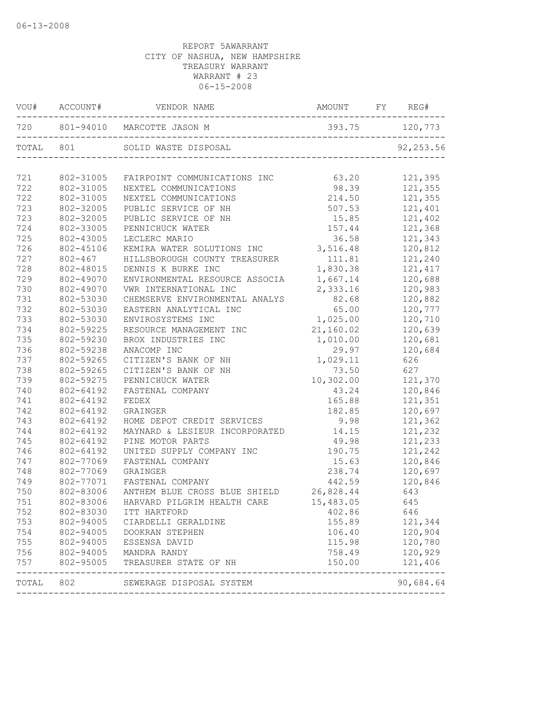|           | VOU# ACCOUNT# |                                                 |                |            |
|-----------|---------------|-------------------------------------------------|----------------|------------|
|           |               | 720 801-94010 MARCOTTE JASON M                  | 393.75 120,773 |            |
|           | TOTAL 801     | SOLID WASTE DISPOSAL                            |                | 92, 253.56 |
| 721       | 802-31005     | FAIRPOINT COMMUNICATIONS INC                    | 63.20          | 121,395    |
| 722       | 802-31005     | NEXTEL COMMUNICATIONS                           | 98.39          | 121,355    |
| 722       | 802-31005     | NEXTEL COMMUNICATIONS                           | 214.50         | 121,355    |
| 723       | 802-32005     | PUBLIC SERVICE OF NH                            | 507.53         | 121,401    |
| 723       | 802-32005     | PUBLIC SERVICE OF NH                            | 15.85          | 121,402    |
| 724       | 802-33005     | PENNICHUCK WATER                                | 157.44         | 121,368    |
| 725       | 802-43005     | LECLERC MARIO                                   | 36.58          | 121,343    |
| 726       | 802-45106     | KEMIRA WATER SOLUTIONS INC 3,516.48             |                | 120,812    |
| 727       | $802 - 467$   | HILLSBOROUGH COUNTY TREASURER                   | 111.81         | 121,240    |
| 728       | 802-48015     | DENNIS K BURKE INC                              | 1,830.38       | 121,417    |
| 729       | 802-49070     | ENVIRONMENTAL RESOURCE ASSOCIA                  | 1,667.14       | 120,688    |
| 730       | 802-49070     | VWR INTERNATIONAL INC                           | 2,333.16       | 120,983    |
| 731       | 802-53030     | CHEMSERVE ENVIRONMENTAL ANALYS                  | 82.68          | 120,882    |
| 732       | 802-53030     | EASTERN ANALYTICAL INC                          | 65.00          | 120,777    |
| 733       | 802-53030     | ENVIROSYSTEMS INC                               | 1,025.00       | 120,710    |
| 734       | 802-59225     | RESOURCE MANAGEMENT INC                         | 21,160.02      | 120,639    |
| 735       | 802-59230     | BROX INDUSTRIES INC                             | 1,010.00       | 120,681    |
| 736       | 802-59238     | ANACOMP INC                                     | 29.97          | 120,684    |
| 737       | 802-59265     | CITIZEN'S BANK OF NH                            | 1,029.11       | 626        |
| 738       | 802-59265     | CITIZEN'S BANK OF NH                            | 73.50          | 627        |
| 739       | 802-59275     | PENNICHUCK WATER                                | 10,302.00      | 121,370    |
| 740       | 802-64192     | FASTENAL COMPANY                                | 43.24          | 120,846    |
| 741       | 802-64192     | FEDEX                                           | 165.88         | 121,351    |
| 742       | 802-64192     | GRAINGER                                        | 182.85         | 120,697    |
| 743       | 802-64192     | HOME DEPOT CREDIT SERVICES                      | 9.98           | 121,362    |
| 744       | 802-64192     | MAYNARD & LESIEUR INCORPORATED                  | 14.15          | 121,232    |
| 745       | 802-64192     | PINE MOTOR PARTS                                | 49.98          | 121,233    |
| 746       | 802-64192     | UNITED SUPPLY COMPANY INC                       | 190.75         | 121,242    |
| 747       | 802-77069     | FASTENAL COMPANY                                | 15.63          | 120,846    |
| 748       | 802-77069     | GRAINGER                                        | 238.74         | 120,697    |
| 749       | 802-77071     | FASTENAL COMPANY                                | 442.59         | 120,846    |
| 750       | 802-83006     | ANTHEM BLUE CROSS BLUE SHIELD 26,828.44         |                | 643        |
| 751       |               | 802-83006 HARVARD PILGRIM HEALTH CARE 15,483.05 |                | 645        |
| 752       | 802-83030     | ITT HARTFORD                                    | 402.86         | 646        |
| 753       | 802-94005     | CIARDELLI GERALDINE                             | 155.89         | 121,344    |
| 754       | 802-94005     | DOOKRAN STEPHEN                                 | 106.40         | 120,904    |
| 755       | 802-94005     | ESSENSA DAVID                                   | 115.98         | 120,780    |
| 756       | 802-94005     | MANDRA RANDY                                    | 758.49         | 120,929    |
| 757       | 802-95005     | TREASURER STATE OF NH                           | 150.00         | 121,406    |
| TOTAL 802 |               | SEWERAGE DISPOSAL SYSTEM                        |                | 90,684.64  |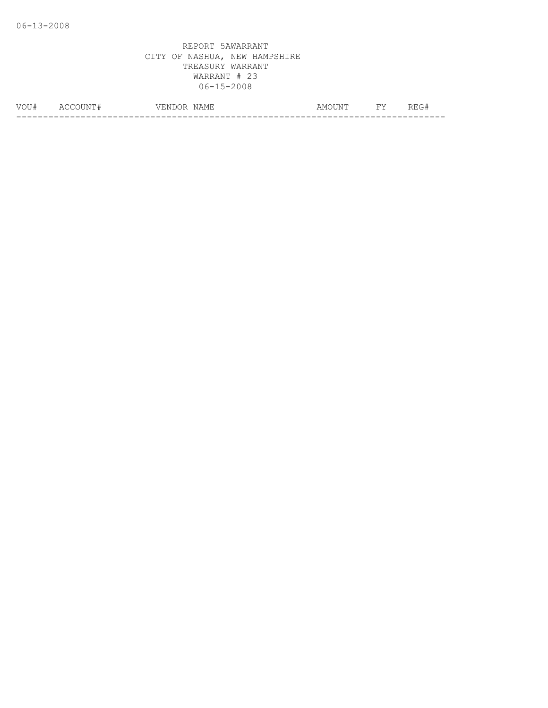| VOIT#<br>◡ | Δ(<br>N<br>__ | $\overline{\phantom{a}}$<br>'NL<br>NAMH<br>ہے د<br>/ ⊢<br>__ | . $\mathbb{N}^m$<br>AMO. | <b>TIT</b> | T T<br>____ |
|------------|---------------|--------------------------------------------------------------|--------------------------|------------|-------------|
|            |               |                                                              |                          |            | __          |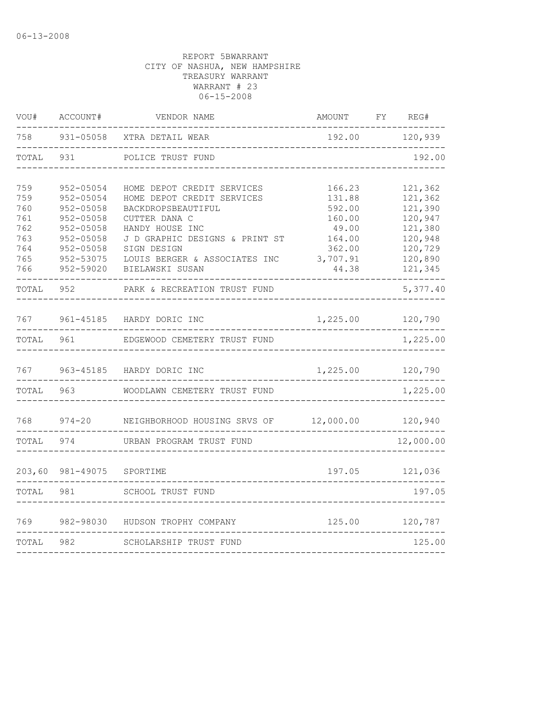| VOU#   | ACCOUNT#      | VENDOR NAME                            | AMOUNT   | FΥ | REG#      |
|--------|---------------|----------------------------------------|----------|----|-----------|
| 758    | $931 - 05058$ | XTRA DETAIL WEAR                       | 192.00   |    | 120,939   |
| TOTAL  | 931           | POLICE TRUST FUND                      |          |    | 192.00    |
| 759    | 952-05054     | HOME DEPOT CREDIT SERVICES             | 166.23   |    | 121,362   |
| 759    | 952-05054     | HOME DEPOT CREDIT SERVICES             | 131.88   |    | 121,362   |
| 760    | $952 - 05058$ | BACKDROPSBEAUTIFUL                     | 592.00   |    | 121,390   |
| 761    | $952 - 05058$ | CUTTER DANA C                          | 160.00   |    | 120,947   |
| 762    | $952 - 05058$ | HANDY HOUSE INC                        | 49.00    |    | 121,380   |
| 763    | 952-05058     | J D GRAPHIC DESIGNS & PRINT ST         | 164.00   |    | 120,948   |
| 764    | 952-05058     | SIGN DESIGN                            | 362.00   |    | 120,729   |
| 765    | 952-53075     | LOUIS BERGER & ASSOCIATES INC          | 3,707.91 |    | 120,890   |
| 766    | 952-59020     | BIELAWSKI SUSAN                        | 44.38    |    | 121,345   |
| TOTAL  | 952           | PARK & RECREATION TRUST FUND           |          |    | 5,377.40  |
| 767    | 961-45185     | HARDY DORIC INC                        | 1,225.00 |    | 120,790   |
|        |               |                                        |          |    |           |
| TOTAL  | 961           | EDGEWOOD CEMETERY TRUST FUND           |          |    | 1,225.00  |
| 767    | 963-45185     | HARDY DORIC INC                        | 1,225.00 |    | 120,790   |
| TOTAL  | 963           | WOODLAWN CEMETERY TRUST FUND           |          |    | 1,225.00  |
| 768    | $974 - 20$    | NEIGHBORHOOD HOUSING SRVS OF 12,000.00 |          |    | 120,940   |
| TOTAL  | 974           | URBAN PROGRAM TRUST FUND               |          |    | 12,000.00 |
| 203,60 | 981-49075     | SPORTIME                               | 197.05   |    | 121,036   |
| TOTAL  | 981           | <b>SCHOOL TRUST FUND</b>               |          |    | 197.05    |
|        |               |                                        |          |    |           |
| 769    | 982-98030     | HUDSON TROPHY COMPANY                  | 125.00   |    | 120,787   |
| TOTAL  | 982           | SCHOLARSHIP TRUST FUND                 |          |    | 125.00    |
|        |               |                                        |          |    |           |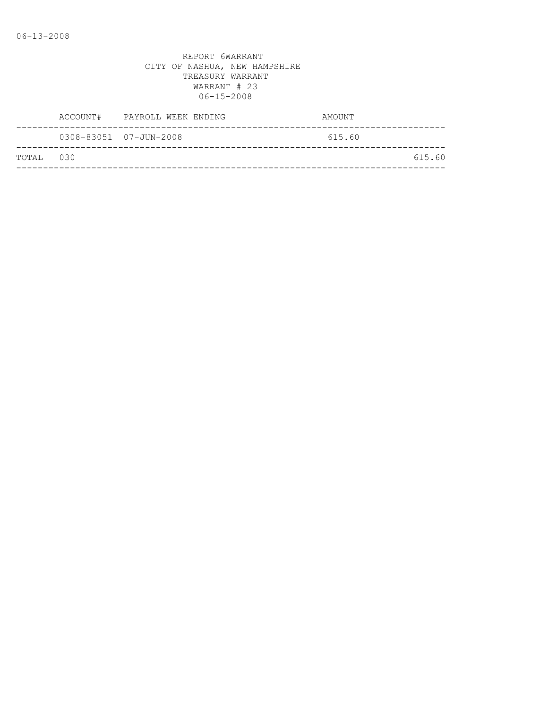|           | ACCOUNT# | PAYROLL WEEK ENDING    | AMOUNT |
|-----------|----------|------------------------|--------|
|           |          | 0308-83051 07-JUN-2008 | 615.60 |
| TOTAL 030 |          |                        | 615.60 |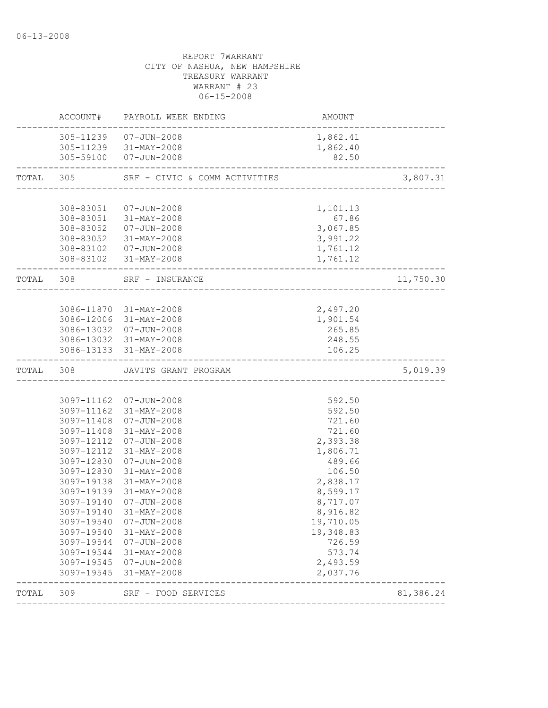|           |                          | ACCOUNT# PAYROLL WEEK ENDING                     | AMOUNT                              |           |
|-----------|--------------------------|--------------------------------------------------|-------------------------------------|-----------|
|           |                          | 305-11239  07-JUN-2008                           | 1,862.41                            |           |
|           |                          | 305-11239 31-MAY-2008<br>305-59100 07-JUN-2008   | 1,862.40<br>82.50                   |           |
| TOTAL 305 |                          | SRF - CIVIC & COMM ACTIVITIES                    |                                     | 3,807.31  |
|           |                          |                                                  |                                     |           |
|           | 308-83051                | 07-JUN-2008                                      | 1,101.13                            |           |
|           |                          | 308-83051 31-MAY-2008                            | 67.86                               |           |
|           |                          | 308-83052  07-JUN-2008                           | 3,067.85                            |           |
|           |                          | 308-83052 31-MAY-2008                            | 3,991.22                            |           |
|           |                          | 308-83102  07-JUN-2008                           | 1,761.12                            |           |
|           |                          | 308-83102 31-MAY-2008                            | 1,761.12                            |           |
| TOTAL 308 |                          | SRF - INSURANCE<br>__________________            |                                     | 11,750.30 |
|           |                          |                                                  |                                     |           |
|           |                          | 3086-11870 31-MAY-2008                           | 2,497.20                            |           |
|           |                          | 3086-12006 31-MAY-2008                           | 1,901.54                            |           |
|           |                          | 3086-13032 07-JUN-2008                           | 265.85                              |           |
|           |                          | 3086-13032 31-MAY-2008<br>3086-13133 31-MAY-2008 | 248.55<br>106.25                    |           |
|           |                          |                                                  |                                     |           |
| TOTAL 308 |                          | JAVITS GRANT PROGRAM                             |                                     | 5,019.39  |
|           |                          |                                                  |                                     |           |
|           |                          | 3097-11162 07-JUN-2008                           | 592.50                              |           |
|           |                          | 3097-11162 31-MAY-2008                           | 592.50                              |           |
|           |                          | 3097-11408 07-JUN-2008                           | 721.60                              |           |
|           | 3097-11408               | 31-MAY-2008                                      | 721.60                              |           |
|           | 3097-12112               | $07 - JUN - 2008$                                | 2,393.38                            |           |
|           | 3097-12112               | 31-MAY-2008                                      | 1,806.71                            |           |
|           | 3097-12830<br>3097-12830 | 07-JUN-2008<br>31-MAY-2008                       | 489.66<br>106.50                    |           |
|           | 3097-19138               | $31 - MAY - 2008$                                | 2,838.17                            |           |
|           | 3097-19139               | 31-MAY-2008                                      | 8,599.17                            |           |
|           | 3097-19140               | $07 - JUN - 2008$                                | 8,717.07                            |           |
|           |                          | 3097-19140 31-MAY-2008                           | 8,916.82                            |           |
|           | 3097-19540               | $07 - JUN - 2008$                                | 19,710.05                           |           |
|           | 3097-19540               | $31 - MAX - 2008$                                | 19,348.83                           |           |
|           | 3097-19544               | $07 - JUN - 2008$                                | 726.59                              |           |
|           | 3097-19544               | 31-MAY-2008                                      | 573.74                              |           |
|           | 3097-19545               | 07-JUN-2008                                      | 2,493.59                            |           |
|           | 3097-19545               | 31-MAY-2008                                      | 2,037.76                            |           |
| TOTAL     | 309                      | SRF - FOOD SERVICES                              | ----------------------------------- | 81,386.24 |
|           |                          |                                                  |                                     |           |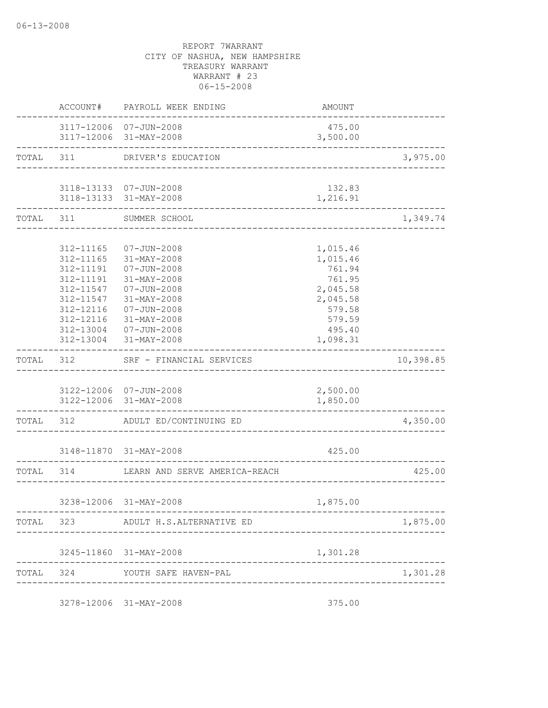|                        | ACCOUNT# PAYROLL WEEK ENDING                                                                               | AMOUNT                                     |           |
|------------------------|------------------------------------------------------------------------------------------------------------|--------------------------------------------|-----------|
|                        | 3117-12006 07-JUN-2008<br>3117-12006 31-MAY-2008                                                           | 475.00<br>3,500.00                         |           |
|                        | --------------------------------<br>TOTAL 311 DRIVER'S EDUCATION<br>-------------------------------------- |                                            | 3,975.00  |
|                        |                                                                                                            |                                            |           |
|                        | 3118-13133  07-JUN-2008                                                                                    | 132.83                                     |           |
|                        | 3118-13133 31-MAY-2008                                                                                     | 1,216.91                                   |           |
|                        | TOTAL 311 SUMMER SCHOOL<br>-------------------------------                                                 |                                            | 1,349.74  |
|                        |                                                                                                            |                                            |           |
| 312-11165              | 07-JUN-2008                                                                                                | 1,015.46                                   |           |
| 312-11165              | 31-MAY-2008                                                                                                | 1,015.46                                   |           |
| 312-11191              | $07 - JUN - 2008$                                                                                          | 761.94                                     |           |
| 312-11191              | $31 - MAX - 2008$                                                                                          | 761.95                                     |           |
| 312-11547<br>312-11547 | $07 - JUN - 2008$<br>$31 - MAX - 2008$                                                                     | 2,045.58                                   |           |
| 312-12116              | $07 - JUN - 2008$                                                                                          | 2,045.58<br>579.58                         |           |
| 312-12116              | 31-MAY-2008                                                                                                | 579.59                                     |           |
|                        | 312-13004 07-JUN-2008                                                                                      | 495.40                                     |           |
|                        | 312-13004 31-MAY-2008                                                                                      | 1,098.31                                   |           |
|                        | TOTAL 312 SRF - FINANCIAL SERVICES                                                                         |                                            | 10,398.85 |
|                        | 3122-12006 07-JUN-2008                                                                                     | 2,500.00                                   |           |
|                        | 3122-12006 31-MAY-2008                                                                                     | 1,850.00                                   |           |
| -----------------      | TOTAL 312 ADULT ED/CONTINUING ED                                                                           | ____________________                       | 4,350.00  |
|                        |                                                                                                            |                                            |           |
|                        | 3148-11870 31-MAY-2008                                                                                     | 425.00<br>-------------------------------- |           |
| TOTAL 314              | LEARN AND SERVE AMERICA-REACH                                                                              |                                            | 425.00    |
|                        |                                                                                                            |                                            |           |
|                        | 3238-12006 31-MAY-2008                                                                                     | 1,875.00                                   |           |
|                        | TOTAL 323 ADULT H.S.ALTERNATIVE ED                                                                         |                                            | 1,875.00  |
|                        | 3245-11860 31-MAY-2008                                                                                     | 1,301.28                                   |           |
|                        | TOTAL 324 YOUTH SAFE HAVEN-PAL                                                                             |                                            | 1,301.28  |
|                        | -----------------                                                                                          |                                            |           |
|                        | 3278-12006 31-MAY-2008                                                                                     | 375.00                                     |           |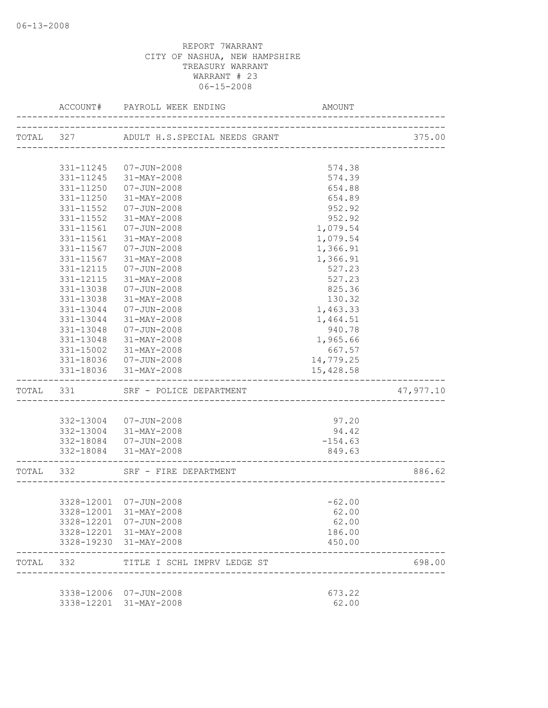|           | ACCOUNT#      | PAYROLL WEEK ENDING           | AMOUNT                          |           |
|-----------|---------------|-------------------------------|---------------------------------|-----------|
| TOTAL 327 |               | ADULT H.S.SPECIAL NEEDS GRANT | _______________________         | 375.00    |
|           |               |                               |                                 |           |
|           | 331-11245     | 07-JUN-2008                   | 574.38                          |           |
|           | 331-11245     | 31-MAY-2008                   | 574.39                          |           |
|           | 331-11250     | 07-JUN-2008                   | 654.88                          |           |
|           | 331-11250     | 31-MAY-2008                   | 654.89                          |           |
|           | 331-11552     | 07-JUN-2008                   | 952.92                          |           |
|           | 331-11552     | 31-MAY-2008                   | 952.92                          |           |
|           | $331 - 11561$ | 07-JUN-2008                   | 1,079.54                        |           |
|           | 331-11561     | 31-MAY-2008                   | 1,079.54                        |           |
|           | 331-11567     | 07-JUN-2008                   | 1,366.91                        |           |
|           | 331-11567     | 31-MAY-2008                   | 1,366.91                        |           |
|           | 331-12115     | $07 - JUN - 2008$             | 527.23                          |           |
|           | 331-12115     | 31-MAY-2008                   | 527.23                          |           |
|           | 331-13038     | $07 - JUN - 2008$             | 825.36                          |           |
|           | 331-13038     | 31-MAY-2008                   | 130.32                          |           |
|           | 331-13044     | $07 - JUN - 2008$             | 1,463.33                        |           |
|           | 331-13044     | 31-MAY-2008                   | 1,464.51                        |           |
|           | 331-13048     | $07 - JUN - 2008$             | 940.78                          |           |
|           | 331-13048     | 31-MAY-2008                   | 1,965.66                        |           |
|           | 331-15002     | 31-MAY-2008                   | 667.57                          |           |
|           |               | 331-18036 07-JUN-2008         | 14,779.25                       |           |
|           | 331-18036     | 31-MAY-2008                   | 15,428.58                       |           |
| TOTAL 331 |               | SRF - POLICE DEPARTMENT       |                                 | 47,977.10 |
|           |               |                               |                                 |           |
|           |               | 332-13004 07-JUN-2008         | 97.20                           |           |
|           |               | 332-13004 31-MAY-2008         | 94.42                           |           |
|           |               | 332-18084  07-JUN-2008        | $-154.63$                       |           |
|           |               | 332-18084 31-MAY-2008         | 849.63<br>--------------------- |           |
| TOTAL 332 |               | SRF - FIRE DEPARTMENT         |                                 | 886.62    |
|           |               |                               |                                 |           |
|           |               | 3328-12001 07-JUN-2008        | $-62.00$                        |           |
|           |               | 3328-12001 31-MAY-2008        | 62.00                           |           |
|           |               | 3328-12201 07-JUN-2008        | 62.00                           |           |
|           |               | 3328-12201 31-MAY-2008        | 186.00                          |           |
|           |               | 3328-19230 31-MAY-2008        | 450.00                          |           |
| TOTAL 332 |               | TITLE I SCHL IMPRV LEDGE ST   |                                 | 698.00    |
|           |               |                               |                                 |           |
|           |               | 3338-12006 07-JUN-2008        | 673.22                          |           |
|           |               | 3338-12201 31-MAY-2008        | 62.00                           |           |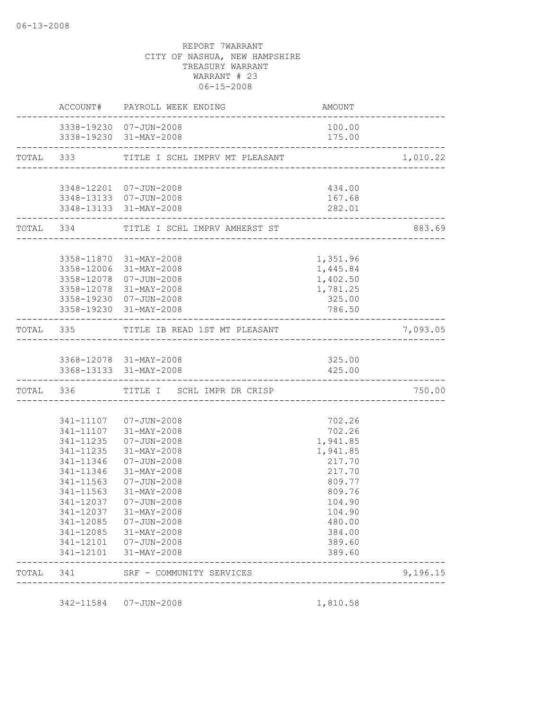|           | <b>AMOUNT</b><br>ACCOUNT# PAYROLL WEEK ENDING     |                                                                       |          |
|-----------|---------------------------------------------------|-----------------------------------------------------------------------|----------|
|           | 3338-19230 07-JUN-2008<br>3338-19230 31-MAY-2008  | 100.00<br>175.00                                                      |          |
|           | TOTAL 333 TITLE I SCHL IMPRV MT PLEASANT          |                                                                       | 1,010.22 |
|           |                                                   |                                                                       |          |
|           | 3348-12201 07-JUN-2008                            | 434.00                                                                |          |
|           | 3348-13133  07-JUN-2008<br>3348-13133 31-MAY-2008 | 167.68<br>282.01                                                      |          |
|           | TOTAL 334 TITLE I SCHL IMPRV AMHERST ST           | ______________________________<br>----------------------------------- | 883.69   |
|           |                                                   |                                                                       |          |
|           | 3358-11870 31-MAY-2008<br>3358-12006 31-MAY-2008  | 1,351.96<br>1,445.84                                                  |          |
|           | 3358-12078 07-JUN-2008                            | 1,402.50                                                              |          |
|           | 3358-12078 31-MAY-2008                            | 1,781.25                                                              |          |
|           | 3358-19230 07-JUN-2008                            | 325.00                                                                |          |
|           | 3358-19230 31-MAY-2008                            | 786.50                                                                |          |
|           | TOTAL 335 TITLE IB READ 1ST MT PLEASANT           |                                                                       | 7,093.05 |
|           |                                                   |                                                                       |          |
|           | 3368-12078 31-MAY-2008                            | 325.00                                                                |          |
|           | 3368-13133 31-MAY-2008                            | 425.00                                                                |          |
|           | TOTAL 336 TITLE I SCHL IMPR DR CRISP              |                                                                       | 750.00   |
|           |                                                   |                                                                       |          |
|           | 341-11107  07-JUN-2008                            | 702.26                                                                |          |
|           | 341-11107 31-MAY-2008<br>341-11235  07-JUN-2008   | 702.26<br>1,941.85                                                    |          |
| 341-11235 | 31-MAY-2008                                       | 1,941.85                                                              |          |
| 341-11346 | 07-JUN-2008                                       | 217.70                                                                |          |
| 341-11346 | 31-MAY-2008                                       | 217.70                                                                |          |
| 341-11563 | 07-JUN-2008                                       | 809.77                                                                |          |
| 341-11563 | $31 - MAX - 2008$                                 | 809.76                                                                |          |
|           | 341-12037  07-JUN-2008                            | 104.90                                                                |          |
|           | 341-12037 31-MAY-2008                             | 104.90                                                                |          |
|           | 341-12085  07-JUN-2008                            | 480.00                                                                |          |
|           | 341-12085 31-MAY-2008                             | 384.00                                                                |          |
|           | 341-12101  07-JUN-2008<br>341-12101 31-MAY-2008   | 389.60<br>389.60                                                      |          |
|           | TOTAL 341 SRF - COMMUNITY SERVICES                |                                                                       | 9,196.15 |
|           |                                                   |                                                                       |          |

342-11584 07-JUN-2008 1,810.58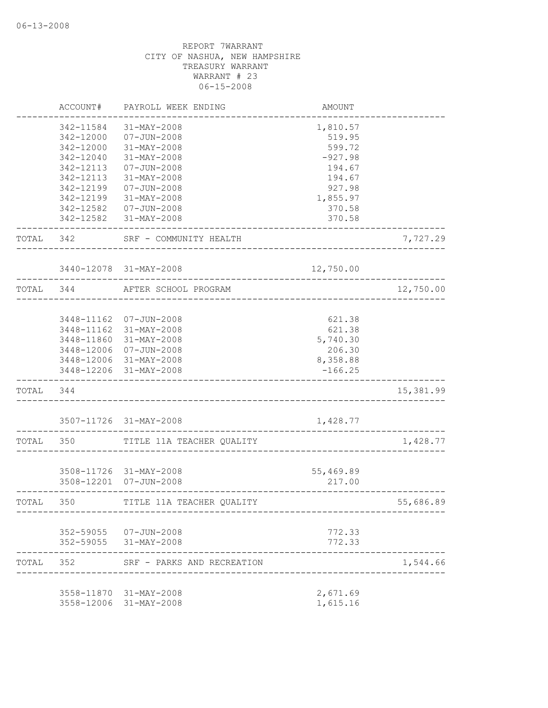|           | ACCOUNT#   | PAYROLL WEEK ENDING        | <b>AMOUNT</b> |           |
|-----------|------------|----------------------------|---------------|-----------|
|           | 342-11584  | 31-MAY-2008                | 1,810.57      |           |
|           | 342-12000  | $07 - JUN - 2008$          | 519.95        |           |
|           | 342-12000  | 31-MAY-2008                | 599.72        |           |
|           | 342-12040  | 31-MAY-2008                | $-927.98$     |           |
|           | 342-12113  | $07 - JUN - 2008$          | 194.67        |           |
|           | 342-12113  | 31-MAY-2008                | 194.67        |           |
|           | 342-12199  | $07 - JUN - 2008$          | 927.98        |           |
|           | 342-12199  | 31-MAY-2008                | 1,855.97      |           |
|           | 342-12582  | $07 - JUN - 2008$          | 370.58        |           |
|           | 342-12582  | 31-MAY-2008                | 370.58        |           |
| TOTAL     | 342        | SRF - COMMUNITY HEALTH     |               | 7,727.29  |
|           |            | 3440-12078 31-MAY-2008     | 12,750.00     |           |
| TOTAL 344 |            | AFTER SCHOOL PROGRAM       |               | 12,750.00 |
|           |            |                            |               |           |
|           | 3448-11162 | 07-JUN-2008                | 621.38        |           |
|           | 3448-11162 | 31-MAY-2008                | 621.38        |           |
|           | 3448-11860 | 31-MAY-2008                | 5,740.30      |           |
|           | 3448-12006 | 07-JUN-2008                | 206.30        |           |
|           | 3448-12006 | 31-MAY-2008                | 8,358.88      |           |
|           | 3448-12206 | 31-MAY-2008                | $-166.25$     |           |
| TOTAL     | 344        |                            |               | 15,381.99 |
|           |            | 3507-11726 31-MAY-2008     | 1,428.77      |           |
| TOTAL     | 350        | TITLE 11A TEACHER QUALITY  |               | 1,428.77  |
|           |            |                            |               |           |
|           |            | 3508-11726 31-MAY-2008     | 55,469.89     |           |
|           |            | 3508-12201 07-JUN-2008     | 217.00        |           |
| TOTAL     | 350        | TITLE 11A TEACHER QUALITY  |               | 55,686.89 |
|           |            | 352-59055 07-JUN-2008      | 772.33        |           |
|           |            | 352-59055 31-MAY-2008      | 772.33        |           |
| TOTAL     | 352        | SRF - PARKS AND RECREATION |               | 1,544.66  |
|           |            | 3558-11870 31-MAY-2008     | 2,671.69      |           |
|           |            | 3558-12006 31-MAY-2008     | 1,615.16      |           |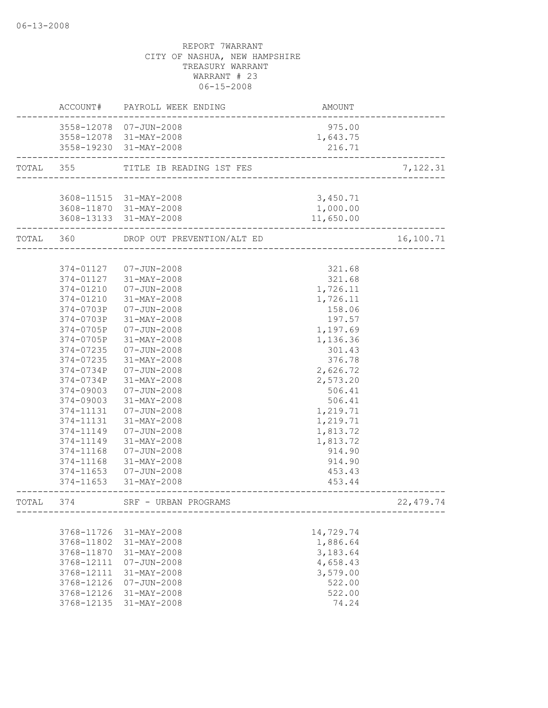|           | ACCOUNT#   | PAYROLL WEEK ENDING        | AMOUNT                        |            |
|-----------|------------|----------------------------|-------------------------------|------------|
|           |            | 3558-12078 07-JUN-2008     | 975.00                        |            |
|           |            | 3558-12078 31-MAY-2008     | 1,643.75                      |            |
|           |            | 3558-19230 31-MAY-2008     | 216.71                        |            |
| TOTAL 355 |            | TITLE IB READING 1ST FES   |                               | 7,122.31   |
|           |            |                            | ----------------------------- |            |
|           |            | 3608-11515 31-MAY-2008     | 3,450.71                      |            |
|           |            | 3608-11870 31-MAY-2008     | 1,000.00                      |            |
|           |            | 3608-13133 31-MAY-2008     | 11,650.00                     |            |
| TOTAL 360 |            | DROP OUT PREVENTION/ALT ED |                               | 16,100.71  |
|           |            |                            |                               |            |
|           | 374-01127  | $07 - JUN - 2008$          | 321.68                        |            |
|           | 374-01127  | 31-MAY-2008                | 321.68                        |            |
|           | 374-01210  | 07-JUN-2008                | 1,726.11                      |            |
|           | 374-01210  | 31-MAY-2008                | 1,726.11                      |            |
|           | 374-0703P  | $07 - JUN - 2008$          | 158.06                        |            |
|           | 374-0703P  | 31-MAY-2008                | 197.57                        |            |
|           | 374-0705P  | $07 - JUN - 2008$          | 1,197.69                      |            |
|           | 374-0705P  | 31-MAY-2008                | 1,136.36                      |            |
|           | 374-07235  | $07 - JUN - 2008$          | 301.43                        |            |
|           | 374-07235  | 31-MAY-2008                | 376.78                        |            |
|           | 374-0734P  | $07 - JUN - 2008$          | 2,626.72                      |            |
|           | 374-0734P  | 31-MAY-2008                | 2,573.20                      |            |
|           | 374-09003  | 07-JUN-2008                | 506.41                        |            |
|           | 374-09003  | $31 - MAX - 2008$          | 506.41                        |            |
|           | 374-11131  | $07 - JUN - 2008$          | 1,219.71                      |            |
|           | 374-11131  | 31-MAY-2008                | 1,219.71                      |            |
|           | 374-11149  | $07 - JUN - 2008$          | 1,813.72                      |            |
|           | 374-11149  | 31-MAY-2008                | 1,813.72                      |            |
|           | 374-11168  | $07 - JUN - 2008$          | 914.90                        |            |
|           | 374-11168  | 31-MAY-2008                | 914.90                        |            |
|           | 374-11653  | 07-JUN-2008                | 453.43                        |            |
|           |            | 374-11653 31-MAY-2008      | 453.44                        |            |
| TOTAL     | 374        | SRF - URBAN PROGRAMS       |                               | 22, 479.74 |
|           |            |                            |                               |            |
|           | 3768-11726 | 31-MAY-2008                | 14,729.74                     |            |
|           | 3768-11802 | $31 - MAX - 2008$          | 1,886.64                      |            |
|           | 3768-11870 | 31-MAY-2008                | 3,183.64                      |            |
|           | 3768-12111 | $07 - JUN - 2008$          | 4,658.43                      |            |
|           | 3768-12111 | 31-MAY-2008                | 3,579.00                      |            |
|           | 3768-12126 | $07 - JUN - 2008$          | 522.00                        |            |
|           | 3768-12126 | 31-MAY-2008                | 522.00                        |            |
|           | 3768-12135 | 31-MAY-2008                | 74.24                         |            |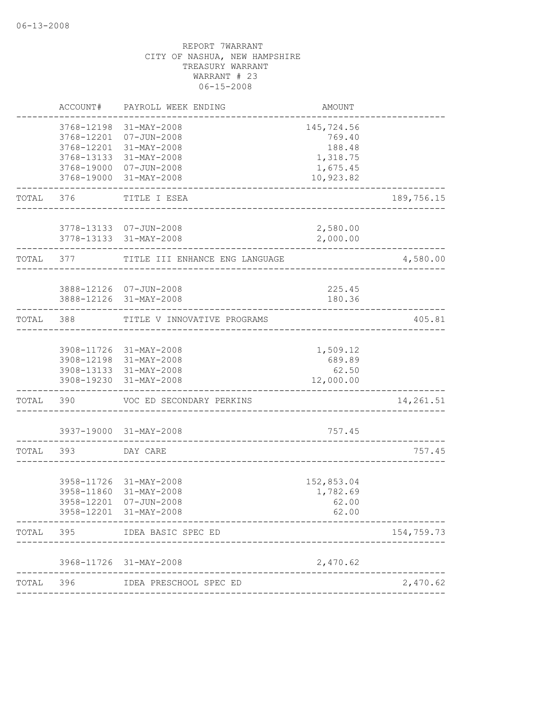|           | ACCOUNT#   | PAYROLL WEEK ENDING                                             | AMOUNT                         |            |
|-----------|------------|-----------------------------------------------------------------|--------------------------------|------------|
|           | 3768-12198 | 31-MAY-2008<br>3768-12201 07-JUN-2008<br>3768-12201 31-MAY-2008 | 145,724.56<br>769.40<br>188.48 |            |
|           |            | 3768-13133 31-MAY-2008                                          | 1,318.75                       |            |
|           |            | 3768-19000 07-JUN-2008                                          | 1,675.45                       |            |
|           | 3768-19000 | 31-MAY-2008                                                     | 10,923.82                      |            |
| TOTAL     | 376        | TITLE I ESEA                                                    |                                | 189,756.15 |
|           |            | 3778-13133 07-JUN-2008                                          | 2,580.00                       |            |
|           |            | 3778-13133 31-MAY-2008                                          | 2,000.00                       |            |
|           |            | TOTAL 377 TITLE III ENHANCE ENG LANGUAGE                        |                                | 4,580.00   |
|           |            | 3888-12126 07-JUN-2008                                          | 225.45                         |            |
|           |            | 3888-12126 31-MAY-2008                                          | 180.36                         |            |
| TOTAL 388 |            | TITLE V INNOVATIVE PROGRAMS                                     |                                | 405.81     |
|           |            |                                                                 |                                |            |
|           |            | 3908-11726 31-MAY-2008<br>3908-12198 31-MAY-2008                | 1,509.12<br>689.89             |            |
|           |            | 3908-13133 31-MAY-2008                                          | 62.50                          |            |
|           |            | 3908-19230 31-MAY-2008                                          | 12,000.00                      |            |
| TOTAL     | 390        | VOC ED SECONDARY PERKINS                                        |                                | 14,261.51  |
|           |            | 3937-19000 31-MAY-2008                                          | 757.45                         |            |
| TOTAL     | 393        | DAY CARE                                                        |                                | 757.45     |
|           |            |                                                                 |                                |            |
|           |            | 3958-11726 31-MAY-2008                                          | 152,853.04                     |            |
|           | 3958-11860 | 31-MAY-2008<br>3958-12201 07-JUN-2008                           | 1,782.69<br>62.00              |            |
|           |            | 3958-12201 31-MAY-2008                                          | 62.00                          |            |
| TOTAL     |            | 395 IDEA BASIC SPEC ED                                          |                                | 154,759.73 |
|           |            | 3968-11726 31-MAY-2008                                          | 2,470.62                       |            |
| TOTAL     |            | 396 IDEA PRESCHOOL SPEC ED                                      |                                | 2,470.62   |
|           |            |                                                                 |                                |            |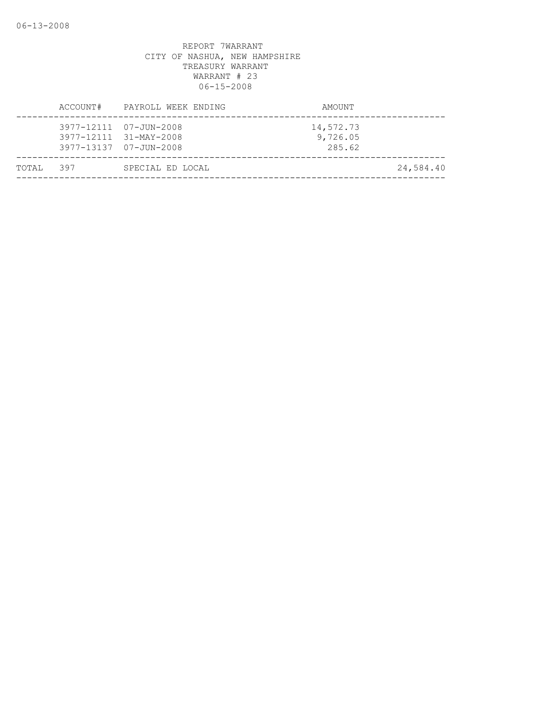| TOTAL 397 |          | SPECIAL ED LOCAL                                                           |                                 | 24,584.40 |
|-----------|----------|----------------------------------------------------------------------------|---------------------------------|-----------|
|           |          | 3977-12111 07-JUN-2008<br>3977-12111 31-MAY-2008<br>3977-13137 07-JUN-2008 | 14,572.73<br>9,726.05<br>285.62 |           |
|           | ACCOUNT# | PAYROLL WEEK ENDING                                                        | AMOUNT                          |           |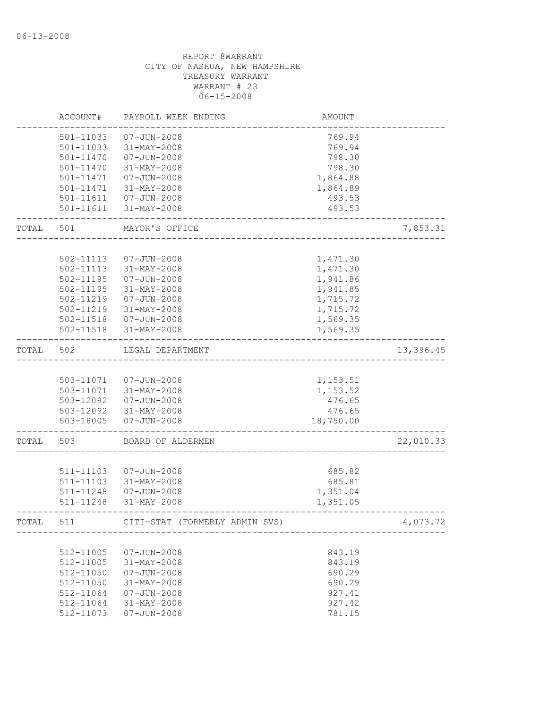|       | ACCOUNT#      | PAYROLL WEEK ENDING            | AMOUNT    |           |
|-------|---------------|--------------------------------|-----------|-----------|
|       | 501-11033     | $07 - JUN - 2008$              | 769.94    |           |
|       | 501-11033     | 31-MAY-2008                    | 769.94    |           |
|       | $501 - 11470$ | $07 - JUN - 2008$              | 798.30    |           |
|       | 501-11470     | 31-MAY-2008                    | 798.30    |           |
|       | 501-11471     | $07 - JUN - 2008$              | 1,864.88  |           |
|       | 501-11471     | 31-MAY-2008                    | 1,864.89  |           |
|       | 501-11611     | 07-JUN-2008                    | 493.53    |           |
|       | 501-11611     | 31-MAY-2008                    | 493.53    |           |
| TOTAL | 501           | MAYOR'S OFFICE                 |           | 7,853.31  |
|       |               |                                |           |           |
|       | 502-11113     | $07 - JUN - 2008$              | 1,471.30  |           |
|       | 502-11113     | 31-MAY-2008                    | 1,471.30  |           |
|       | 502-11195     | $07 - JUN - 2008$              | 1,941.86  |           |
|       | 502-11195     | 31-MAY-2008                    | 1,941.85  |           |
|       | 502-11219     | $07 - JUN - 2008$              | 1,715.72  |           |
|       | 502-11219     | 31-MAY-2008                    | 1,715.72  |           |
|       | 502-11518     | $07 - JUN - 2008$              | 1,569.35  |           |
|       | 502-11518     | 31-MAY-2008                    | 1,569.35  |           |
| TOTAL | 502           | LEGAL DEPARTMENT               |           | 13,396.45 |
|       |               |                                |           |           |
|       |               | 503-11071  07-JUN-2008         | 1,153.51  |           |
|       |               | 503-11071 31-MAY-2008          | 1,153.52  |           |
|       | 503-12092     | $07 - JUN - 2008$              | 476.65    |           |
|       |               | 503-12092 31-MAY-2008          | 476.65    |           |
|       | 503-18005     | $07 - JUN - 2008$              | 18,750.00 |           |
| TOTAL | 503           | BOARD OF ALDERMEN              |           | 22,010.33 |
|       |               |                                |           |           |
|       | 511-11103     | $07 - JUN - 2008$              | 685.82    |           |
|       | 511-11103     | 31-MAY-2008                    | 685.81    |           |
|       | 511-11248     | $07 - JUN - 2008$              | 1,351.04  |           |
|       | 511-11248     | 31-MAY-2008                    | 1,351.05  |           |
| TOTAL | 511           | CITI-STAT (FORMERLY ADMIN SVS) |           | 4,073.72  |
|       |               |                                |           |           |
|       | 512-11005     | $07 - JUN - 2008$              | 843.19    |           |
|       | 512-11005     | $31 - MAX - 2008$              | 843.19    |           |
|       | 512-11050     | $07 - JUN - 2008$              | 690.29    |           |
|       | 512-11050     | $31 - MAX - 2008$              | 690.29    |           |
|       | 512-11064     | $07 - JUN - 2008$              | 927.41    |           |
|       | 512-11064     | 31-MAY-2008                    | 927.42    |           |
|       | 512-11073     | $07 - JUN - 2008$              | 781.15    |           |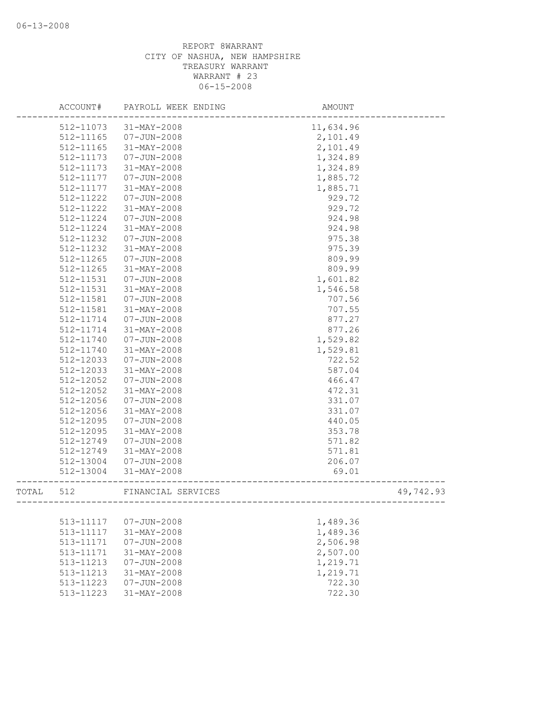|       | ACCOUNT#      | PAYROLL WEEK ENDING | AMOUNT    |           |
|-------|---------------|---------------------|-----------|-----------|
|       | 512-11073     | 31-MAY-2008         | 11,634.96 |           |
|       | 512-11165     | $07 - JUN - 2008$   | 2,101.49  |           |
|       | 512-11165     | 31-MAY-2008         | 2,101.49  |           |
|       | 512-11173     | $07 - JUN - 2008$   | 1,324.89  |           |
|       | 512-11173     | 31-MAY-2008         | 1,324.89  |           |
|       | 512-11177     | $07 - JUN - 2008$   | 1,885.72  |           |
|       | 512-11177     | 31-MAY-2008         | 1,885.71  |           |
|       | 512-11222     | $07 - JUN - 2008$   | 929.72    |           |
|       | 512-11222     | 31-MAY-2008         | 929.72    |           |
|       | 512-11224     | $07 - JUN - 2008$   | 924.98    |           |
|       | 512-11224     | 31-MAY-2008         | 924.98    |           |
|       | 512-11232     | $07 - JUN - 2008$   | 975.38    |           |
|       | 512-11232     | 31-MAY-2008         | 975.39    |           |
|       | 512-11265     | $07 - JUN - 2008$   | 809.99    |           |
|       | 512-11265     | $31 - MAX - 2008$   | 809.99    |           |
|       | 512-11531     | $07 - JUN - 2008$   | 1,601.82  |           |
|       | 512-11531     | 31-MAY-2008         | 1,546.58  |           |
|       | 512-11581     | $07 - JUN - 2008$   | 707.56    |           |
|       | 512-11581     | 31-MAY-2008         | 707.55    |           |
|       | 512-11714     | $07 - JUN - 2008$   | 877.27    |           |
|       | 512-11714     | 31-MAY-2008         | 877.26    |           |
|       | 512-11740     | $07 - JUN - 2008$   | 1,529.82  |           |
|       | 512-11740     | 31-MAY-2008         | 1,529.81  |           |
|       | 512-12033     | $07 - JUN - 2008$   | 722.52    |           |
|       | 512-12033     | 31-MAY-2008         | 587.04    |           |
|       | 512-12052     | $07 - JUN - 2008$   | 466.47    |           |
|       | 512-12052     | 31-MAY-2008         | 472.31    |           |
|       | 512-12056     | $07 - JUN - 2008$   | 331.07    |           |
|       | 512-12056     | 31-MAY-2008         | 331.07    |           |
|       | 512-12095     | $07 - JUN - 2008$   | 440.05    |           |
|       | 512-12095     | $31 - MAX - 2008$   | 353.78    |           |
|       | 512-12749     | $07 - JUN - 2008$   | 571.82    |           |
|       | 512-12749     | $31 - MAY - 2008$   | 571.81    |           |
|       | 512-13004     | $07 - JUN - 2008$   | 206.07    |           |
|       | 512-13004     | 31-MAY-2008         | 69.01     |           |
| TOTAL | 512           | FINANCIAL SERVICES  |           | 49,742.93 |
|       |               |                     |           |           |
|       | 513-11117     | $07 - JUN - 2008$   | 1,489.36  |           |
|       | 513-11117     | 31-MAY-2008         | 1,489.36  |           |
|       | 513-11171     | $07 - JUN - 2008$   | 2,506.98  |           |
|       | 513-11171     | 31-MAY-2008         | 2,507.00  |           |
|       | 513-11213     | $07 - JUN - 2008$   | 1,219.71  |           |
|       | $513 - 11213$ | 31-MAY-2008         | 1,219.71  |           |
|       | 513-11223     | $07 - JUN - 2008$   | 722.30    |           |
|       | 513-11223     | 31-MAY-2008         | 722.30    |           |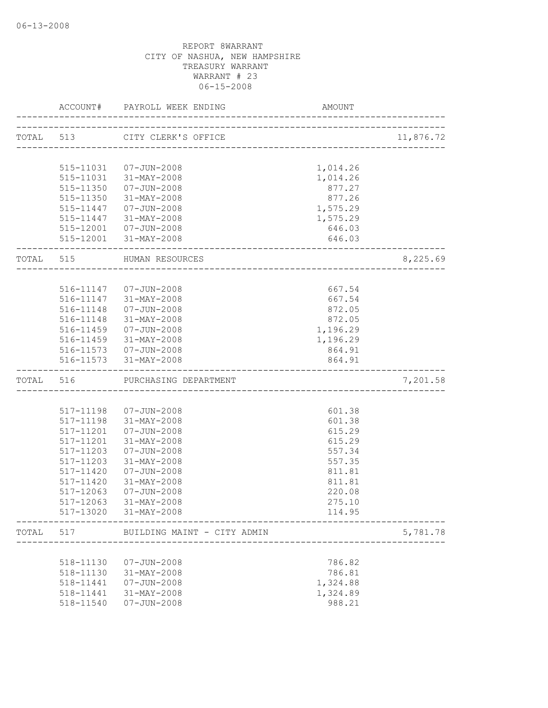|           | ACCOUNT#      | PAYROLL WEEK ENDING         | AMOUNT                             |           |
|-----------|---------------|-----------------------------|------------------------------------|-----------|
|           | TOTAL 513     | CITY CLERK'S OFFICE         |                                    | 11,876.72 |
|           |               |                             | ---------------------------------- |           |
|           |               | 515-11031  07-JUN-2008      | 1,014.26                           |           |
|           | 515-11031     | 31-MAY-2008                 | 1,014.26                           |           |
|           | 515-11350     | 07-JUN-2008                 | 877.27                             |           |
|           | 515-11350     | 31-MAY-2008                 | 877.26                             |           |
|           |               | 515-11447  07-JUN-2008      | 1,575.29                           |           |
|           |               | 515-11447 31-MAY-2008       | 1,575.29                           |           |
|           |               | 515-12001  07-JUN-2008      | 646.03                             |           |
|           |               | 515-12001 31-MAY-2008       | 646.03                             |           |
| TOTAL 515 |               | HUMAN RESOURCES             |                                    | 8,225.69  |
|           |               |                             |                                    |           |
|           |               | 516-11147  07-JUN-2008      | 667.54                             |           |
|           |               | 516-11147 31-MAY-2008       | 667.54                             |           |
|           |               | 516-11148  07-JUN-2008      | 872.05                             |           |
|           |               | 516-11148 31-MAY-2008       | 872.05                             |           |
|           |               | 516-11459 07-JUN-2008       | 1,196.29                           |           |
|           |               | 516-11459 31-MAY-2008       | 1,196.29                           |           |
|           |               | 516-11573  07-JUN-2008      | 864.91                             |           |
|           |               | 516-11573 31-MAY-2008       | 864.91                             |           |
| TOTAL 516 |               | PURCHASING DEPARTMENT       |                                    | 7,201.58  |
|           |               |                             |                                    |           |
|           | 517-11198     | 07-JUN-2008                 | 601.38                             |           |
|           | $517 - 11198$ | 31-MAY-2008                 | 601.38                             |           |
|           | 517-11201     | $07 - JUN - 2008$           | 615.29                             |           |
|           | 517-11201     | 31-MAY-2008                 | 615.29                             |           |
|           | 517-11203     | $07 - JUN - 2008$           | 557.34                             |           |
|           | 517-11203     | 31-MAY-2008                 | 557.35                             |           |
|           | 517-11420     | $07 - JUN - 2008$           | 811.81                             |           |
|           | 517-11420     | 31-MAY-2008                 | 811.81                             |           |
|           | 517-12063     | $07 - JUN - 2008$           | 220.08                             |           |
|           | 517-12063     | 31-MAY-2008                 | 275.10                             |           |
|           | 517-13020     | 31-MAY-2008                 | 114.95                             |           |
| TOTAL     | 517           | BUILDING MAINT - CITY ADMIN |                                    | 5,781.78  |
|           |               |                             |                                    |           |
|           | 518-11130     | $07 - JUN - 2008$           | 786.82                             |           |
|           | 518-11130     | 31-MAY-2008                 | 786.81                             |           |
|           | 518-11441     | $07 - JUN - 2008$           | 1,324.88                           |           |
|           | 518-11441     | 31-MAY-2008                 | 1,324.89                           |           |
|           | 518-11540     | $07 - JUN - 2008$           | 988.21                             |           |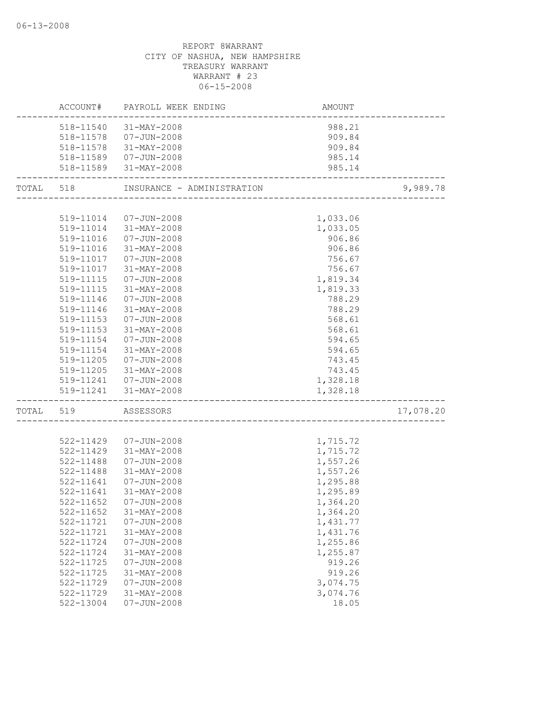|           |               | ACCOUNT# PAYROLL WEEK ENDING                | AMOUNT   |           |
|-----------|---------------|---------------------------------------------|----------|-----------|
|           |               | 518-11540 31-MAY-2008                       | 988.21   |           |
|           |               | 518-11578  07-JUN-2008                      | 909.84   |           |
|           |               | 518-11578 31-MAY-2008                       | 909.84   |           |
|           |               | 518-11589  07-JUN-2008                      | 985.14   |           |
|           |               | 518-11589 31-MAY-2008                       | 985.14   |           |
| TOTAL 518 |               | INSURANCE - ADMINISTRATION                  |          | 9,989.78  |
|           |               |                                             |          |           |
|           |               | 519-11014  07-JUN-2008                      | 1,033.06 |           |
|           |               | 519-11014 31-MAY-2008                       | 1,033.05 |           |
|           |               | 519-11016  07-JUN-2008                      | 906.86   |           |
|           | 519-11016     | 31-MAY-2008                                 | 906.86   |           |
|           | 519-11017     | 07-JUN-2008                                 | 756.67   |           |
|           | 519-11017     | 31-MAY-2008                                 | 756.67   |           |
|           | 519-11115     | $07 - JUN - 2008$                           | 1,819.34 |           |
|           | 519-11115     | 31-MAY-2008                                 | 1,819.33 |           |
|           | 519-11146     | $07 - JUN - 2008$                           | 788.29   |           |
|           | 519-11146     | $31 - MAX - 2008$                           | 788.29   |           |
|           | $519 - 11153$ | 07-JUN-2008                                 | 568.61   |           |
|           | 519-11153     | 31-MAY-2008                                 | 568.61   |           |
|           | 519-11154     | 07-JUN-2008                                 | 594.65   |           |
|           | 519-11154     | 31-MAY-2008                                 | 594.65   |           |
|           | 519-11205     | 07-JUN-2008                                 | 743.45   |           |
|           |               | 519-11205 31-MAY-2008                       | 743.45   |           |
|           |               | 519-11241  07-JUN-2008                      | 1,328.18 |           |
|           |               | 519-11241 31-MAY-2008                       | 1,328.18 |           |
|           | TOTAL 519     | ASSESSORS<br>------------------------------ |          | 17,078.20 |
|           |               |                                             |          |           |
|           | 522-11429     | 07-JUN-2008                                 | 1,715.72 |           |
|           | 522-11429     | 31-MAY-2008                                 | 1,715.72 |           |
|           | 522-11488     | 07-JUN-2008                                 | 1,557.26 |           |
|           | 522-11488     | 31-MAY-2008                                 | 1,557.26 |           |
|           | 522-11641     | 07-JUN-2008                                 | 1,295.88 |           |
|           | 522-11641     | 31-MAY-2008                                 | 1,295.89 |           |
|           |               | 522-11652  07-JUN-2008                      | 1,364.20 |           |
|           | 522-11652     | $31 - MAX - 2008$                           | 1,364.20 |           |
|           | 522-11721     | $07 - JUN - 2008$                           | 1,431.77 |           |
|           | 522-11721     | 31-MAY-2008                                 | 1,431.76 |           |
|           | 522-11724     | $07 - JUN - 2008$                           | 1,255.86 |           |
|           | 522-11724     | 31-MAY-2008                                 | 1,255.87 |           |
|           | 522-11725     | $07 - JUN - 2008$                           | 919.26   |           |
|           | 522-11725     | 31-MAY-2008                                 | 919.26   |           |
|           | 522-11729     | $07 - JUN - 2008$                           | 3,074.75 |           |
|           | 522-11729     | $31 - MAY - 2008$                           | 3,074.76 |           |
|           | 522-13004     | $07 - JUN - 2008$                           | 18.05    |           |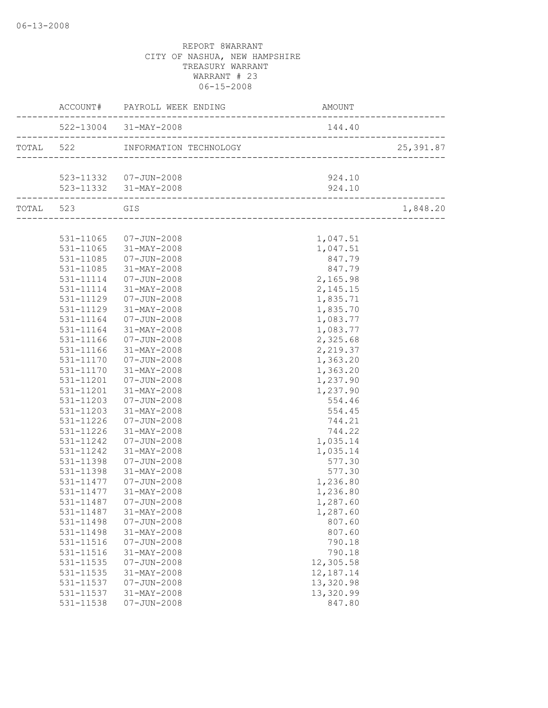| 522-13004 31-MAY-2008<br>144.40<br>25, 391.87<br>523-11332  07-JUN-2008<br>924.10<br>523-11332 31-MAY-2008<br>924.10<br>TOTAL 523 GIS<br>1,848.20<br>531-11065 07-JUN-2008<br>1,047.51<br>531-11065 31-MAY-2008<br>1,047.51<br>847.79<br>531-11085<br>07-JUN-2008<br>847.79<br>531-11085<br>31-MAY-2008<br>2,165.98<br>531-11114<br>07-JUN-2008<br>2,145.15<br>531-11114<br>31-MAY-2008<br>1,835.71<br>531-11129<br>07-JUN-2008<br>1,835.70<br>531-11129<br>31-MAY-2008<br>1,083.77<br>531-11164<br>07-JUN-2008<br>531-11164<br>31-MAY-2008<br>1,083.77<br>2,325.68<br>531-11166<br>$07 - JUN - 2008$<br>531-11166<br>$31 - MAX - 2008$<br>2,219.37<br>531-11170<br>$07 - JUN - 2008$<br>1,363.20<br>31-MAY-2008<br>1,363.20<br>531-11170<br>1,237.90<br>531-11201<br>07-JUN-2008<br>$31 - MAX - 2008$<br>1,237.90<br>531-11201<br>554.46<br>531-11203<br>07-JUN-2008<br>531-11203<br>31-MAY-2008<br>554.45<br>531-11226<br>07-JUN-2008<br>744.21<br>744.22<br>531-11226<br>31-MAY-2008<br>531-11242<br>07-JUN-2008<br>1,035.14 |
|---------------------------------------------------------------------------------------------------------------------------------------------------------------------------------------------------------------------------------------------------------------------------------------------------------------------------------------------------------------------------------------------------------------------------------------------------------------------------------------------------------------------------------------------------------------------------------------------------------------------------------------------------------------------------------------------------------------------------------------------------------------------------------------------------------------------------------------------------------------------------------------------------------------------------------------------------------------------------------------------------------------------------------|
|                                                                                                                                                                                                                                                                                                                                                                                                                                                                                                                                                                                                                                                                                                                                                                                                                                                                                                                                                                                                                                 |
|                                                                                                                                                                                                                                                                                                                                                                                                                                                                                                                                                                                                                                                                                                                                                                                                                                                                                                                                                                                                                                 |
|                                                                                                                                                                                                                                                                                                                                                                                                                                                                                                                                                                                                                                                                                                                                                                                                                                                                                                                                                                                                                                 |
|                                                                                                                                                                                                                                                                                                                                                                                                                                                                                                                                                                                                                                                                                                                                                                                                                                                                                                                                                                                                                                 |
|                                                                                                                                                                                                                                                                                                                                                                                                                                                                                                                                                                                                                                                                                                                                                                                                                                                                                                                                                                                                                                 |
|                                                                                                                                                                                                                                                                                                                                                                                                                                                                                                                                                                                                                                                                                                                                                                                                                                                                                                                                                                                                                                 |
|                                                                                                                                                                                                                                                                                                                                                                                                                                                                                                                                                                                                                                                                                                                                                                                                                                                                                                                                                                                                                                 |
|                                                                                                                                                                                                                                                                                                                                                                                                                                                                                                                                                                                                                                                                                                                                                                                                                                                                                                                                                                                                                                 |
|                                                                                                                                                                                                                                                                                                                                                                                                                                                                                                                                                                                                                                                                                                                                                                                                                                                                                                                                                                                                                                 |
|                                                                                                                                                                                                                                                                                                                                                                                                                                                                                                                                                                                                                                                                                                                                                                                                                                                                                                                                                                                                                                 |
|                                                                                                                                                                                                                                                                                                                                                                                                                                                                                                                                                                                                                                                                                                                                                                                                                                                                                                                                                                                                                                 |
|                                                                                                                                                                                                                                                                                                                                                                                                                                                                                                                                                                                                                                                                                                                                                                                                                                                                                                                                                                                                                                 |
|                                                                                                                                                                                                                                                                                                                                                                                                                                                                                                                                                                                                                                                                                                                                                                                                                                                                                                                                                                                                                                 |
|                                                                                                                                                                                                                                                                                                                                                                                                                                                                                                                                                                                                                                                                                                                                                                                                                                                                                                                                                                                                                                 |
|                                                                                                                                                                                                                                                                                                                                                                                                                                                                                                                                                                                                                                                                                                                                                                                                                                                                                                                                                                                                                                 |
|                                                                                                                                                                                                                                                                                                                                                                                                                                                                                                                                                                                                                                                                                                                                                                                                                                                                                                                                                                                                                                 |
|                                                                                                                                                                                                                                                                                                                                                                                                                                                                                                                                                                                                                                                                                                                                                                                                                                                                                                                                                                                                                                 |
|                                                                                                                                                                                                                                                                                                                                                                                                                                                                                                                                                                                                                                                                                                                                                                                                                                                                                                                                                                                                                                 |
|                                                                                                                                                                                                                                                                                                                                                                                                                                                                                                                                                                                                                                                                                                                                                                                                                                                                                                                                                                                                                                 |
|                                                                                                                                                                                                                                                                                                                                                                                                                                                                                                                                                                                                                                                                                                                                                                                                                                                                                                                                                                                                                                 |
|                                                                                                                                                                                                                                                                                                                                                                                                                                                                                                                                                                                                                                                                                                                                                                                                                                                                                                                                                                                                                                 |
|                                                                                                                                                                                                                                                                                                                                                                                                                                                                                                                                                                                                                                                                                                                                                                                                                                                                                                                                                                                                                                 |
|                                                                                                                                                                                                                                                                                                                                                                                                                                                                                                                                                                                                                                                                                                                                                                                                                                                                                                                                                                                                                                 |
|                                                                                                                                                                                                                                                                                                                                                                                                                                                                                                                                                                                                                                                                                                                                                                                                                                                                                                                                                                                                                                 |
|                                                                                                                                                                                                                                                                                                                                                                                                                                                                                                                                                                                                                                                                                                                                                                                                                                                                                                                                                                                                                                 |
|                                                                                                                                                                                                                                                                                                                                                                                                                                                                                                                                                                                                                                                                                                                                                                                                                                                                                                                                                                                                                                 |
|                                                                                                                                                                                                                                                                                                                                                                                                                                                                                                                                                                                                                                                                                                                                                                                                                                                                                                                                                                                                                                 |
|                                                                                                                                                                                                                                                                                                                                                                                                                                                                                                                                                                                                                                                                                                                                                                                                                                                                                                                                                                                                                                 |
| 1,035.14<br>531-11242<br>31-MAY-2008                                                                                                                                                                                                                                                                                                                                                                                                                                                                                                                                                                                                                                                                                                                                                                                                                                                                                                                                                                                            |
| 577.30<br>531-11398<br>07-JUN-2008                                                                                                                                                                                                                                                                                                                                                                                                                                                                                                                                                                                                                                                                                                                                                                                                                                                                                                                                                                                              |
| 577.30<br>531-11398<br>31-MAY-2008                                                                                                                                                                                                                                                                                                                                                                                                                                                                                                                                                                                                                                                                                                                                                                                                                                                                                                                                                                                              |
| 1,236.80<br>531-11477<br>07-JUN-2008<br>31-MAY-2008<br>531-11477                                                                                                                                                                                                                                                                                                                                                                                                                                                                                                                                                                                                                                                                                                                                                                                                                                                                                                                                                                |
| 1,236.80<br>531-11487  07-JUN-2008<br>1,287.60                                                                                                                                                                                                                                                                                                                                                                                                                                                                                                                                                                                                                                                                                                                                                                                                                                                                                                                                                                                  |
| 531-11487<br>31-MAY-2008<br>1,287.60                                                                                                                                                                                                                                                                                                                                                                                                                                                                                                                                                                                                                                                                                                                                                                                                                                                                                                                                                                                            |
| 531-11498<br>$07 - JUN - 2008$<br>807.60                                                                                                                                                                                                                                                                                                                                                                                                                                                                                                                                                                                                                                                                                                                                                                                                                                                                                                                                                                                        |
| 531-11498<br>31-MAY-2008<br>807.60                                                                                                                                                                                                                                                                                                                                                                                                                                                                                                                                                                                                                                                                                                                                                                                                                                                                                                                                                                                              |
| 790.18<br>531-11516<br>$07 - JUN - 2008$                                                                                                                                                                                                                                                                                                                                                                                                                                                                                                                                                                                                                                                                                                                                                                                                                                                                                                                                                                                        |
| 531-11516<br>31-MAY-2008<br>790.18                                                                                                                                                                                                                                                                                                                                                                                                                                                                                                                                                                                                                                                                                                                                                                                                                                                                                                                                                                                              |
| 12,305.58<br>531-11535<br>$07 - JUN - 2008$                                                                                                                                                                                                                                                                                                                                                                                                                                                                                                                                                                                                                                                                                                                                                                                                                                                                                                                                                                                     |
| 12,187.14<br>531-11535<br>31-MAY-2008                                                                                                                                                                                                                                                                                                                                                                                                                                                                                                                                                                                                                                                                                                                                                                                                                                                                                                                                                                                           |
| 13,320.98<br>531-11537<br>$07 - JUN - 2008$                                                                                                                                                                                                                                                                                                                                                                                                                                                                                                                                                                                                                                                                                                                                                                                                                                                                                                                                                                                     |
| 13,320.99<br>531-11537<br>31-MAY-2008                                                                                                                                                                                                                                                                                                                                                                                                                                                                                                                                                                                                                                                                                                                                                                                                                                                                                                                                                                                           |
| 531-11538<br>$07 - JUN - 2008$<br>847.80                                                                                                                                                                                                                                                                                                                                                                                                                                                                                                                                                                                                                                                                                                                                                                                                                                                                                                                                                                                        |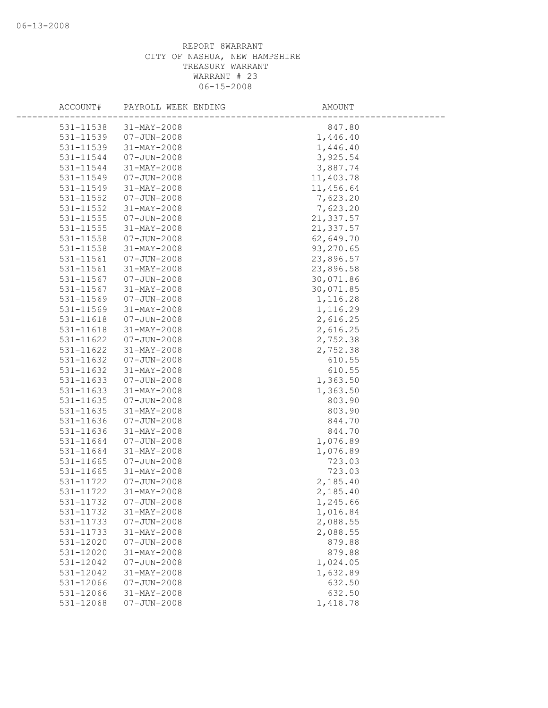| ACCOUNT#  | PAYROLL WEEK ENDING | AMOUNT    |
|-----------|---------------------|-----------|
| 531-11538 | $31 - MAX - 2008$   | 847.80    |
| 531-11539 | $07 - JUN - 2008$   | 1,446.40  |
| 531-11539 | 31-MAY-2008         | 1,446.40  |
| 531-11544 | $07 - JUN - 2008$   | 3,925.54  |
| 531-11544 | 31-MAY-2008         | 3,887.74  |
| 531-11549 | $07 - JUN - 2008$   | 11,403.78 |
| 531-11549 | 31-MAY-2008         | 11,456.64 |
| 531-11552 | $07 - JUN - 2008$   | 7,623.20  |
| 531-11552 | 31-MAY-2008         | 7,623.20  |
| 531-11555 | $07 - JUN - 2008$   | 21,337.57 |
| 531-11555 | 31-MAY-2008         | 21,337.57 |
| 531-11558 | $07 - JUN - 2008$   | 62,649.70 |
| 531-11558 | 31-MAY-2008         | 93,270.65 |
| 531-11561 | $07 - JUN - 2008$   | 23,896.57 |
| 531-11561 | 31-MAY-2008         | 23,896.58 |
| 531-11567 | $07 - JUN - 2008$   | 30,071.86 |
| 531-11567 | 31-MAY-2008         | 30,071.85 |
| 531-11569 | $07 - JUN - 2008$   | 1,116.28  |
| 531-11569 | 31-MAY-2008         | 1,116.29  |
| 531-11618 | $07 - JUN - 2008$   | 2,616.25  |
| 531-11618 | 31-MAY-2008         | 2,616.25  |
| 531-11622 | $07 - JUN - 2008$   | 2,752.38  |
| 531-11622 | $31 - MAY - 2008$   | 2,752.38  |
| 531-11632 | $07 - JUN - 2008$   | 610.55    |
| 531-11632 | 31-MAY-2008         | 610.55    |
| 531-11633 | $07 - JUN - 2008$   | 1,363.50  |
| 531-11633 | 31-MAY-2008         | 1,363.50  |
| 531-11635 | $07 - JUN - 2008$   | 803.90    |
| 531-11635 | 31-MAY-2008         | 803.90    |
| 531-11636 | $07 - JUN - 2008$   | 844.70    |
| 531-11636 | $31 - MAX - 2008$   | 844.70    |
| 531-11664 | $07 - JUN - 2008$   | 1,076.89  |
| 531-11664 | 31-MAY-2008         | 1,076.89  |
| 531-11665 | $07 - JUN - 2008$   | 723.03    |
| 531-11665 | 31-MAY-2008         | 723.03    |
| 531-11722 | $07 - JUN - 2008$   | 2,185.40  |
| 531-11722 | 31-MAY-2008         | 2,185.40  |
| 531-11732 | $07 - JUN - 2008$   | 1,245.66  |
| 531-11732 | $31 - MAY - 2008$   | 1,016.84  |
| 531-11733 | $07 - JUN - 2008$   | 2,088.55  |
| 531-11733 | 31-MAY-2008         | 2,088.55  |
| 531-12020 | $07 - JUN - 2008$   | 879.88    |
| 531-12020 | 31-MAY-2008         | 879.88    |
| 531-12042 | $07 - JUN - 2008$   | 1,024.05  |
| 531-12042 | $31 - MAX - 2008$   | 1,632.89  |
| 531-12066 | $07 - JUN - 2008$   | 632.50    |
| 531-12066 | 31-MAY-2008         | 632.50    |
| 531-12068 | $07 - JUN - 2008$   | 1,418.78  |
|           |                     |           |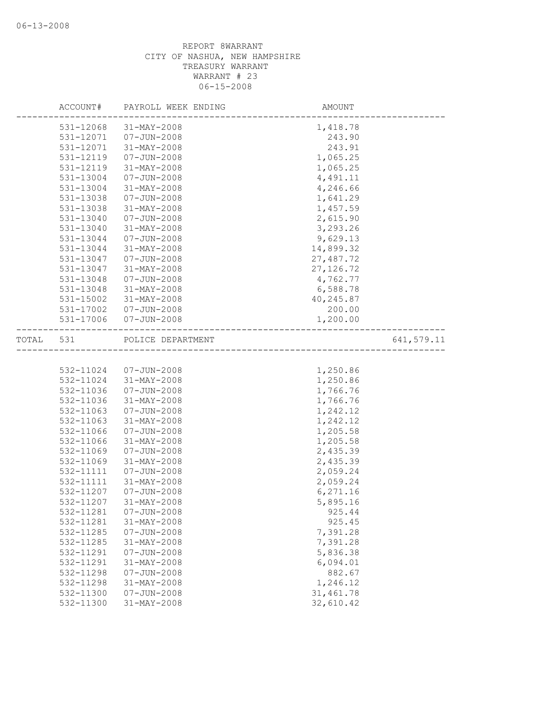|       | ACCOUNT#  | PAYROLL WEEK ENDING   | AMOUNT     |            |
|-------|-----------|-----------------------|------------|------------|
|       | 531-12068 | 31-MAY-2008           | 1,418.78   |            |
|       | 531-12071 | $07 - JUN - 2008$     | 243.90     |            |
|       | 531-12071 | 31-MAY-2008           | 243.91     |            |
|       | 531-12119 | $07 - JUN - 2008$     | 1,065.25   |            |
|       | 531-12119 | 31-MAY-2008           | 1,065.25   |            |
|       | 531-13004 | $07 - JUN - 2008$     | 4,491.11   |            |
|       | 531-13004 | 31-MAY-2008           | 4,246.66   |            |
|       | 531-13038 | $07 - JUN - 2008$     | 1,641.29   |            |
|       | 531-13038 | $31 - MAX - 2008$     | 1,457.59   |            |
|       | 531-13040 | $07 - JUN - 2008$     | 2,615.90   |            |
|       | 531-13040 | 31-MAY-2008           | 3,293.26   |            |
|       | 531-13044 | $07 - JUN - 2008$     | 9,629.13   |            |
|       | 531-13044 | 31-MAY-2008           | 14,899.32  |            |
|       | 531-13047 | $07 - JUN - 2008$     | 27,487.72  |            |
|       | 531-13047 | 31-MAY-2008           | 27, 126.72 |            |
|       | 531-13048 | $07 - JUN - 2008$     | 4,762.77   |            |
|       | 531-13048 | 31-MAY-2008           | 6,588.78   |            |
|       | 531-15002 | 31-MAY-2008           | 40,245.87  |            |
|       | 531-17002 | 07-JUN-2008           | 200.00     |            |
|       | 531-17006 | 07-JUN-2008           | 1,200.00   |            |
| TOTAL | 531       | POLICE DEPARTMENT     |            | 641,579.11 |
|       |           |                       |            |            |
|       |           | 532-11024 07-JUN-2008 | 1,250.86   |            |
|       | 532-11024 | 31-MAY-2008           | 1,250.86   |            |
|       | 532-11036 | $07 - JUN - 2008$     | 1,766.76   |            |
|       | 532-11036 | 31-MAY-2008           | 1,766.76   |            |
|       | 532-11063 | $07 - JUN - 2008$     | 1,242.12   |            |
|       | 532-11063 | 31-MAY-2008           | 1,242.12   |            |
|       | 532-11066 | $07 - JUN - 2008$     | 1,205.58   |            |
|       | 532-11066 | 31-MAY-2008           | 1,205.58   |            |
|       | 532-11069 | $07 - JUN - 2008$     | 2,435.39   |            |
|       | 532-11069 | 31-MAY-2008           | 2,435.39   |            |
|       | 532-11111 | $07 - JUN - 2008$     | 2,059.24   |            |
|       | 532-11111 | 31-MAY-2008           | 2,059.24   |            |
|       | 532-11207 | $07 - JUN - 2008$     | 6,271.16   |            |
|       | 532-11207 | $31 - MAX - 2008$     | 5,895.16   |            |
|       | 532-11281 | $07 - JUN - 2008$     | 925.44     |            |
|       | 532-11281 | 31-MAY-2008           | 925.45     |            |
|       | 532-11285 | $07 - JUN - 2008$     | 7,391.28   |            |
|       | 532-11285 | 31-MAY-2008           | 7,391.28   |            |
|       | 532-11291 | $07 - JUN - 2008$     | 5,836.38   |            |
|       | 532-11291 | 31-MAY-2008           | 6,094.01   |            |
|       | 532-11298 | $07 - JUN - 2008$     | 882.67     |            |
|       | 532-11298 | $31 - MAY - 2008$     | 1,246.12   |            |
|       | 532-11300 | $07 - JUN - 2008$     | 31,461.78  |            |
|       | 532-11300 | $31 - MAY - 2008$     | 32,610.42  |            |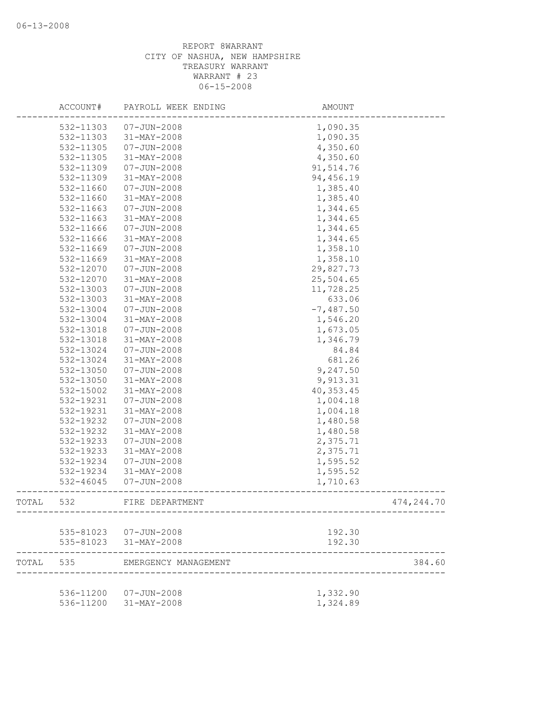|           | ACCOUNT#  | PAYROLL WEEK ENDING                             | AMOUNT               |            |
|-----------|-----------|-------------------------------------------------|----------------------|------------|
|           | 532-11303 | $07 - JUN - 2008$                               | 1,090.35             |            |
|           | 532-11303 | 31-MAY-2008                                     | 1,090.35             |            |
|           | 532-11305 | $07 - JUN - 2008$                               | 4,350.60             |            |
|           | 532-11305 | 31-MAY-2008                                     | 4,350.60             |            |
|           | 532-11309 | $07 - JUN - 2008$                               | 91,514.76            |            |
|           | 532-11309 | 31-MAY-2008                                     | 94,456.19            |            |
|           | 532-11660 | $07 - JUN - 2008$                               | 1,385.40             |            |
|           | 532-11660 | 31-MAY-2008                                     | 1,385.40             |            |
|           | 532-11663 | $07 - JUN - 2008$                               | 1,344.65             |            |
|           | 532-11663 | 31-MAY-2008                                     | 1,344.65             |            |
|           | 532-11666 | $07 - JUN - 2008$                               | 1,344.65             |            |
|           | 532-11666 | 31-MAY-2008                                     | 1,344.65             |            |
|           | 532-11669 | $07 - JUN - 2008$                               | 1,358.10             |            |
|           | 532-11669 | $31 - MAY - 2008$                               | 1,358.10             |            |
|           | 532-12070 | $07 - JUN - 2008$                               | 29,827.73            |            |
|           | 532-12070 | 31-MAY-2008                                     | 25,504.65            |            |
|           | 532-13003 | $07 - JUN - 2008$                               | 11,728.25            |            |
|           | 532-13003 | 31-MAY-2008                                     | 633.06               |            |
|           | 532-13004 | $07 - JUN - 2008$                               | $-7,487.50$          |            |
|           | 532-13004 | 31-MAY-2008                                     | 1,546.20             |            |
|           | 532-13018 | $07 - JUN - 2008$                               | 1,673.05             |            |
|           | 532-13018 | 31-MAY-2008                                     | 1,346.79             |            |
|           | 532-13024 | $07 - JUN - 2008$                               | 84.84                |            |
|           | 532-13024 | 31-MAY-2008                                     | 681.26               |            |
|           | 532-13050 | $07 - JUN - 2008$                               | 9,247.50             |            |
|           | 532-13050 | 31-MAY-2008                                     | 9,913.31             |            |
|           | 532-15002 | 31-MAY-2008                                     | 40, 353.45           |            |
|           | 532-19231 | $07 - JUN - 2008$                               | 1,004.18             |            |
|           | 532-19231 | 31-MAY-2008                                     | 1,004.18             |            |
|           | 532-19232 | $07 - JUN - 2008$                               | 1,480.58             |            |
|           | 532-19232 | $31 - MAY - 2008$                               | 1,480.58             |            |
|           | 532-19233 | $07 - JUN - 2008$                               | 2,375.71             |            |
|           | 532-19233 | 31-MAY-2008                                     | 2,375.71             |            |
|           | 532-19234 | $07 - JUN - 2008$                               | 1,595.52             |            |
|           | 532-19234 | 31-MAY-2008                                     | 1,595.52             |            |
|           | 532-46045 | $07 - JUN - 2008$                               | 1,710.63             |            |
| TOTAL     | 532       | FIRE DEPARTMENT                                 |                      | 474,244.70 |
|           |           |                                                 |                      |            |
|           |           | 535-81023  07-JUN-2008                          | 192.30               |            |
|           |           | 535-81023 31-MAY-2008                           | 192.30               |            |
| TOTAL 535 |           | EMERGENCY MANAGEMENT                            |                      | 384.60     |
|           |           |                                                 |                      |            |
|           |           | 536-11200  07-JUN-2008<br>536-11200 31-MAY-2008 | 1,332.90<br>1,324.89 |            |
|           |           |                                                 |                      |            |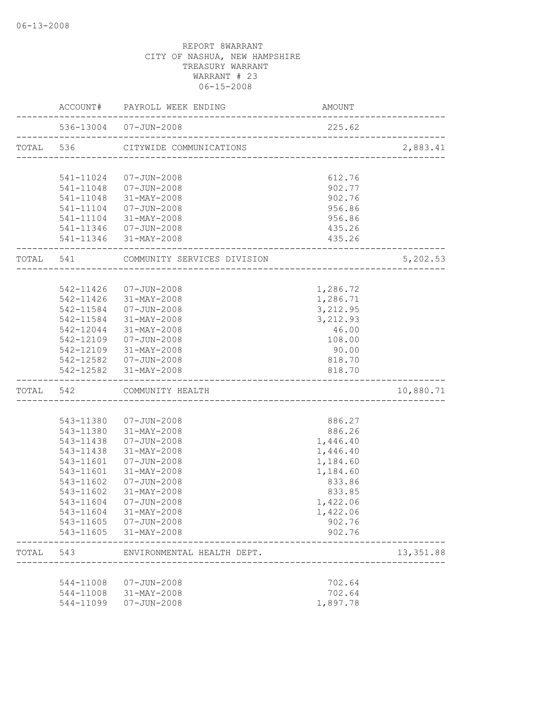|           | ACCOUNT#               | PAYROLL WEEK ENDING                             | AMOUNT                         |            |
|-----------|------------------------|-------------------------------------------------|--------------------------------|------------|
|           |                        | 536-13004 07-JUN-2008                           | 225.62                         |            |
| TOTAL 536 |                        | CITYWIDE COMMUNICATIONS                         | ______________________________ | 2,883.41   |
|           | 541-11024              | 07-JUN-2008                                     | 612.76                         |            |
|           |                        | 541-11048  07-JUN-2008                          | 902.77                         |            |
|           | 541-11048              | 31-MAY-2008                                     | 902.76                         |            |
|           | 541-11104              | 07-JUN-2008                                     | 956.86                         |            |
|           |                        | 541-11104 31-MAY-2008                           | 956.86                         |            |
|           |                        | 541-11346  07-JUN-2008                          | 435.26                         |            |
|           |                        | 541-11346 31-MAY-2008                           | 435.26                         |            |
| TOTAL 541 |                        | COMMUNITY SERVICES DIVISION                     |                                | 5,202.53   |
|           |                        |                                                 |                                |            |
|           | 542-11426              | 07-JUN-2008                                     | 1,286.72                       |            |
|           | 542-11426              | 31-MAY-2008                                     | 1,286.71                       |            |
|           | 542-11584<br>542-11584 | 07-JUN-2008<br>31-MAY-2008                      | 3,212.95<br>3,212.93           |            |
|           | 542-12044              | 31-MAY-2008                                     | 46.00                          |            |
|           |                        | 542-12109  07-JUN-2008                          | 108.00                         |            |
|           |                        | 542-12109 31-MAY-2008                           | 90.00                          |            |
|           |                        | 542-12582  07-JUN-2008                          | 818.70                         |            |
|           |                        | 542-12582 31-MAY-2008                           | 818.70                         |            |
| TOTAL 542 |                        | COMMUNITY HEALTH                                |                                | 10,880.71  |
|           |                        |                                                 |                                |            |
|           | 543-11380              | 07-JUN-2008                                     | 886.27                         |            |
|           |                        | 543-11380 31-MAY-2008                           | 886.26                         |            |
|           | 543-11438              | 07-JUN-2008                                     | 1,446.40                       |            |
|           | 543-11438              | 31-MAY-2008                                     | 1,446.40                       |            |
|           | 543-11601              | 07-JUN-2008                                     | 1,184.60                       |            |
|           | 543-11601              | 31-MAY-2008                                     | 1,184.60                       |            |
|           | 543-11602              | 07-JUN-2008                                     | 833.86                         |            |
|           | 543-11602              | 31-MAY-2008                                     | 833.85                         |            |
|           | 543-11604              | 07-JUN-2008                                     | 1,422.06                       |            |
|           |                        | 543-11604 31-MAY-2008<br>543-11605  07-JUN-2008 | 1,422.06<br>902.76             |            |
|           |                        | 543-11605 31-MAY-2008                           | 902.76                         |            |
| TOTAL     | 543                    | ENVIRONMENTAL HEALTH DEPT.                      |                                | 13, 351.88 |
|           |                        |                                                 |                                |            |
|           |                        | 544-11008  07-JUN-2008                          | 702.64                         |            |
|           |                        | 544-11008 31-MAY-2008                           | 702.64                         |            |
|           |                        | 544-11099  07-JUN-2008                          | 1,897.78                       |            |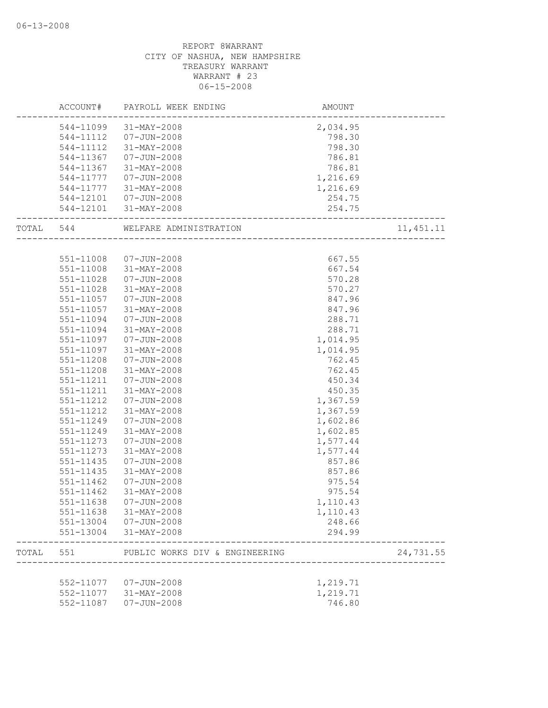|           |               | ACCOUNT# PAYROLL WEEK ENDING                         | AMOUNT   |            |
|-----------|---------------|------------------------------------------------------|----------|------------|
|           |               | 544-11099 31-MAY-2008                                | 2,034.95 |            |
|           |               | 544-11112  07-JUN-2008                               | 798.30   |            |
|           | 544-11112     | 31-MAY-2008                                          | 798.30   |            |
|           | 544-11367     | 07-JUN-2008                                          | 786.81   |            |
|           | 544-11367     | 31-MAY-2008                                          | 786.81   |            |
|           | 544-11777     | 07-JUN-2008                                          | 1,216.69 |            |
|           | 544-11777     | 31-MAY-2008                                          | 1,216.69 |            |
|           |               | 544-12101  07-JUN-2008                               | 254.75   |            |
|           |               | 544-12101 31-MAY-2008<br>--------------------------- | 254.75   |            |
| TOTAL 544 |               | WELFARE ADMINISTRATION                               |          | 11, 451.11 |
|           |               |                                                      |          |            |
|           | 551-11008     | 07-JUN-2008                                          | 667.55   |            |
|           | 551-11008     | 31-MAY-2008                                          | 667.54   |            |
|           | $551 - 11028$ | $07 - JUN - 2008$                                    | 570.28   |            |
|           | 551-11028     | 31-MAY-2008                                          | 570.27   |            |
|           | 551-11057     | 07-JUN-2008                                          | 847.96   |            |
|           | 551-11057     | 31-MAY-2008                                          | 847.96   |            |
|           | 551-11094     | 07-JUN-2008                                          | 288.71   |            |
|           | 551-11094     | 31-MAY-2008                                          | 288.71   |            |
|           | 551-11097     | 07-JUN-2008                                          | 1,014.95 |            |
|           | 551-11097     | 31-MAY-2008                                          | 1,014.95 |            |
|           | 551-11208     | 07-JUN-2008                                          | 762.45   |            |
|           | 551-11208     | 31-MAY-2008                                          | 762.45   |            |
|           | 551-11211     | 07-JUN-2008                                          | 450.34   |            |
|           | 551-11211     | 31-MAY-2008                                          | 450.35   |            |
|           | 551-11212     | 07-JUN-2008                                          | 1,367.59 |            |
|           | 551-11212     | 31-MAY-2008                                          | 1,367.59 |            |
|           | 551-11249     | 07-JUN-2008                                          | 1,602.86 |            |
|           | 551-11249     | 31-MAY-2008                                          | 1,602.85 |            |
|           | 551-11273     | $07 - JUN - 2008$                                    | 1,577.44 |            |
|           | 551-11273     | 31-MAY-2008                                          | 1,577.44 |            |
|           | 551-11435     | 07-JUN-2008                                          | 857.86   |            |
|           | 551-11435     | 31-MAY-2008                                          | 857.86   |            |
|           | 551-11462     | $07 - JUN - 2008$                                    | 975.54   |            |
|           | $551 - 11462$ | 31-MAY-2008                                          | 975.54   |            |
|           | 551-11638     | $07 - JUN - 2008$                                    | 1,110.43 |            |
|           | 551-11638     | 31-MAY-2008                                          | 1,110.43 |            |
|           | 551-13004     | 07-JUN-2008                                          | 248.66   |            |
|           | 551-13004     | 31-MAY-2008                                          | 294.99   |            |
| TOTAL     | 551           | PUBLIC WORKS DIV & ENGINEERING                       |          | 24,731.55  |
|           |               |                                                      |          |            |
|           | 552-11077     | 07-JUN-2008                                          | 1,219.71 |            |
|           | 552-11077     | 31-MAY-2008                                          | 1,219.71 |            |
|           | 552-11087     | $07 - JUN - 2008$                                    | 746.80   |            |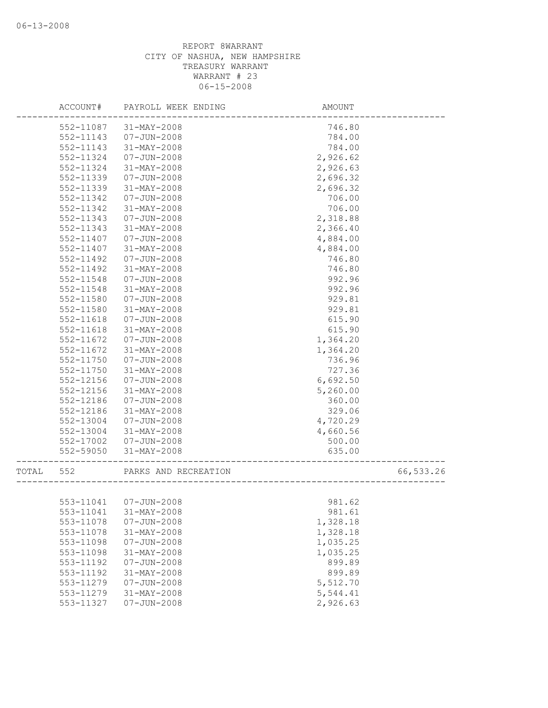|       | ACCOUNT#  | PAYROLL WEEK ENDING    | AMOUNT   |           |
|-------|-----------|------------------------|----------|-----------|
|       | 552-11087 | 31-MAY-2008            | 746.80   |           |
|       | 552-11143 | $07 - JUN - 2008$      | 784.00   |           |
|       | 552-11143 | 31-MAY-2008            | 784.00   |           |
|       | 552-11324 | $07 - JUN - 2008$      | 2,926.62 |           |
|       | 552-11324 | 31-MAY-2008            | 2,926.63 |           |
|       | 552-11339 | $07 - JUN - 2008$      | 2,696.32 |           |
|       | 552-11339 | 31-MAY-2008            | 2,696.32 |           |
|       | 552-11342 | $07 - JUN - 2008$      | 706.00   |           |
|       | 552-11342 | 31-MAY-2008            | 706.00   |           |
|       | 552-11343 | $07 - JUN - 2008$      | 2,318.88 |           |
|       | 552-11343 | 31-MAY-2008            | 2,366.40 |           |
|       | 552-11407 | $07 - JUN - 2008$      | 4,884.00 |           |
|       | 552-11407 | 31-MAY-2008            | 4,884.00 |           |
|       | 552-11492 | $07 - JUN - 2008$      | 746.80   |           |
|       | 552-11492 | $31 - MAX - 2008$      | 746.80   |           |
|       | 552-11548 | $07 - JUN - 2008$      | 992.96   |           |
|       | 552-11548 | $31 - MAX - 2008$      | 992.96   |           |
|       | 552-11580 | $07 - JUN - 2008$      | 929.81   |           |
|       | 552-11580 | 31-MAY-2008            | 929.81   |           |
|       | 552-11618 | $07 - JUN - 2008$      | 615.90   |           |
|       | 552-11618 | 31-MAY-2008            | 615.90   |           |
|       | 552-11672 | $07 - JUN - 2008$      | 1,364.20 |           |
|       | 552-11672 | 31-MAY-2008            | 1,364.20 |           |
|       | 552-11750 | $07 - JUN - 2008$      | 736.96   |           |
|       | 552-11750 | 31-MAY-2008            | 727.36   |           |
|       | 552-12156 | $07 - JUN - 2008$      | 6,692.50 |           |
|       | 552-12156 | 31-MAY-2008            | 5,260.00 |           |
|       | 552-12186 | $07 - JUN - 2008$      | 360.00   |           |
|       | 552-12186 | 31-MAY-2008            | 329.06   |           |
|       | 552-13004 | $07 - JUN - 2008$      | 4,720.29 |           |
|       | 552-13004 | $31 - MAX - 2008$      | 4,660.56 |           |
|       | 552-17002 | $07 - JUN - 2008$      | 500.00   |           |
|       | 552-59050 | 31-MAY-2008            | 635.00   |           |
| TOTAL | 552       | PARKS AND RECREATION   |          | 66,533.26 |
|       |           |                        |          |           |
|       |           | 553-11041  07-JUN-2008 | 981.62   |           |
|       | 553-11041 | $31 - MAY - 2008$      | 981.61   |           |
|       | 553-11078 | $07 - JUN - 2008$      | 1,328.18 |           |
|       | 553-11078 | 31-MAY-2008            | 1,328.18 |           |
|       | 553-11098 | $07 - JUN - 2008$      | 1,035.25 |           |
|       | 553-11098 | $31 - MAY - 2008$      | 1,035.25 |           |
|       | 553-11192 | $07 - JUN - 2008$      | 899.89   |           |
|       | 553-11192 | 31-MAY-2008            | 899.89   |           |
|       | 553-11279 | $07 - JUN - 2008$      | 5,512.70 |           |
|       | 553-11279 | $31 - MAY - 2008$      | 5,544.41 |           |
|       | 553-11327 | $07 - JUN - 2008$      | 2,926.63 |           |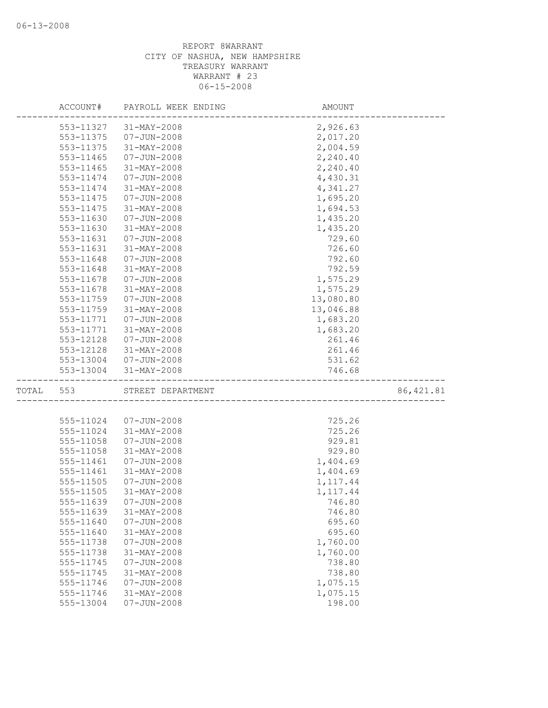|       | ACCOUNT#  | PAYROLL WEEK ENDING | AMOUNT    |            |
|-------|-----------|---------------------|-----------|------------|
|       | 553-11327 | 31-MAY-2008         | 2,926.63  |            |
|       | 553-11375 | $07 - JUN - 2008$   | 2,017.20  |            |
|       | 553-11375 | 31-MAY-2008         | 2,004.59  |            |
|       | 553-11465 | $07 - JUN - 2008$   | 2,240.40  |            |
|       | 553-11465 | 31-MAY-2008         | 2,240.40  |            |
|       | 553-11474 | $07 - JUN - 2008$   | 4,430.31  |            |
|       | 553-11474 | 31-MAY-2008         | 4,341.27  |            |
|       | 553-11475 | $07 - JUN - 2008$   | 1,695.20  |            |
|       | 553-11475 | 31-MAY-2008         | 1,694.53  |            |
|       | 553-11630 | $07 - JUN - 2008$   | 1,435.20  |            |
|       | 553-11630 | 31-MAY-2008         | 1,435.20  |            |
|       | 553-11631 | $07 - JUN - 2008$   | 729.60    |            |
|       | 553-11631 | $31 - MAX - 2008$   | 726.60    |            |
|       | 553-11648 | $07 - JUN - 2008$   | 792.60    |            |
|       | 553-11648 | $31 - MAX - 2008$   | 792.59    |            |
|       | 553-11678 | $07 - JUN - 2008$   | 1,575.29  |            |
|       | 553-11678 | 31-MAY-2008         | 1,575.29  |            |
|       | 553-11759 | $07 - JUN - 2008$   | 13,080.80 |            |
|       | 553-11759 | $31 - MAX - 2008$   | 13,046.88 |            |
|       | 553-11771 | $07 - JUN - 2008$   | 1,683.20  |            |
|       | 553-11771 | 31-MAY-2008         | 1,683.20  |            |
|       | 553-12128 | 07-JUN-2008         | 261.46    |            |
|       | 553-12128 | 31-MAY-2008         | 261.46    |            |
|       | 553-13004 | 07-JUN-2008         | 531.62    |            |
|       | 553-13004 | 31-MAY-2008         | 746.68    |            |
| TOTAL | 553       | STREET DEPARTMENT   |           | 86, 421.81 |
|       |           |                     |           |            |
|       | 555-11024 | $07 - JUN - 2008$   | 725.26    |            |
|       | 555-11024 | 31-MAY-2008         | 725.26    |            |
|       | 555-11058 | $07 - JUN - 2008$   | 929.81    |            |
|       | 555-11058 | 31-MAY-2008         | 929.80    |            |
|       | 555-11461 | $07 - JUN - 2008$   | 1,404.69  |            |
|       | 555-11461 | 31-MAY-2008         | 1,404.69  |            |
|       | 555-11505 | $07 - JUN - 2008$   | 1, 117.44 |            |
|       | 555-11505 | $31 - MAX - 2008$   | 1, 117.44 |            |
|       | 555-11639 | 07-JUN-2008         | 746.80    |            |
|       | 555-11639 | 31-MAY-2008         | 746.80    |            |
|       | 555-11640 | $07 - JUN - 2008$   | 695.60    |            |
|       | 555-11640 | $31 - MAY - 2008$   | 695.60    |            |
|       | 555-11738 | $07 - JUN - 2008$   | 1,760.00  |            |
|       | 555-11738 | $31 - MAY - 2008$   | 1,760.00  |            |
|       | 555-11745 | $07 - JUN - 2008$   | 738.80    |            |
|       | 555-11745 | 31-MAY-2008         | 738.80    |            |
|       | 555-11746 | $07 - JUN - 2008$   | 1,075.15  |            |
|       | 555-11746 | $31 - MAX - 2008$   | 1,075.15  |            |
|       | 555-13004 | $07 - JUN - 2008$   | 198.00    |            |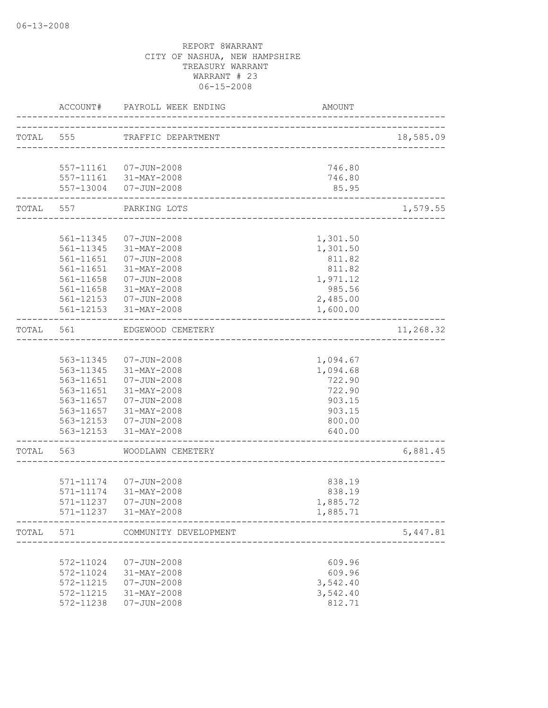|           | ACCOUNT#                        | PAYROLL WEEK ENDING                            | AMOUNT                    |           |
|-----------|---------------------------------|------------------------------------------------|---------------------------|-----------|
| TOTAL 555 |                                 | TRAFFIC DEPARTMENT                             |                           | 18,585.09 |
|           |                                 |                                                | 746.80                    |           |
|           |                                 | 557-11161  07-JUN-2008                         | 746.80                    |           |
|           |                                 | 557-11161 31-MAY-2008<br>557-13004 07-JUN-2008 | 85.95                     |           |
|           | . _ _ _ _ _ _ _ _ _ _ _ _ _ _ _ | TOTAL 557 PARKING LOTS                         | _________________________ | 1,579.55  |
|           |                                 |                                                |                           |           |
|           |                                 | 561-11345  07-JUN-2008                         | 1,301.50                  |           |
|           |                                 | 561-11345 31-MAY-2008                          | 1,301.50                  |           |
|           | 561-11651                       | $07 - JUN - 2008$                              | 811.82                    |           |
|           | 561-11651                       | 31-MAY-2008                                    | 811.82                    |           |
|           | 561-11658                       | $07 - JUN - 2008$                              | 1,971.12                  |           |
|           | 561-11658                       | 31-MAY-2008                                    | 985.56                    |           |
|           |                                 | 561-12153  07-JUN-2008                         | 2,485.00                  |           |
|           |                                 | 561-12153 31-MAY-2008                          | 1,600.00                  |           |
| TOTAL     | 561                             | EDGEWOOD CEMETERY                              |                           | 11,268.32 |
|           |                                 |                                                |                           |           |
|           |                                 | 563-11345  07-JUN-2008                         | 1,094.67                  |           |
|           |                                 | 563-11345 31-MAY-2008                          | 1,094.68                  |           |
|           | 563-11651                       | 07-JUN-2008                                    | 722.90                    |           |
|           |                                 | 563-11651 31-MAY-2008                          | 722.90                    |           |
|           |                                 | 563-11657  07-JUN-2008                         | 903.15                    |           |
|           |                                 | 563-11657 31-MAY-2008                          | 903.15                    |           |
|           |                                 | 563-12153  07-JUN-2008                         | 800.00                    |           |
|           |                                 | 563-12153 31-MAY-2008                          | 640.00                    |           |
| TOTAL 563 |                                 | WOODLAWN CEMETERY                              |                           | 6,881.45  |
|           |                                 |                                                |                           |           |
|           |                                 | 571-11174 07-JUN-2008                          | 838.19                    |           |
|           |                                 | 571-11174 31-MAY-2008                          | 838.19                    |           |
|           | 571-11237                       | $07 - JUN - 2008$                              | 1,885.72                  |           |
|           | 571-11237                       | 31-MAY-2008                                    | 1,885.71                  |           |
| TOTAL     | 571                             | COMMUNITY DEVELOPMENT                          |                           | 5,447.81  |
|           |                                 |                                                |                           |           |
|           | 572-11024                       | $07 - JUN - 2008$                              | 609.96                    |           |
|           | 572-11024                       | $31 - MAX - 2008$                              | 609.96                    |           |
|           | 572-11215                       | $07 - JUN - 2008$                              | 3,542.40                  |           |
|           | 572-11215                       | 31-MAY-2008                                    | 3,542.40                  |           |
|           | 572-11238                       | $07 - JUN - 2008$                              | 812.71                    |           |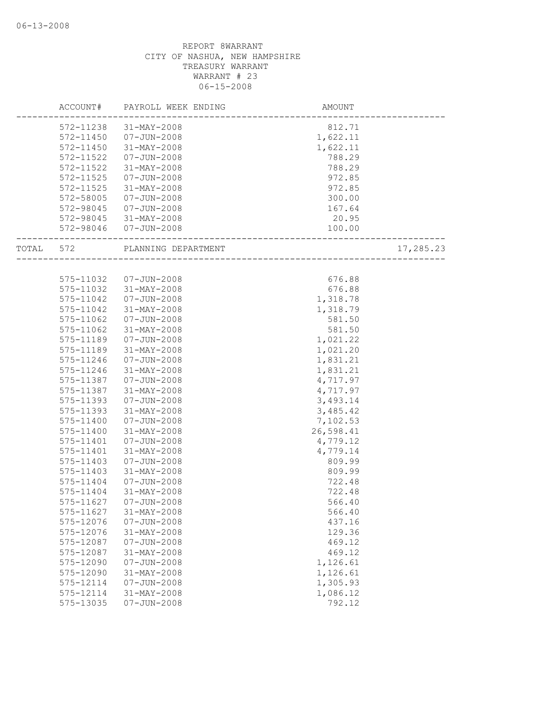|       | ACCOUNT#      | PAYROLL WEEK ENDING   | AMOUNT                  |           |
|-------|---------------|-----------------------|-------------------------|-----------|
|       | 572-11238     | 31-MAY-2008           | 812.71                  |           |
|       | 572-11450     | 07-JUN-2008           | 1,622.11                |           |
|       | 572-11450     | 31-MAY-2008           | 1,622.11                |           |
|       | 572-11522     | $07 - JUN - 2008$     | 788.29                  |           |
|       | 572-11522     | 31-MAY-2008           | 788.29                  |           |
|       | 572-11525     | $07 - JUN - 2008$     | 972.85                  |           |
|       | 572-11525     | 31-MAY-2008           | 972.85                  |           |
|       | 572-58005     | $07 - JUN - 2008$     | 300.00                  |           |
|       | $572 - 98045$ | 07-JUN-2008           | 167.64                  |           |
|       |               | 572-98045 31-MAY-2008 | 20.95                   |           |
|       |               | 572-98046 07-JUN-2008 | 100.00                  |           |
| TOTAL | 572           | PLANNING DEPARTMENT   | ----------------------- | 17,285.23 |
|       |               |                       |                         |           |
|       | 575-11032     | 07-JUN-2008           | 676.88                  |           |
|       | 575-11032     | 31-MAY-2008           | 676.88                  |           |
|       | 575-11042     | 07-JUN-2008           | 1,318.78                |           |
|       | 575-11042     | 31-MAY-2008           | 1,318.79                |           |
|       | 575-11062     | $07 - JUN - 2008$     | 581.50                  |           |
|       | 575-11062     | $31 - MAX - 2008$     | 581.50                  |           |
|       | 575-11189     | $07 - JUN - 2008$     | 1,021.22                |           |
|       | 575-11189     | 31-MAY-2008           | 1,021.20                |           |
|       | 575-11246     | $07 - JUN - 2008$     | 1,831.21                |           |
|       | 575-11246     | 31-MAY-2008           | 1,831.21                |           |
|       | 575-11387     | $07 - JUN - 2008$     | 4,717.97                |           |
|       | 575-11387     | 31-MAY-2008           | 4,717.97                |           |
|       | 575-11393     | $07 - JUN - 2008$     | 3,493.14                |           |
|       | 575-11393     | 31-MAY-2008           | 3,485.42                |           |
|       | 575-11400     | $07 - JUN - 2008$     | 7,102.53                |           |
|       | 575-11400     | 31-MAY-2008           | 26,598.41               |           |
|       | 575-11401     | $07 - JUN - 2008$     | 4,779.12                |           |
|       | 575-11401     | 31-MAY-2008           | 4,779.14                |           |
|       | 575-11403     | $07 - JUN - 2008$     | 809.99                  |           |
|       | 575-11403     | 31-MAY-2008           | 809.99                  |           |
|       | 575-11404     | 07-JUN-2008           | 722.48                  |           |
|       | 575-11404     | 31-MAY-2008           | 722.48                  |           |
|       | 575-11627     | $07 - JUN - 2008$     | 566.40                  |           |
|       | 575-11627     | 31-MAY-2008           | 566.40                  |           |
|       | 575-12076     | $07 - JUN - 2008$     | 437.16                  |           |
|       | 575-12076     | 31-MAY-2008           | 129.36                  |           |
|       | 575-12087     | $07 - JUN - 2008$     | 469.12                  |           |
|       | 575-12087     | 31-MAY-2008           | 469.12                  |           |
|       | 575-12090     | $07 - JUN - 2008$     | 1,126.61                |           |
|       | 575-12090     | 31-MAY-2008           | 1,126.61                |           |
|       | 575-12114     | $07 - JUN - 2008$     | 1,305.93                |           |
|       | 575-12114     | 31-MAY-2008           | 1,086.12                |           |
|       | 575-13035     | $07 - JUN - 2008$     | 792.12                  |           |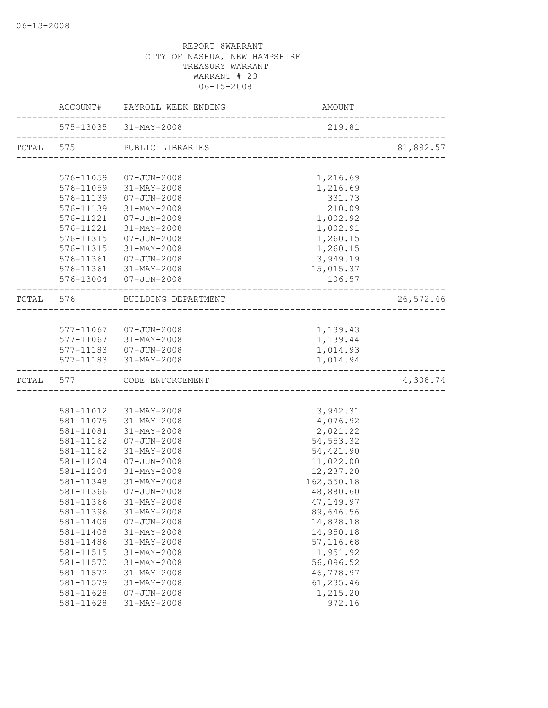|           | ACCOUNT# PAYROLL WEEK ENDING  | AMOUNT                                |           |
|-----------|-------------------------------|---------------------------------------|-----------|
|           | 575-13035 31-MAY-2008         | 219.81                                |           |
|           | TOTAL 575 PUBLIC LIBRARIES    | ------------------------------------- | 81,892.57 |
|           |                               |                                       |           |
|           | 576-11059  07-JUN-2008        | 1,216.69                              |           |
|           | 576-11059 31-MAY-2008         | 1,216.69                              |           |
|           | 576-11139  07-JUN-2008        | 331.73                                |           |
| 576-11139 | 31-MAY-2008                   | 210.09                                |           |
|           | 576-11221  07-JUN-2008        | 1,002.92                              |           |
|           | 576-11221 31-MAY-2008         | 1,002.91                              |           |
|           | 576-11315  07-JUN-2008        | 1,260.15                              |           |
|           | 576-11315 31-MAY-2008         | 1,260.15                              |           |
|           | 576-11361  07-JUN-2008        | 3,949.19                              |           |
|           | 576-11361 31-MAY-2008         | 15,015.37                             |           |
|           | 576-13004 07-JUN-2008         | 106.57                                |           |
|           | TOTAL 576 BUILDING DEPARTMENT |                                       | 26,572.46 |
|           |                               |                                       |           |
|           | 577-11067  07-JUN-2008        | 1,139.43                              |           |
|           | 577-11067 31-MAY-2008         | 1,139.44                              |           |
|           | 577-11183  07-JUN-2008        | 1,014.93                              |           |
|           | 577-11183 31-MAY-2008         | 1,014.94                              |           |
|           | TOTAL 577 CODE ENFORCEMENT    |                                       | 4,308.74  |
|           |                               |                                       |           |
|           | 581-11012 31-MAY-2008         | 3,942.31                              |           |
|           | 581-11075 31-MAY-2008         | 4,076.92                              |           |
|           | 581-11081 31-MAY-2008         | 2,021.22                              |           |
| 581-11162 | 07-JUN-2008                   | 54, 553.32                            |           |
| 581-11162 | 31-MAY-2008                   | 54,421.90                             |           |
| 581-11204 | 07-JUN-2008                   | 11,022.00                             |           |
| 581-11204 | 31-MAY-2008                   | 12,237.20                             |           |
| 581-11348 | 31-MAY-2008                   | 162,550.18                            |           |
| 581-11366 | 07-JUN-2008                   | 48,880.60                             |           |
|           | 581-11366 31-MAY-2008         | 47, 149.97                            |           |
| 581-11396 | 31-MAY-2008                   | 89,646.56                             |           |
| 581-11408 | $07 - JUN - 2008$             | 14,828.18                             |           |
| 581-11408 | 31-MAY-2008                   | 14,950.18                             |           |
| 581-11486 | 31-MAY-2008                   | 57,116.68                             |           |
| 581-11515 | 31-MAY-2008                   | 1,951.92                              |           |
| 581-11570 | 31-MAY-2008                   | 56,096.52                             |           |
| 581-11572 | 31-MAY-2008                   | 46,778.97                             |           |
| 581-11579 | 31-MAY-2008                   | 61,235.46                             |           |
| 581-11628 | $07 - JUN - 2008$             | 1,215.20                              |           |
| 581-11628 | 31-MAY-2008                   | 972.16                                |           |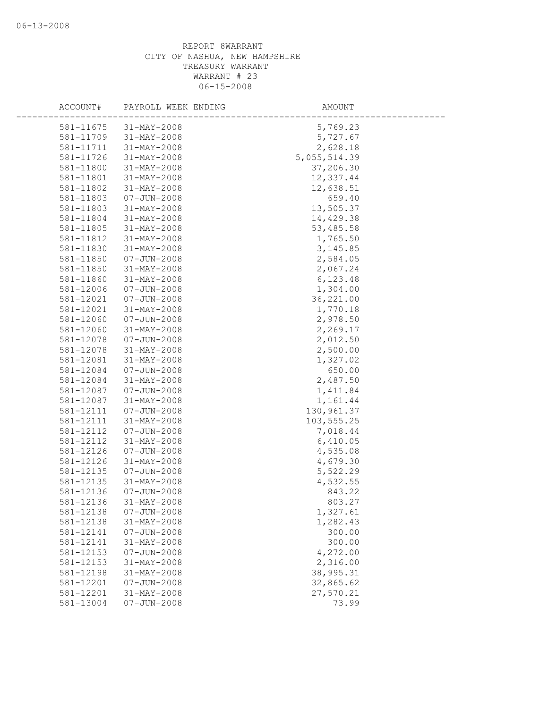| ACCOUNT#  | PAYROLL WEEK ENDING | AMOUNT       |
|-----------|---------------------|--------------|
| 581-11675 | $31 - MAX - 2008$   | 5,769.23     |
| 581-11709 | 31-MAY-2008         | 5,727.67     |
| 581-11711 | 31-MAY-2008         | 2,628.18     |
| 581-11726 | 31-MAY-2008         | 5,055,514.39 |
| 581-11800 | 31-MAY-2008         | 37,206.30    |
| 581-11801 | 31-MAY-2008         | 12,337.44    |
| 581-11802 | 31-MAY-2008         | 12,638.51    |
| 581-11803 | $07 - JUN - 2008$   | 659.40       |
| 581-11803 | $31 - MAX - 2008$   | 13,505.37    |
| 581-11804 | $31 - MAX - 2008$   | 14,429.38    |
| 581-11805 | 31-MAY-2008         | 53,485.58    |
| 581-11812 | 31-MAY-2008         | 1,765.50     |
| 581-11830 | 31-MAY-2008         | 3, 145.85    |
| 581-11850 | $07 - JUN - 2008$   | 2,584.05     |
| 581-11850 | 31-MAY-2008         | 2,067.24     |
| 581-11860 | 31-MAY-2008         | 6,123.48     |
| 581-12006 | $07 - JUN - 2008$   | 1,304.00     |
| 581-12021 | $07 - JUN - 2008$   | 36,221.00    |
| 581-12021 | $31 - MAX - 2008$   | 1,770.18     |
| 581-12060 | $07 - JUN - 2008$   | 2,978.50     |
| 581-12060 | 31-MAY-2008         | 2,269.17     |
| 581-12078 | $07 - JUN - 2008$   | 2,012.50     |
| 581-12078 | $31 - MAY - 2008$   | 2,500.00     |
| 581-12081 | 31-MAY-2008         | 1,327.02     |
| 581-12084 | $07 - JUN - 2008$   | 650.00       |
| 581-12084 | 31-MAY-2008         | 2,487.50     |
| 581-12087 | $07 - JUN - 2008$   | 1,411.84     |
| 581-12087 | $31 - MAX - 2008$   | 1,161.44     |
| 581-12111 | $07 - JUN - 2008$   | 130,961.37   |
| 581-12111 | 31-MAY-2008         | 103,555.25   |
| 581-12112 | $07 - JUN - 2008$   | 7,018.44     |
| 581-12112 | $31 - MAY - 2008$   | 6,410.05     |
| 581-12126 | $07 - JUN - 2008$   | 4,535.08     |
| 581-12126 | 31-MAY-2008         | 4,679.30     |
| 581-12135 | $07 - JUN - 2008$   | 5,522.29     |
| 581-12135 | $31 - MAX - 2008$   | 4,532.55     |
| 581-12136 | $07 - JUN - 2008$   | 843.22       |
| 581-12136 | 31-MAY-2008         | 803.27       |
| 581-12138 | $07 - JUN - 2008$   | 1,327.61     |
| 581-12138 | 31-MAY-2008         | 1,282.43     |
| 581-12141 | $07 - JUN - 2008$   | 300.00       |
| 581-12141 | 31-MAY-2008         | 300.00       |
| 581-12153 | $07 - JUN - 2008$   | 4,272.00     |
| 581-12153 | $31 - MAX - 2008$   | 2,316.00     |
| 581-12198 | 31-MAY-2008         | 38,995.31    |
| 581-12201 | $07 - JUN - 2008$   | 32,865.62    |
| 581-12201 | $31 - MAX - 2008$   | 27,570.21    |
| 581-13004 | $07 - JUN - 2008$   | 73.99        |
|           |                     |              |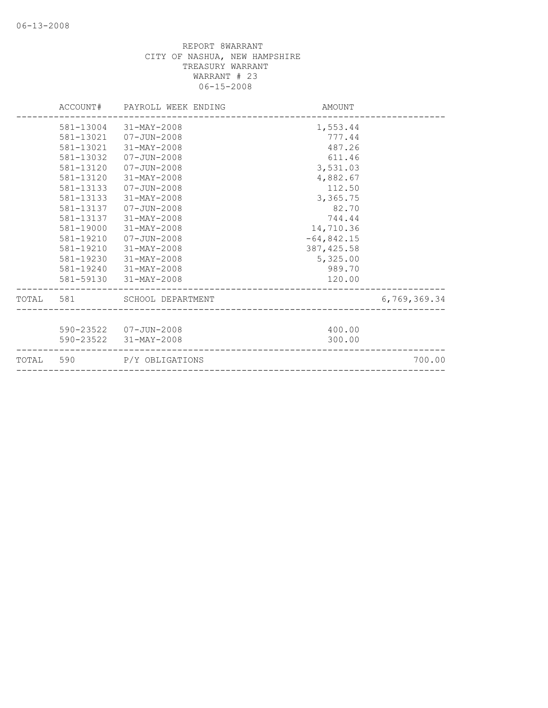|           | ACCOUNT# PAYROLL WEEK ENDING | AMOUNT       |              |
|-----------|------------------------------|--------------|--------------|
| 581-13004 | 31-MAY-2008                  | 1,553.44     |              |
| 581-13021 | 07-JUN-2008                  | 777.44       |              |
| 581-13021 | 31-MAY-2008                  | 487.26       |              |
| 581-13032 | 07-JUN-2008                  | 611.46       |              |
| 581-13120 | 07-JUN-2008                  | 3,531.03     |              |
| 581-13120 | 31-MAY-2008                  | 4,882.67     |              |
| 581-13133 | 07-JUN-2008                  | 112.50       |              |
| 581-13133 | 31-MAY-2008                  | 3,365.75     |              |
| 581-13137 | 07-JUN-2008                  | 82.70        |              |
| 581-13137 | 31-MAY-2008                  | 744.44       |              |
| 581-19000 | 31-MAY-2008                  | 14,710.36    |              |
| 581-19210 | 07-JUN-2008                  | $-64,842.15$ |              |
| 581-19210 | $31 - MAX - 2008$            | 387, 425.58  |              |
| 581-19230 | 31-MAY-2008                  | 5,325.00     |              |
| 581-19240 | 31-MAY-2008                  | 989.70       |              |
|           | 581-59130 31-MAY-2008        | 120.00       |              |
| TOTAL 581 | SCHOOL DEPARTMENT            |              | 6,769,369.34 |
|           | 590-23522 07-JUN-2008        | 400.00       |              |
|           | 590-23522 31-MAY-2008        | 300.00       |              |
|           | TOTAL 590 P/Y OBLIGATIONS    |              | 700.00       |
|           |                              |              |              |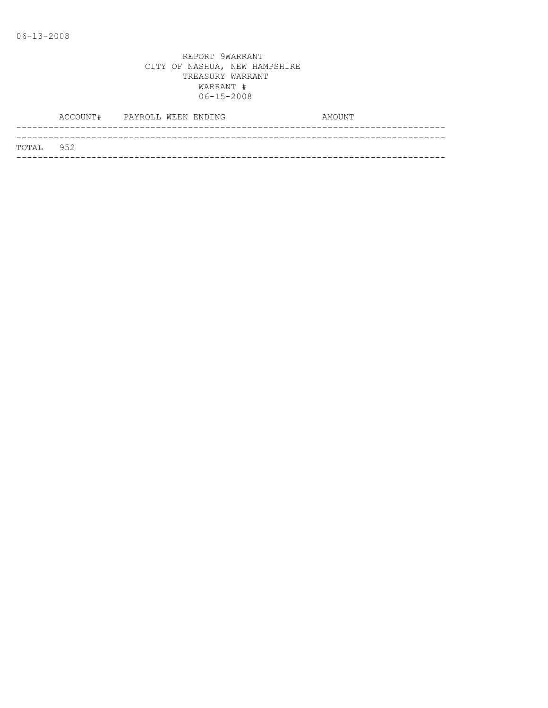|           | ACCOUNT# PAYROLL WEEK ENDING |  |  | AMOUNT |
|-----------|------------------------------|--|--|--------|
|           |                              |  |  |        |
| TOTAL 952 |                              |  |  |        |
|           |                              |  |  |        |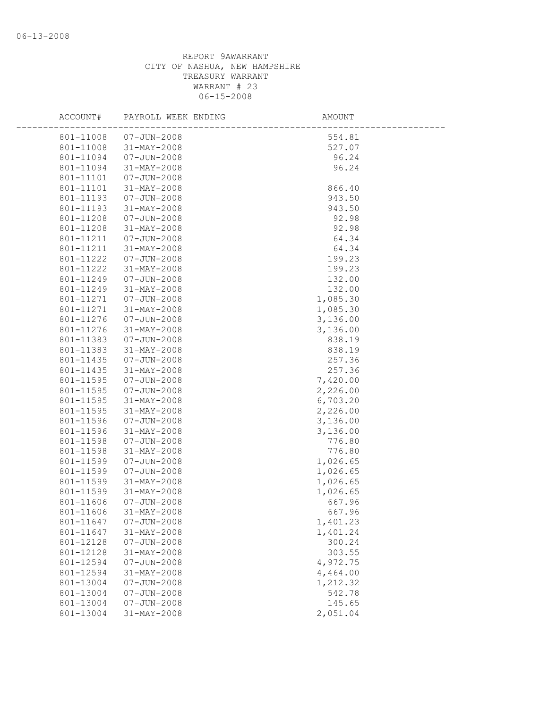| ACCOUNT#               | PAYROLL WEEK ENDING        | <b>AMOUNT</b>      |  |
|------------------------|----------------------------|--------------------|--|
| 801-11008              | 07-JUN-2008                | 554.81             |  |
| 801-11008              | 31-MAY-2008                | 527.07             |  |
| 801-11094              | 07-JUN-2008                | 96.24              |  |
| 801-11094              | 31-MAY-2008                | 96.24              |  |
| 801-11101              | 07-JUN-2008                |                    |  |
| 801-11101              | 31-MAY-2008                | 866.40             |  |
| 801-11193              | 07-JUN-2008                | 943.50             |  |
| 801-11193              | 31-MAY-2008                | 943.50             |  |
| 801-11208              | 07-JUN-2008                | 92.98              |  |
| 801-11208              | 31-MAY-2008                | 92.98              |  |
| 801-11211              | 07-JUN-2008                | 64.34              |  |
| 801-11211              | 31-MAY-2008                | 64.34              |  |
| 801-11222              | 07-JUN-2008                | 199.23             |  |
| 801-11222              | 31-MAY-2008                | 199.23             |  |
| 801-11249              | 07-JUN-2008                | 132.00             |  |
| 801-11249              | 31-MAY-2008                | 132.00             |  |
| 801-11271              | 07-JUN-2008                | 1,085.30           |  |
| 801-11271              | 31-MAY-2008                | 1,085.30           |  |
| 801-11276              | 07-JUN-2008                | 3,136.00           |  |
| 801-11276              | 31-MAY-2008                | 3,136.00           |  |
| 801-11383              | 07-JUN-2008                | 838.19             |  |
| 801-11383              | 31-MAY-2008<br>07-JUN-2008 | 838.19             |  |
| 801-11435              |                            | 257.36             |  |
| 801-11435<br>801-11595 | 31-MAY-2008<br>07-JUN-2008 | 257.36<br>7,420.00 |  |
| 801-11595              | 07-JUN-2008                | 2,226.00           |  |
| 801-11595              | 31-MAY-2008                | 6,703.20           |  |
| 801-11595              | 31-MAY-2008                | 2,226.00           |  |
| 801-11596              | 07-JUN-2008                | 3,136.00           |  |
| 801-11596              | 31-MAY-2008                | 3,136.00           |  |
| 801-11598              | $07 - JUN - 2008$          | 776.80             |  |
| 801-11598              | 31-MAY-2008                | 776.80             |  |
| 801-11599              | 07-JUN-2008                | 1,026.65           |  |
| 801-11599              | $07 - JUN - 2008$          | 1,026.65           |  |
| 801-11599              | 31-MAY-2008                | 1,026.65           |  |
| 801-11599              | 31-MAY-2008                | 1,026.65           |  |
| 801-11606              | 07-JUN-2008                | 667.96             |  |
|                        | 801-11606 31-MAY-2008      | 667.96             |  |
| 801-11647              | $07 - JUN - 2008$          | 1,401.23           |  |
| 801-11647              | 31-MAY-2008                | 1,401.24           |  |
| 801-12128              | $07 - JUN - 2008$          | 300.24             |  |
| 801-12128              | 31-MAY-2008                | 303.55             |  |
| 801-12594              | $07 - JUN - 2008$          | 4,972.75           |  |
| 801-12594              | 31-MAY-2008                | 4,464.00           |  |
| 801-13004              | $07 - JUN - 2008$          | 1,212.32           |  |
| 801-13004              | $07 - JUN - 2008$          | 542.78             |  |
| 801-13004              | $07 - JUN - 2008$          | 145.65             |  |
| 801-13004              | 31-MAY-2008                | 2,051.04           |  |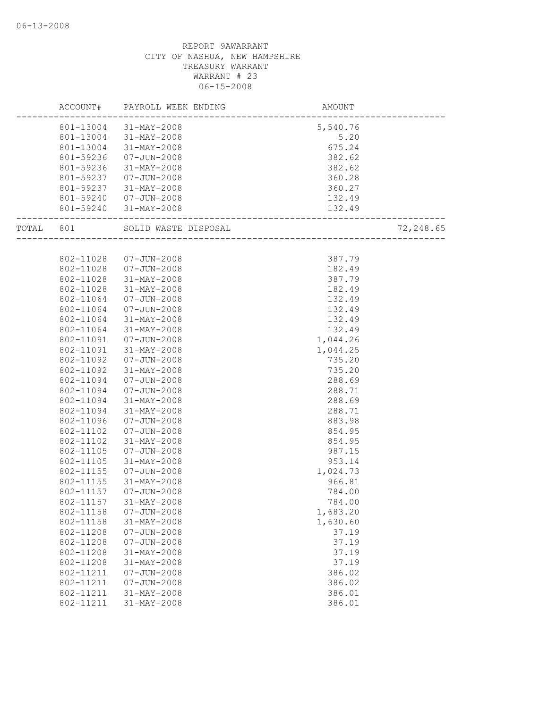|           |           | ACCOUNT# PAYROLL WEEK ENDING | AMOUNT                              |           |
|-----------|-----------|------------------------------|-------------------------------------|-----------|
|           |           | 801-13004 31-MAY-2008        | 5,540.76                            |           |
|           |           | 801-13004 31-MAY-2008        | 5.20                                |           |
|           |           | 801-13004 31-MAY-2008        | 675.24                              |           |
|           | 801-59236 | $07 - JUN - 2008$            | 382.62                              |           |
|           | 801-59236 | 31-MAY-2008                  | 382.62                              |           |
|           | 801-59237 | 07-JUN-2008                  | 360.28                              |           |
|           | 801-59237 | 31-MAY-2008                  | 360.27                              |           |
|           |           | 801-59240 07-JUN-2008        | 132.49                              |           |
|           |           | 801-59240 31-MAY-2008        | 132.49<br>_________________________ |           |
| TOTAL 801 |           | SOLID WASTE DISPOSAL         | ---<br>______________________       | 72,248.65 |
|           |           |                              |                                     |           |
|           | 802-11028 | 07-JUN-2008                  | 387.79                              |           |
|           | 802-11028 | 07-JUN-2008                  | 182.49                              |           |
|           | 802-11028 | 31-MAY-2008                  | 387.79                              |           |
|           | 802-11028 | 31-MAY-2008                  | 182.49                              |           |
|           | 802-11064 | 07-JUN-2008                  | 132.49                              |           |
|           | 802-11064 | 07-JUN-2008                  | 132.49                              |           |
|           | 802-11064 | 31-MAY-2008                  | 132.49                              |           |
|           | 802-11064 | 31-MAY-2008                  | 132.49                              |           |
|           | 802-11091 | 07-JUN-2008                  | 1,044.26                            |           |
|           | 802-11091 | 31-MAY-2008                  | 1,044.25                            |           |
|           | 802-11092 | $07 - JUN - 2008$            | 735.20                              |           |
|           | 802-11092 | 31-MAY-2008                  | 735.20                              |           |
|           | 802-11094 | 07-JUN-2008                  | 288.69                              |           |
|           | 802-11094 | 07-JUN-2008                  | 288.71                              |           |
|           | 802-11094 | 31-MAY-2008                  | 288.69                              |           |
|           | 802-11094 | 31-MAY-2008                  | 288.71                              |           |
|           | 802-11096 | $07 - JUN - 2008$            | 883.98                              |           |
|           | 802-11102 | 07-JUN-2008                  | 854.95                              |           |
|           | 802-11102 | 31-MAY-2008                  | 854.95                              |           |
|           | 802-11105 | $07 - JUN - 2008$            | 987.15                              |           |
|           | 802-11105 | 31-MAY-2008                  | 953.14                              |           |
|           | 802-11155 | 07-JUN-2008                  | 1,024.73                            |           |
|           | 802-11155 | 31-MAY-2008                  | 966.81                              |           |
|           | 802-11157 | 07-JUN-2008                  | 784.00                              |           |
|           | 802-11157 | 31-MAY-2008                  | 784.00                              |           |
|           | 802-11158 | $07 - JUN - 2008$            | 1,683.20                            |           |
|           | 802-11158 | 31-MAY-2008                  | 1,630.60                            |           |
|           | 802-11208 | $07 - JUN - 2008$            | 37.19                               |           |
|           | 802-11208 | $07 - JUN - 2008$            | 37.19                               |           |
|           | 802-11208 | $31 - MAY - 2008$            | 37.19                               |           |
|           | 802-11208 | 31-MAY-2008                  | 37.19                               |           |
|           | 802-11211 | $07 - JUN - 2008$            | 386.02                              |           |
|           | 802-11211 | $07 - JUN - 2008$            | 386.02                              |           |
|           | 802-11211 | 31-MAY-2008                  | 386.01                              |           |
|           | 802-11211 | $31 - MAY - 2008$            | 386.01                              |           |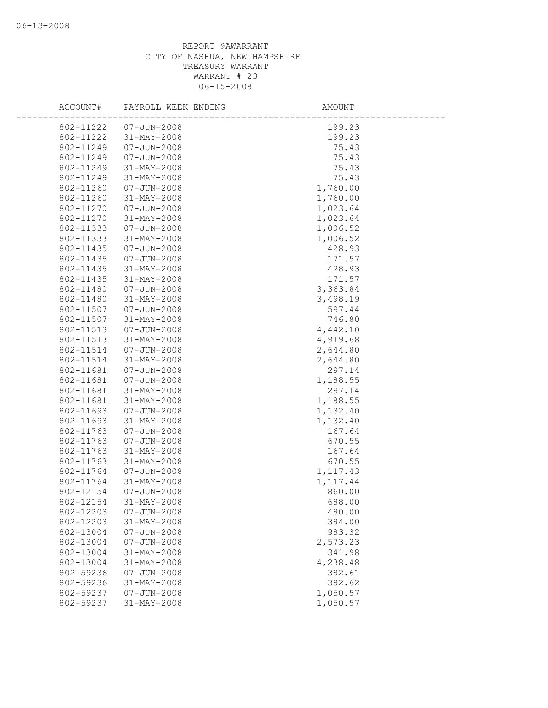## REPORT 9AWARRANT CITY OF NASHUA, NEW HAMPSHIRE TREASURY WARRANT WARRANT # 23 06-15-2008

| ACCOUNT#               | PAYROLL WEEK ENDING                    | AMOUNT           |
|------------------------|----------------------------------------|------------------|
| 802-11222              | $07 - JUN - 2008$                      | 199.23           |
| 802-11222              | 31-MAY-2008                            | 199.23           |
| 802-11249              | $07 - JUN - 2008$                      | 75.43            |
| 802-11249              | $07 - JUN - 2008$                      | 75.43            |
| 802-11249              | 31-MAY-2008                            | 75.43            |
| 802-11249              | 31-MAY-2008                            | 75.43            |
| 802-11260              | $07 - JUN - 2008$                      | 1,760.00         |
| 802-11260              | 31-MAY-2008                            | 1,760.00         |
| 802-11270              | $07 - JUN - 2008$                      | 1,023.64         |
| 802-11270              | $31 - MAX - 2008$                      | 1,023.64         |
| 802-11333              | $07 - JUN - 2008$                      | 1,006.52         |
| 802-11333              | 31-MAY-2008                            | 1,006.52         |
| 802-11435              | $07 - JUN - 2008$                      | 428.93           |
| 802-11435              | $07 - JUN - 2008$                      | 171.57           |
| 802-11435              | 31-MAY-2008                            | 428.93           |
| 802-11435              | 31-MAY-2008                            | 171.57           |
| 802-11480              | $07 - JUN - 2008$                      | 3,363.84         |
| 802-11480              | 31-MAY-2008                            | 3,498.19         |
| 802-11507              | $07 - JUN - 2008$                      | 597.44           |
| 802-11507              | 31-MAY-2008                            | 746.80           |
| 802-11513              | $07 - JUN - 2008$                      | 4,442.10         |
| 802-11513              | 31-MAY-2008                            | 4,919.68         |
| 802-11514              | $07 - JUN - 2008$                      | 2,644.80         |
| 802-11514              | 31-MAY-2008                            | 2,644.80         |
| 802-11681              | $07 - JUN - 2008$                      | 297.14           |
| 802-11681              | $07 - JUN - 2008$                      | 1,188.55         |
| 802-11681              | $31 - MAX - 2008$                      | 297.14           |
| 802-11681              | 31-MAY-2008                            | 1,188.55         |
| 802-11693              | $07 - JUN - 2008$                      | 1,132.40         |
| 802-11693              | 31-MAY-2008                            | 1,132.40         |
| 802-11763              | $07 - JUN - 2008$                      | 167.64           |
| 802-11763              | $07 - JUN - 2008$                      | 670.55           |
| 802-11763              | 31-MAY-2008                            | 167.64           |
| 802-11763              | 31-MAY-2008                            | 670.55           |
| 802-11764              | $07 - JUN - 2008$                      | 1, 117.43        |
| 802-11764              | $31 - MAY - 2008$<br>$07 - JUN - 2008$ | 1, 117.44        |
| 802-12154              | 31-MAY-2008                            | 860.00           |
| 802-12154              |                                        | 688.00           |
| 802-12203<br>802-12203 | $07 - JUN - 2008$<br>31-MAY-2008       | 480.00<br>384.00 |
| 802-13004              | $07 - JUN - 2008$                      | 983.32           |
| 802-13004              | $07 - JUN - 2008$                      | 2,573.23         |
| 802-13004              | 31-MAY-2008                            | 341.98           |
| 802-13004              | $31 - MAX - 2008$                      | 4,238.48         |
| 802-59236              | $07 - JUN - 2008$                      | 382.61           |
| 802-59236              | 31-MAY-2008                            | 382.62           |
| 802-59237              | $07 - JUN - 2008$                      | 1,050.57         |
| 802-59237              | 31-MAY-2008                            | 1,050.57         |
|                        |                                        |                  |